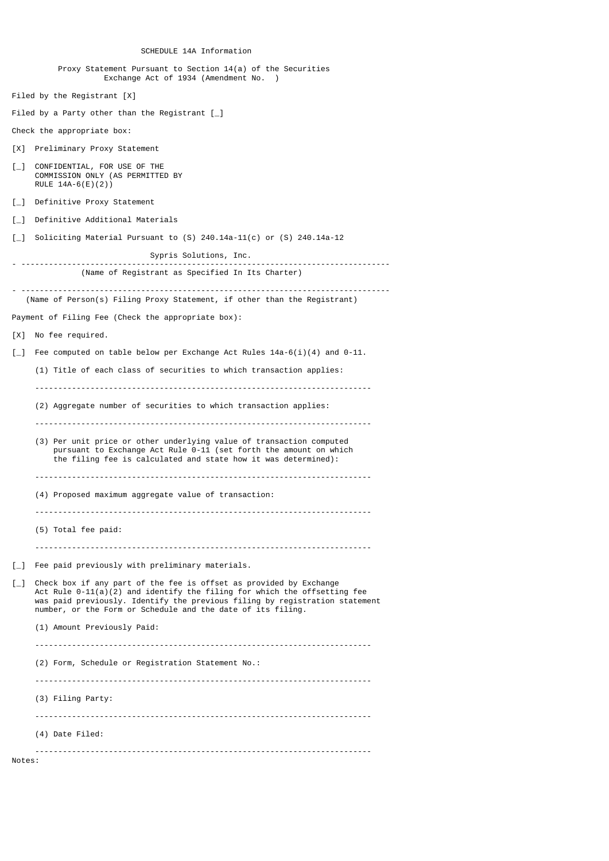| SCHEDULE 14A Information                                                                                                                                                                                                 |
|--------------------------------------------------------------------------------------------------------------------------------------------------------------------------------------------------------------------------|
| Proxy Statement Pursuant to Section 14(a) of the Securities<br>Exchange Act of 1934 (Amendment No. )                                                                                                                     |
| Filed by the Registrant $[X]$                                                                                                                                                                                            |
| Filed by a Party other than the Registrant $\begin{bmatrix} 0 \\ 1 \end{bmatrix}$                                                                                                                                        |
| Check the appropriate box:                                                                                                                                                                                               |
| [X]<br>Preliminary Proxy Statement                                                                                                                                                                                       |
| L 1<br>CONFIDENTIAL, FOR USE OF THE<br>COMMISSION ONLY (AS PERMITTED BY<br>RULE $14A-6(E)(2)$                                                                                                                            |
| [_] Definitive Proxy Statement                                                                                                                                                                                           |
| Definitive Additional Materials<br>$\lceil - \rceil$                                                                                                                                                                     |
| Soliciting Material Pursuant to $(S)$ 240.14a-11 $(c)$ or $(S)$ 240.14a-12<br>$L_{-1}$                                                                                                                                   |
| Sypris Solutions, Inc.                                                                                                                                                                                                   |
| (Name of Registrant as Specified In Its Charter)                                                                                                                                                                         |
| (Name of Person(s) Filing Proxy Statement, if other than the Registrant)                                                                                                                                                 |
| Payment of Filing Fee (Check the appropriate box):                                                                                                                                                                       |
| [X] No fee required.                                                                                                                                                                                                     |
| Fee computed on table below per Exchange Act Rules $14a-6(i)(4)$ and 0-11.<br>$L_{-1}$                                                                                                                                   |
| (1) Title of each class of securities to which transaction applies:                                                                                                                                                      |
|                                                                                                                                                                                                                          |
| (2) Aggregate number of securities to which transaction applies:                                                                                                                                                         |
| (3) Per unit price or other underlying value of transaction computed<br>pursuant to Exchange Act Rule 0-11 (set forth the amount on which<br>the filing fee is calculated and state how it was determined):              |
| (4) Proposed maximum aggregate value of transaction:                                                                                                                                                                     |
| (5) Total fee paid:                                                                                                                                                                                                      |
| Fee paid previously with preliminary materials.<br>$\mathsf{L}$                                                                                                                                                          |
| Check box if any part of the fee is offset as provided by Exchange<br>L-1                                                                                                                                                |
| Act Rule $0-11(a)(2)$ and identify the filing for which the offsetting fee<br>was paid previously. Identify the previous filing by registration statement<br>number, or the Form or Schedule and the date of its filing. |
| (1) Amount Previously Paid:                                                                                                                                                                                              |
|                                                                                                                                                                                                                          |
| (2) Form, Schedule or Registration Statement No.:                                                                                                                                                                        |
| (3) Filing Party:                                                                                                                                                                                                        |
| (4) Date Filed:                                                                                                                                                                                                          |
| Notes:                                                                                                                                                                                                                   |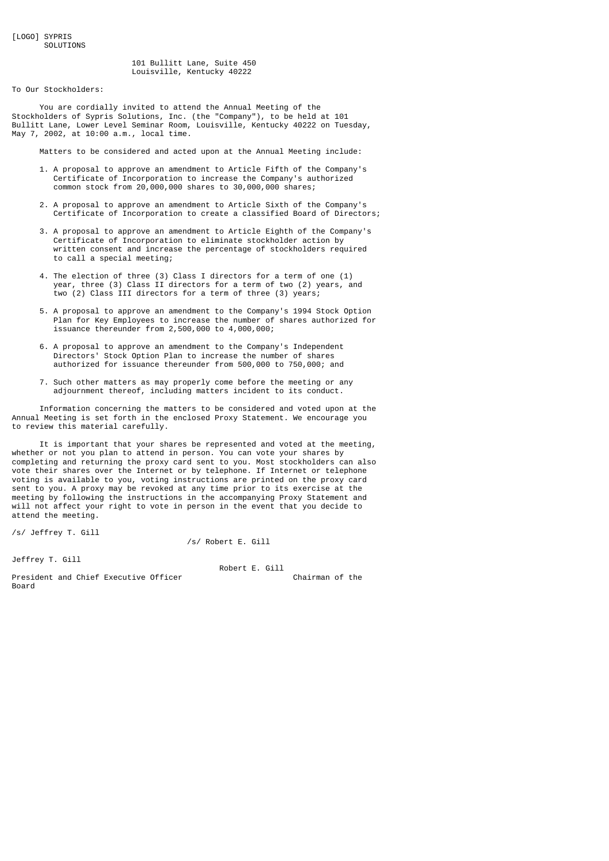[LOGO] SYPRIS SOLUTIONS

# 101 Bullitt Lane, Suite 450 Louisville, Kentucky 40222

To Our Stockholders:

 You are cordially invited to attend the Annual Meeting of the Stockholders of Sypris Solutions, Inc. (the "Company"), to be held at 101 Bullitt Lane, Lower Level Seminar Room, Louisville, Kentucky 40222 on Tuesday, May 7, 2002, at 10:00 a.m., local time.

Matters to be considered and acted upon at the Annual Meeting include:

- 1. A proposal to approve an amendment to Article Fifth of the Company's Certificate of Incorporation to increase the Company's authorized common stock from 20,000,000 shares to 30,000,000 shares;
- 2. A proposal to approve an amendment to Article Sixth of the Company's Certificate of Incorporation to create a classified Board of Directors;
- 3. A proposal to approve an amendment to Article Eighth of the Company's Certificate of Incorporation to eliminate stockholder action by written consent and increase the percentage of stockholders required to call a special meeting;
- 4. The election of three (3) Class I directors for a term of one (1) year, three (3) Class II directors for a term of two (2) years, and two (2) Class III directors for a term of three (3) years;
- 5. A proposal to approve an amendment to the Company's 1994 Stock Option Plan for Key Employees to increase the number of shares authorized for issuance thereunder from 2,500,000 to 4,000,000;
- 6. A proposal to approve an amendment to the Company's Independent Directors' Stock Option Plan to increase the number of shares authorized for issuance thereunder from 500,000 to 750,000; and
- 7. Such other matters as may properly come before the meeting or any adjournment thereof, including matters incident to its conduct.

 Information concerning the matters to be considered and voted upon at the Annual Meeting is set forth in the enclosed Proxy Statement. We encourage you to review this material carefully.

 It is important that your shares be represented and voted at the meeting, whether or not you plan to attend in person. You can vote your shares by completing and returning the proxy card sent to you. Most stockholders can also vote their shares over the Internet or by telephone. If Internet or telephone voting is available to you, voting instructions are printed on the proxy card sent to you. A proxy may be revoked at any time prior to its exercise at the meeting by following the instructions in the accompanying Proxy Statement and will not affect your right to vote in person in the event that you decide to attend the meeting.

/s/ Jeffrey T. Gill

/s/ Robert E. Gill

Jeffrey T. Gill

 Robert E. Gill President and Chief Executive Officer Chairman of the Board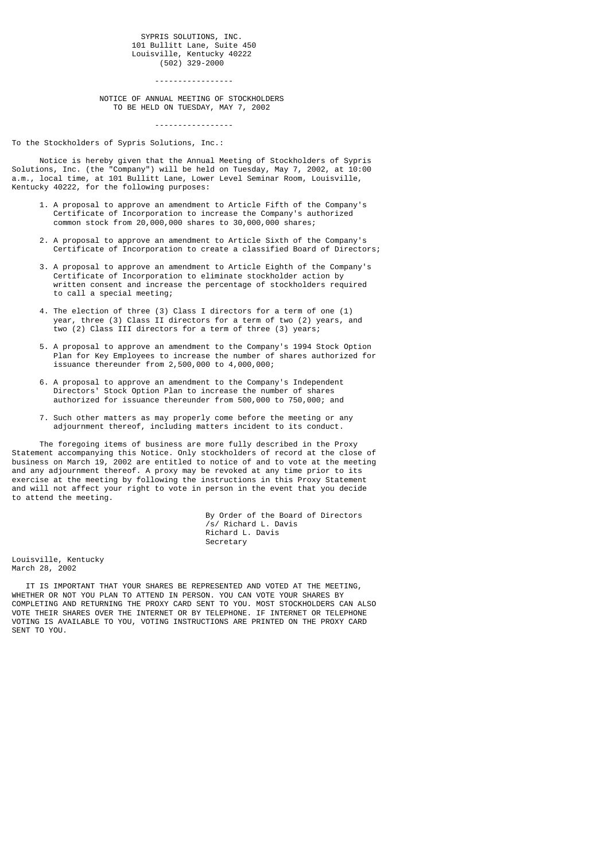# SYPRIS SOLUTIONS, INC. 101 Bullitt Lane, Suite 450 Louisville, Kentucky 40222  $(502)$  329-2000

#### -----------------

# NOTICE OF ANNUAL MEETING OF STOCKHOLDERS TO BE HELD ON TUESDAY, MAY 7, 2002

To the Stockholders of Sypris Solutions, Inc.:

 Notice is hereby given that the Annual Meeting of Stockholders of Sypris Solutions, Inc. (the "Company") will be held on Tuesday, May 7, 2002, at 10:00 a.m., local time, at 101 Bullitt Lane, Lower Level Seminar Room, Louisville, Kentucky 40222, for the following purposes:

- 1. A proposal to approve an amendment to Article Fifth of the Company's Certificate of Incorporation to increase the Company's authorized common stock from 20,000,000 shares to 30,000,000 shares;
- 2. A proposal to approve an amendment to Article Sixth of the Company's Certificate of Incorporation to create a classified Board of Directors;
- 3. A proposal to approve an amendment to Article Eighth of the Company's Certificate of Incorporation to eliminate stockholder action by written consent and increase the percentage of stockholders required to call a special meeting;
- 4. The election of three (3) Class I directors for a term of one (1) year, three (3) Class II directors for a term of two (2) years, and two (2) Class III directors for a term of three (3) years;
	- 5. A proposal to approve an amendment to the Company's 1994 Stock Option Plan for Key Employees to increase the number of shares authorized for issuance thereunder from 2,500,000 to 4,000,000;
	- 6. A proposal to approve an amendment to the Company's Independent Directors' Stock Option Plan to increase the number of shares authorized for issuance thereunder from 500,000 to 750,000; and
	- 7. Such other matters as may properly come before the meeting or any adjournment thereof, including matters incident to its conduct.

 The foregoing items of business are more fully described in the Proxy Statement accompanying this Notice. Only stockholders of record at the close of business on March 19, 2002 are entitled to notice of and to vote at the meeting and any adjournment thereof. A proxy may be revoked at any time prior to its exercise at the meeting by following the instructions in this Proxy Statement and will not affect your right to vote in person in the event that you decide to attend the meeting.

> By Order of the Board of Directors /s/ Richard L. Davis Richard L. Davis Secretary

Louisville, Kentucky March 28, 2002

 IT IS IMPORTANT THAT YOUR SHARES BE REPRESENTED AND VOTED AT THE MEETING, WHETHER OR NOT YOU PLAN TO ATTEND IN PERSON. YOU CAN VOTE YOUR SHARES BY COMPLETING AND RETURNING THE PROXY CARD SENT TO YOU. MOST STOCKHOLDERS CAN ALSO VOTE THEIR SHARES OVER THE INTERNET OR BY TELEPHONE. IF INTERNET OR TELEPHONE VOTING IS AVAILABLE TO YOU, VOTING INSTRUCTIONS ARE PRINTED ON THE PROXY CARD SENT TO YOU.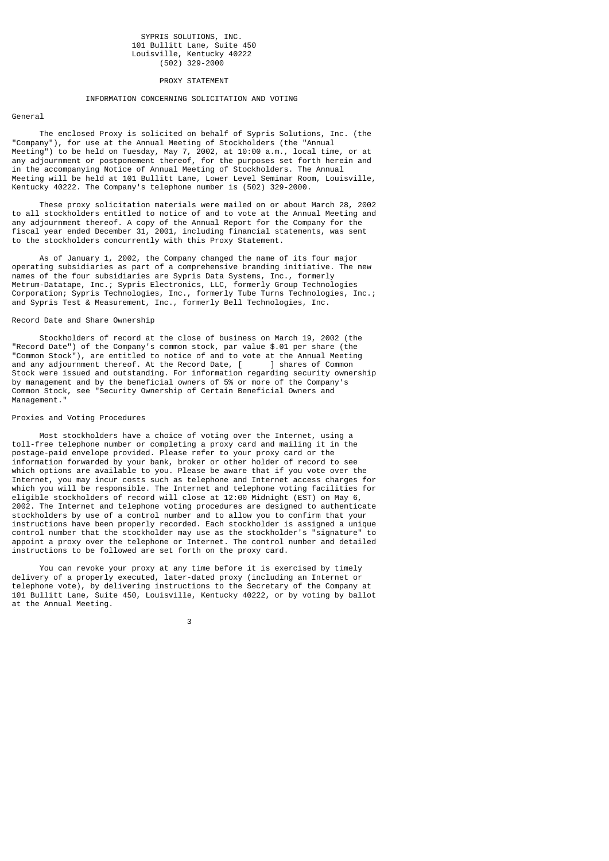# PROXY STATEMENT

# INFORMATION CONCERNING SOLICITATION AND VOTING

### General

 The enclosed Proxy is solicited on behalf of Sypris Solutions, Inc. (the "Company"), for use at the Annual Meeting of Stockholders (the "Annual Meeting") to be held on Tuesday, May 7, 2002, at 10:00 a.m., local time, or at any adjournment or postponement thereof, for the purposes set forth herein and in the accompanying Notice of Annual Meeting of Stockholders. The Annual Meeting will be held at 101 Bullitt Lane, Lower Level Seminar Room, Louisville, Kentucky 40222. The Company's telephone number is (502) 329-2000.

 These proxy solicitation materials were mailed on or about March 28, 2002 to all stockholders entitled to notice of and to vote at the Annual Meeting and any adjournment thereof. A copy of the Annual Report for the Company for the fiscal year ended December 31, 2001, including financial statements, was sent to the stockholders concurrently with this Proxy Statement.

 As of January 1, 2002, the Company changed the name of its four major operating subsidiaries as part of a comprehensive branding initiative. The new names of the four subsidiaries are Sypris Data Systems, Inc., formerly Metrum-Datatape, Inc.; Sypris Electronics, LLC, formerly Group Technologies Corporation; Sypris Technologies, Inc., formerly Tube Turns Technologies, Inc.; and Sypris Test & Measurement, Inc., formerly Bell Technologies, Inc.

### Record Date and Share Ownership

 Stockholders of record at the close of business on March 19, 2002 (the "Record Date") of the Company's common stock, par value \$.01 per share (the "Common Stock"), are entitled to notice of and to vote at the Annual Meeting and any adjournment thereof. At the Record Date,  $[$ Stock were issued and outstanding. For information regarding security ownership by management and by the beneficial owners of 5% or more of the Company's Common Stock, see "Security Ownership of Certain Beneficial Owners and Management."

# Proxies and Voting Procedures

 Most stockholders have a choice of voting over the Internet, using a toll-free telephone number or completing a proxy card and mailing it in the postage-paid envelope provided. Please refer to your proxy card or the information forwarded by your bank, broker or other holder of record to see which options are available to you. Please be aware that if you vote over the Internet, you may incur costs such as telephone and Internet access charges for which you will be responsible. The Internet and telephone voting facilities for eligible stockholders of record will close at 12:00 Midnight (EST) on May 6, 2002. The Internet and telephone voting procedures are designed to authenticate stockholders by use of a control number and to allow you to confirm that your instructions have been properly recorded. Each stockholder is assigned a unique control number that the stockholder may use as the stockholder's "signature" to appoint a proxy over the telephone or Internet. The control number and detailed instructions to be followed are set forth on the proxy card.

 You can revoke your proxy at any time before it is exercised by timely delivery of a properly executed, later-dated proxy (including an Internet or telephone vote), by delivering instructions to the Secretary of the Company at 101 Bullitt Lane, Suite 450, Louisville, Kentucky 40222, or by voting by ballot at the Annual Meeting.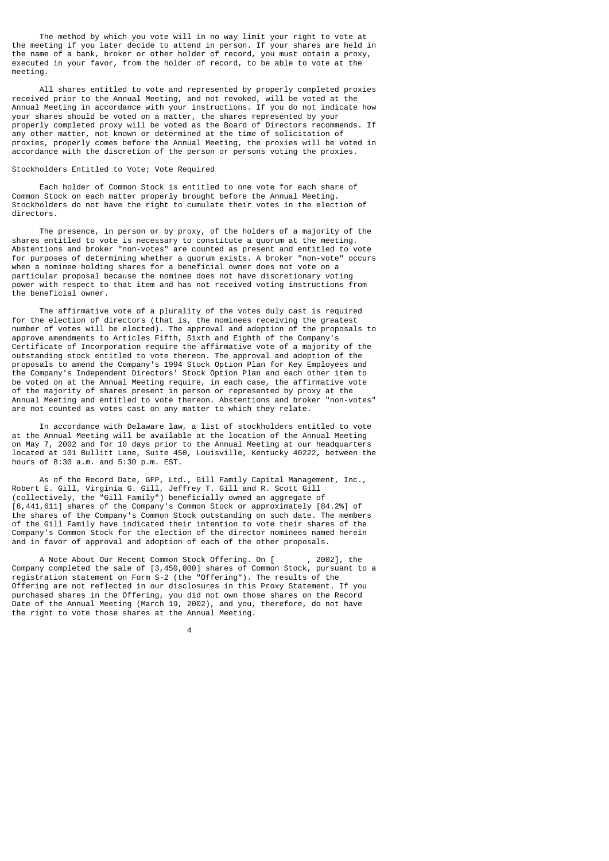The method by which you vote will in no way limit your right to vote at the meeting if you later decide to attend in person. If your shares are held in the name of a bank, broker or other holder of record, you must obtain a proxy, executed in your favor, from the holder of record, to be able to vote at the meeting.

 All shares entitled to vote and represented by properly completed proxies received prior to the Annual Meeting, and not revoked, will be voted at the Annual Meeting in accordance with your instructions. If you do not indicate how your shares should be voted on a matter, the shares represented by your properly completed proxy will be voted as the Board of Directors recommends. If any other matter, not known or determined at the time of solicitation of proxies, properly comes before the Annual Meeting, the proxies will be voted in accordance with the discretion of the person or persons voting the proxies.

### Stockholders Entitled to Vote; Vote Required

 Each holder of Common Stock is entitled to one vote for each share of Common Stock on each matter properly brought before the Annual Meeting. Stockholders do not have the right to cumulate their votes in the election of directors.

 The presence, in person or by proxy, of the holders of a majority of the shares entitled to vote is necessary to constitute a quorum at the meeting. Abstentions and broker "non-votes" are counted as present and entitled to vote for purposes of determining whether a quorum exists. A broker "non-vote" occurs when a nominee holding shares for a beneficial owner does not vote on a particular proposal because the nominee does not have discretionary voting power with respect to that item and has not received voting instructions from the beneficial owner.

 The affirmative vote of a plurality of the votes duly cast is required for the election of directors (that is, the nominees receiving the greatest number of votes will be elected). The approval and adoption of the proposals to approve amendments to Articles Fifth, Sixth and Eighth of the Company's Certificate of Incorporation require the affirmative vote of a majority of the outstanding stock entitled to vote thereon. The approval and adoption of the proposals to amend the Company's 1994 Stock Option Plan for Key Employees and the Company's Independent Directors' Stock Option Plan and each other item to be voted on at the Annual Meeting require, in each case, the affirmative vote of the majority of shares present in person or represented by proxy at the Annual Meeting and entitled to vote thereon. Abstentions and broker "non-votes" are not counted as votes cast on any matter to which they relate.

 In accordance with Delaware law, a list of stockholders entitled to vote at the Annual Meeting will be available at the location of the Annual Meeting on May 7, 2002 and for 10 days prior to the Annual Meeting at our headquarters located at 101 Bullitt Lane, Suite 450, Louisville, Kentucky 40222, between the hours of 8:30 a.m. and 5:30 p.m. EST.

 As of the Record Date, GFP, Ltd., Gill Family Capital Management, Inc., Robert E. Gill, Virginia G. Gill, Jeffrey T. Gill and R. Scott Gill (collectively, the "Gill Family") beneficially owned an aggregate of [8,441,611] shares of the Company's Common Stock or approximately [84.2%] of the shares of the Company's Common Stock outstanding on such date. The members of the Gill Family have indicated their intention to vote their shares of the Company's Common Stock for the election of the director nominees named herein and in favor of approval and adoption of each of the other proposals.

A Note About Our Recent Common Stock Offering. On [ , 2002], the Company completed the sale of [3,450,000] shares of Common Stock, pursuant to a registration statement on Form S-2 (the "Offering"). The results of the Offering are not reflected in our disclosures in this Proxy Statement. If you purchased shares in the Offering, you did not own those shares on the Record Date of the Annual Meeting (March 19, 2002), and you, therefore, do not have the right to vote those shares at the Annual Meeting.

4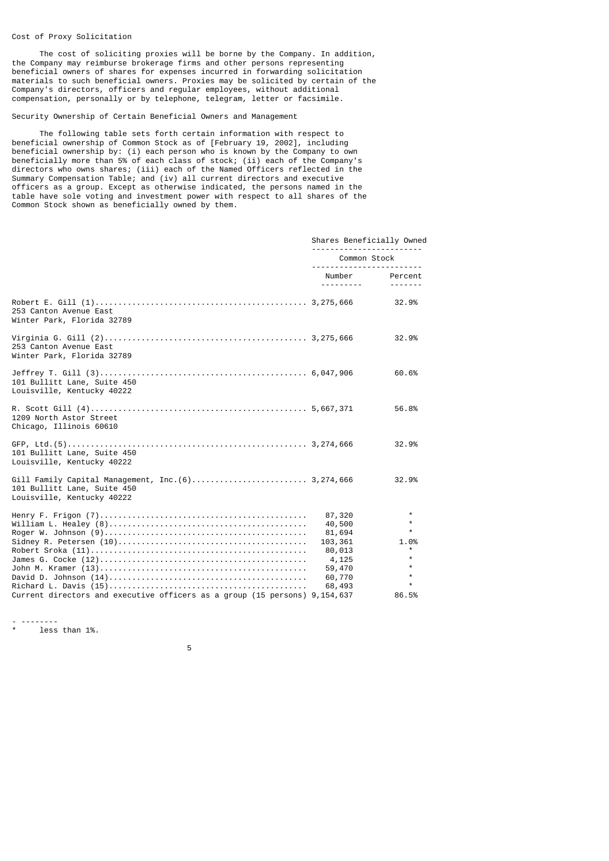### Cost of Proxy Solicitation

 The cost of soliciting proxies will be borne by the Company. In addition, the Company may reimburse brokerage firms and other persons representing beneficial owners of shares for expenses incurred in forwarding solicitation materials to such beneficial owners. Proxies may be solicited by certain of the Company's directors, officers and regular employees, without additional compensation, personally or by telephone, telegram, letter or facsimile.

# Security Ownership of Certain Beneficial Owners and Management

 The following table sets forth certain information with respect to beneficial ownership of Common Stock as of [February 19, 2002], including beneficial ownership by: (i) each person who is known by the Company to own beneficially more than 5% of each class of stock; (ii) each of the Company's directors who owns shares; (iii) each of the Named Officers reflected in the Summary Compensation Table; and (iv) all current directors and executive officers as a group. Except as otherwise indicated, the persons named in the table have sole voting and investment power with respect to all shares of the Common Stock shown as beneficially owned by them.

|                                                                                                                | Shares Beneficially Owned |                    |  |
|----------------------------------------------------------------------------------------------------------------|---------------------------|--------------------|--|
|                                                                                                                | Common Stock              |                    |  |
|                                                                                                                | ------------------------  | Number Percent     |  |
| 253 Canton Avenue East<br>Winter Park, Florida 32789                                                           |                           | 32.9%              |  |
| 253 Canton Avenue East<br>Winter Park, Florida 32789                                                           |                           | 32.9%              |  |
| 101 Bullitt Lane, Suite 450<br>Louisville, Kentucky 40222                                                      |                           | 60.6%              |  |
| 1209 North Astor Street<br>Chicago, Illinois 60610                                                             |                           | 56.8%              |  |
| 101 Bullitt Lane, Suite 450<br>Louisville, Kentucky 40222                                                      |                           | 32.9%              |  |
| Gill Family Capital Management, Inc.(6) 3,274,666<br>101 Bullitt Lane, Suite 450<br>Louisville, Kentucky 40222 |                           | 32.9%              |  |
|                                                                                                                | 87,320                    | $\star$            |  |
|                                                                                                                | 40,500                    | $\star$<br>$\star$ |  |
|                                                                                                                | 81,694                    |                    |  |
|                                                                                                                | 103,361                   | 1.0%<br>$\star$    |  |
|                                                                                                                | 80,013<br>4,125           | $\star$            |  |
|                                                                                                                | 59,470                    | $\star$            |  |
|                                                                                                                | 60,770                    | $\star$            |  |
|                                                                                                                | 68,493                    | $\star$            |  |
| Current directors and executive officers as a group (15 persons) 9,154,637                                     |                           | 86.5%              |  |

- --------

less than 1%.

the contract of the contract of the contract of the contract of the contract of the contract of the contract o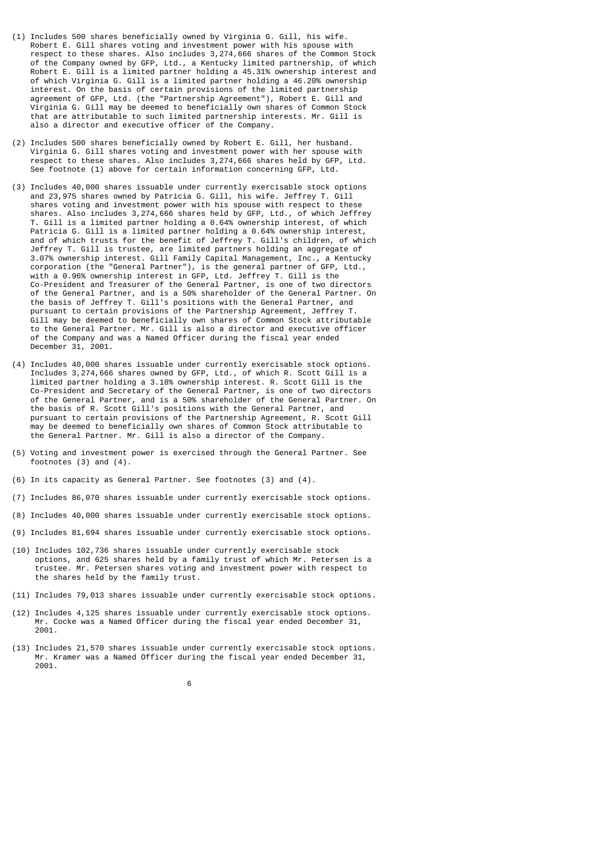- (1) Includes 500 shares beneficially owned by Virginia G. Gill, his wife. Robert E. Gill shares voting and investment power with his spouse with respect to these shares. Also includes 3,274,666 shares of the Common Stock of the Company owned by GFP, Ltd., a Kentucky limited partnership, of which Robert E. Gill is a limited partner holding a 45.31% ownership interest and of which Virginia G. Gill is a limited partner holding a 46.20% ownership interest. On the basis of certain provisions of the limited partnership agreement of GFP, Ltd. (the "Partnership Agreement"), Robert E. Gill and Virginia G. Gill may be deemed to beneficially own shares of Common Stock that are attributable to such limited partnership interests. Mr. Gill is also a director and executive officer of the Company.
- (2) Includes 500 shares beneficially owned by Robert E. Gill, her husband. Virginia G. Gill shares voting and investment power with her spouse with respect to these shares. Also includes 3,274,666 shares held by GFP, Ltd. See footnote (1) above for certain information concerning GFP, Ltd.
- (3) Includes 40,000 shares issuable under currently exercisable stock options and 23,975 shares owned by Patricia G. Gill, his wife. Jeffrey T. Gill shares voting and investment power with his spouse with respect to these shares. Also includes 3,274,666 shares held by GFP, Ltd., of which Jeffrey T. Gill is a limited partner holding a 0.64% ownership interest, of which Patricia G. Gill is a limited partner holding a 0.64% ownership interest, and of which trusts for the benefit of Jeffrey T. Gill's children, of which Jeffrey T. Gill is trustee, are limited partners holding an aggregate of 3.07% ownership interest. Gill Family Capital Management, Inc., a Kentucky corporation (the "General Partner"), is the general partner of GFP, Ltd., with a 0.96% ownership interest in GFP, Ltd. Jeffrey T. Gill is the Co-President and Treasurer of the General Partner, is one of two directors of the General Partner, and is a 50% shareholder of the General Partner. On the basis of Jeffrey T. Gill's positions with the General Partner, and pursuant to certain provisions of the Partnership Agreement, Jeffrey T. Gill may be deemed to beneficially own shares of Common Stock attributable to the General Partner. Mr. Gill is also a director and executive officer of the Company and was a Named Officer during the fiscal year ended December 31, 2001.
- (4) Includes 40,000 shares issuable under currently exercisable stock options. Includes 3,274,666 shares owned by GFP, Ltd., of which R. Scott Gill is a limited partner holding a 3.18% ownership interest. R. Scott Gill is the Co-President and Secretary of the General Partner, is one of two directors of the General Partner, and is a 50% shareholder of the General Partner. On the basis of R. Scott Gill's positions with the General Partner, and pursuant to certain provisions of the Partnership Agreement, R. Scott Gill may be deemed to beneficially own shares of Common Stock attributable to the General Partner. Mr. Gill is also a director of the Company.
- (5) Voting and investment power is exercised through the General Partner. See footnotes (3) and (4).
- (6) In its capacity as General Partner. See footnotes (3) and (4).
- (7) Includes 86,070 shares issuable under currently exercisable stock options.
- (8) Includes 40,000 shares issuable under currently exercisable stock options.
- (9) Includes 81,694 shares issuable under currently exercisable stock options.
- (10) Includes 102,736 shares issuable under currently exercisable stock options, and 625 shares held by a family trust of which Mr. Petersen is a trustee. Mr. Petersen shares voting and investment power with respect to the shares held by the family trust.
- (11) Includes 79,013 shares issuable under currently exercisable stock options.
- (12) Includes 4,125 shares issuable under currently exercisable stock options. Mr. Cocke was a Named Officer during the fiscal year ended December 31, 2001.
- (13) Includes 21,570 shares issuable under currently exercisable stock options. Mr. Kramer was a Named Officer during the fiscal year ended December 31, 2001.
- $\sim$  6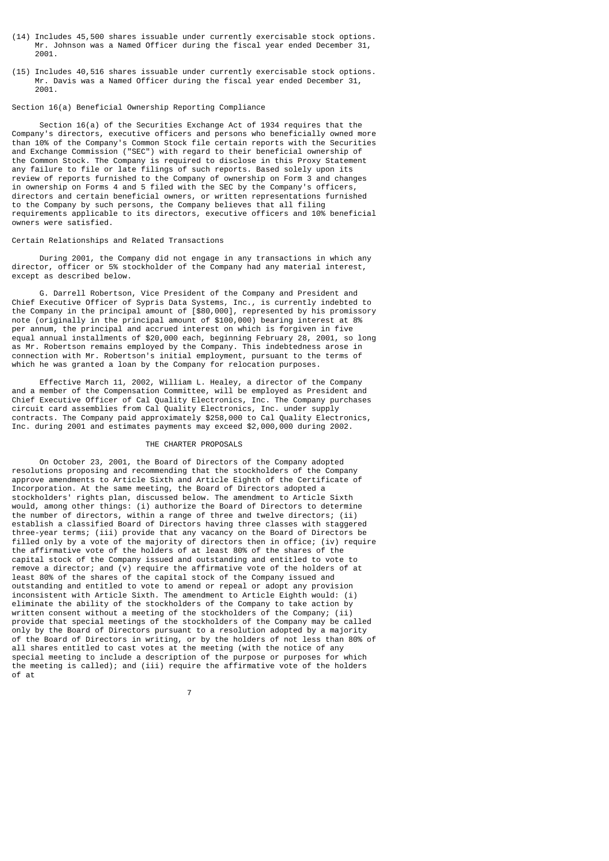- (14) Includes 45,500 shares issuable under currently exercisable stock options. Mr. Johnson was a Named Officer during the fiscal year ended December 31, 2001.
- (15) Includes 40,516 shares issuable under currently exercisable stock options. Mr. Davis was a Named Officer during the fiscal year ended December 31, 2001.

# Section 16(a) Beneficial Ownership Reporting Compliance

 Section 16(a) of the Securities Exchange Act of 1934 requires that the Company's directors, executive officers and persons who beneficially owned more than 10% of the Company's Common Stock file certain reports with the Securities and Exchange Commission ("SEC") with regard to their beneficial ownership of the Common Stock. The Company is required to disclose in this Proxy Statement any failure to file or late filings of such reports. Based solely upon its review of reports furnished to the Company of ownership on Form 3 and changes in ownership on Forms 4 and 5 filed with the SEC by the Company's officers, directors and certain beneficial owners, or written representations furnished to the Company by such persons, the Company believes that all filing requirements applicable to its directors, executive officers and 10% beneficial owners were satisfied.

# Certain Relationships and Related Transactions

 During 2001, the Company did not engage in any transactions in which any director, officer or 5% stockholder of the Company had any material interest, except as described below.

 G. Darrell Robertson, Vice President of the Company and President and Chief Executive Officer of Sypris Data Systems, Inc., is currently indebted to the Company in the principal amount of [\$80,000], represented by his promissory note (originally in the principal amount of \$100,000) bearing interest at 8% per annum, the principal and accrued interest on which is forgiven in five equal annual installments of \$20,000 each, beginning February 28, 2001, so long as Mr. Robertson remains employed by the Company. This indebtedness arose in connection with Mr. Robertson's initial employment, pursuant to the terms of which he was granted a loan by the Company for relocation purposes.

 Effective March 11, 2002, William L. Healey, a director of the Company and a member of the Compensation Committee, will be employed as President and Chief Executive Officer of Cal Quality Electronics, Inc. The Company purchases circuit card assemblies from Cal Quality Electronics, Inc. under supply contracts. The Company paid approximately \$258,000 to Cal Quality Electronics, Inc. during 2001 and estimates payments may exceed \$2,000,000 during 2002.

# THE CHARTER PROPOSALS

 On October 23, 2001, the Board of Directors of the Company adopted resolutions proposing and recommending that the stockholders of the Company approve amendments to Article Sixth and Article Eighth of the Certificate of Incorporation. At the same meeting, the Board of Directors adopted a stockholders' rights plan, discussed below. The amendment to Article Sixth would, among other things: (i) authorize the Board of Directors to determine the number of directors, within a range of three and twelve directors; (ii) establish a classified Board of Directors having three classes with staggered three-year terms; (iii) provide that any vacancy on the Board of Directors be filled only by a vote of the majority of directors then in office; (iv) require the affirmative vote of the holders of at least 80% of the shares of the capital stock of the Company issued and outstanding and entitled to vote to remove a director; and (v) require the affirmative vote of the holders of at least 80% of the shares of the capital stock of the Company issued and outstanding and entitled to vote to amend or repeal or adopt any provision inconsistent with Article Sixth. The amendment to Article Eighth would: (i) eliminate the ability of the stockholders of the Company to take action by written consent without a meeting of the stockholders of the Company; (ii) provide that special meetings of the stockholders of the Company may be called only by the Board of Directors pursuant to a resolution adopted by a majority of the Board of Directors in writing, or by the holders of not less than 80% of all shares entitled to cast votes at the meeting (with the notice of any special meeting to include a description of the purpose or purposes for which the meeting is called); and (iii) require the affirmative vote of the holders of at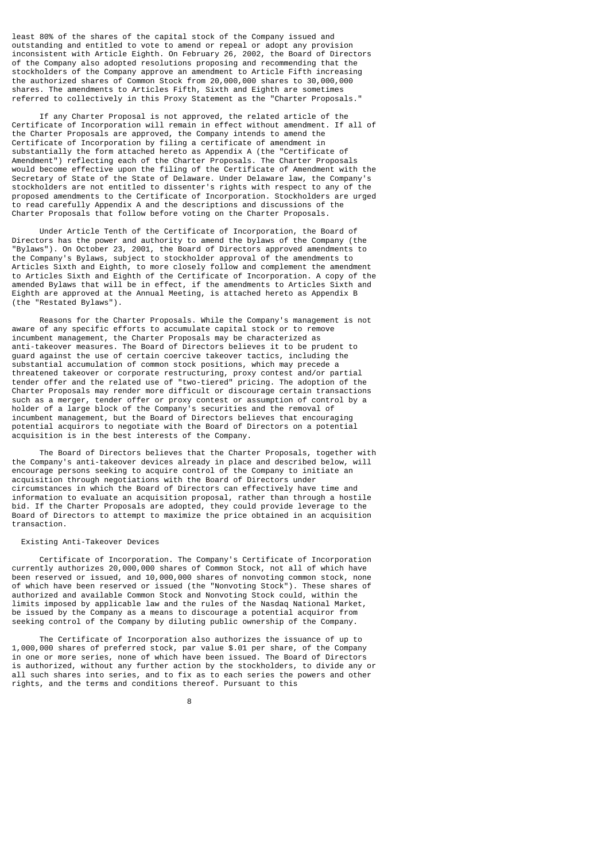least 80% of the shares of the capital stock of the Company issued and outstanding and entitled to vote to amend or repeal or adopt any provision inconsistent with Article Eighth. On February 26, 2002, the Board of Directors of the Company also adopted resolutions proposing and recommending that the stockholders of the Company approve an amendment to Article Fifth increasing the authorized shares of Common Stock from 20,000,000 shares to 30,000,000 shares. The amendments to Articles Fifth, Sixth and Eighth are sometimes referred to collectively in this Proxy Statement as the "Charter Proposals."

 If any Charter Proposal is not approved, the related article of the Certificate of Incorporation will remain in effect without amendment. If all of the Charter Proposals are approved, the Company intends to amend the Certificate of Incorporation by filing a certificate of amendment in substantially the form attached hereto as Appendix A (the "Certificate of Amendment") reflecting each of the Charter Proposals. The Charter Proposals would become effective upon the filing of the Certificate of Amendment with the Secretary of State of the State of Delaware. Under Delaware law, the Company's stockholders are not entitled to dissenter's rights with respect to any of the proposed amendments to the Certificate of Incorporation. Stockholders are urged to read carefully Appendix A and the descriptions and discussions of the Charter Proposals that follow before voting on the Charter Proposals.

 Under Article Tenth of the Certificate of Incorporation, the Board of Directors has the power and authority to amend the bylaws of the Company (the "Bylaws"). On October 23, 2001, the Board of Directors approved amendments to the Company's Bylaws, subject to stockholder approval of the amendments to Articles Sixth and Eighth, to more closely follow and complement the amendment to Articles Sixth and Eighth of the Certificate of Incorporation. A copy of the amended Bylaws that will be in effect, if the amendments to Articles Sixth and Eighth are approved at the Annual Meeting, is attached hereto as Appendix B (the "Restated Bylaws").

 Reasons for the Charter Proposals. While the Company's management is not aware of any specific efforts to accumulate capital stock or to remove incumbent management, the Charter Proposals may be characterized as anti-takeover measures. The Board of Directors believes it to be prudent to guard against the use of certain coercive takeover tactics, including the substantial accumulation of common stock positions, which may precede a threatened takeover or corporate restructuring, proxy contest and/or partial tender offer and the related use of "two-tiered" pricing. The adoption of the Charter Proposals may render more difficult or discourage certain transactions such as a merger, tender offer or proxy contest or assumption of control by a holder of a large block of the Company's securities and the removal of incumbent management, but the Board of Directors believes that encouraging potential acquirors to negotiate with the Board of Directors on a potential acquisition is in the best interests of the Company.

 The Board of Directors believes that the Charter Proposals, together with the Company's anti-takeover devices already in place and described below, will encourage persons seeking to acquire control of the Company to initiate an acquisition through negotiations with the Board of Directors under circumstances in which the Board of Directors can effectively have time and information to evaluate an acquisition proposal, rather than through a hostile bid. If the Charter Proposals are adopted, they could provide leverage to the Board of Directors to attempt to maximize the price obtained in an acquisition transaction.

# Existing Anti-Takeover Devices

 Certificate of Incorporation. The Company's Certificate of Incorporation currently authorizes 20,000,000 shares of Common Stock, not all of which have been reserved or issued, and 10,000,000 shares of nonvoting common stock, none of which have been reserved or issued (the "Nonvoting Stock"). These shares of authorized and available Common Stock and Nonvoting Stock could, within the limits imposed by applicable law and the rules of the Nasdaq National Market, be issued by the Company as a means to discourage a potential acquiror from seeking control of the Company by diluting public ownership of the Company.

 The Certificate of Incorporation also authorizes the issuance of up to 1,000,000 shares of preferred stock, par value \$.01 per share, of the Company in one or more series, none of which have been issued. The Board of Directors is authorized, without any further action by the stockholders, to divide any or all such shares into series, and to fix as to each series the powers and other rights, and the terms and conditions thereof. Pursuant to this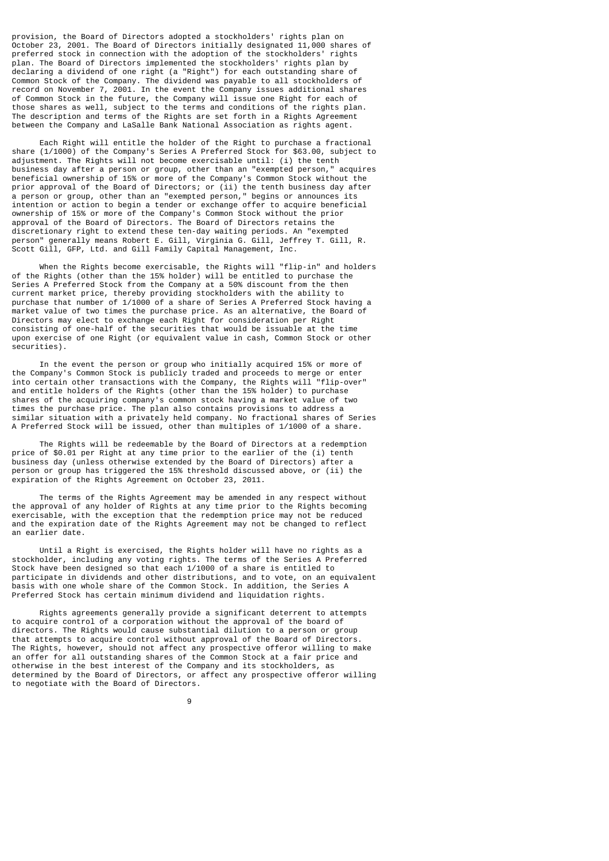provision, the Board of Directors adopted a stockholders' rights plan on October 23, 2001. The Board of Directors initially designated 11,000 shares of preferred stock in connection with the adoption of the stockholders' rights plan. The Board of Directors implemented the stockholders' rights plan by declaring a dividend of one right (a "Right") for each outstanding share of Common Stock of the Company. The dividend was payable to all stockholders of record on November 7, 2001. In the event the Company issues additional shares of Common Stock in the future, the Company will issue one Right for each of those shares as well, subject to the terms and conditions of the rights plan. The description and terms of the Rights are set forth in a Rights Agreement between the Company and LaSalle Bank National Association as rights agent.

 Each Right will entitle the holder of the Right to purchase a fractional share (1/1000) of the Company's Series A Preferred Stock for \$63.00, subject to adjustment. The Rights will not become exercisable until: (i) the tenth business day after a person or group, other than an "exempted person," acquires beneficial ownership of 15% or more of the Company's Common Stock without the prior approval of the Board of Directors; or (ii) the tenth business day after a person or group, other than an "exempted person," begins or announces its intention or action to begin a tender or exchange offer to acquire beneficial ownership of 15% or more of the Company's Common Stock without the prior approval of the Board of Directors. The Board of Directors retains the discretionary right to extend these ten-day waiting periods. An "exempted person" generally means Robert E. Gill, Virginia G. Gill, Jeffrey T. Gill, R. Scott Gill, GFP, Ltd. and Gill Family Capital Management, Inc.

 When the Rights become exercisable, the Rights will "flip-in" and holders of the Rights (other than the 15% holder) will be entitled to purchase the Series A Preferred Stock from the Company at a 50% discount from the then current market price, thereby providing stockholders with the ability to purchase that number of 1/1000 of a share of Series A Preferred Stock having a market value of two times the purchase price. As an alternative, the Board of Directors may elect to exchange each Right for consideration per Right consisting of one-half of the securities that would be issuable at the time upon exercise of one Right (or equivalent value in cash, Common Stock or other securities).

 In the event the person or group who initially acquired 15% or more of the Company's Common Stock is publicly traded and proceeds to merge or enter into certain other transactions with the Company, the Rights will "flip-over" and entitle holders of the Rights (other than the 15% holder) to purchase shares of the acquiring company's common stock having a market value of two times the purchase price. The plan also contains provisions to address a similar situation with a privately held company. No fractional shares of Series A Preferred Stock will be issued, other than multiples of 1/1000 of a share.

 The Rights will be redeemable by the Board of Directors at a redemption price of \$0.01 per Right at any time prior to the earlier of the (i) tenth business day (unless otherwise extended by the Board of Directors) after a person or group has triggered the 15% threshold discussed above, or (ii) the expiration of the Rights Agreement on October 23, 2011.

 The terms of the Rights Agreement may be amended in any respect without the approval of any holder of Rights at any time prior to the Rights becoming exercisable, with the exception that the redemption price may not be reduced and the expiration date of the Rights Agreement may not be changed to reflect an earlier date.

 Until a Right is exercised, the Rights holder will have no rights as a stockholder, including any voting rights. The terms of the Series A Preferred Stock have been designed so that each 1/1000 of a share is entitled to participate in dividends and other distributions, and to vote, on an equivalent basis with one whole share of the Common Stock. In addition, the Series A Preferred Stock has certain minimum dividend and liquidation rights.

 Rights agreements generally provide a significant deterrent to attempts to acquire control of a corporation without the approval of the board of directors. The Rights would cause substantial dilution to a person or group that attempts to acquire control without approval of the Board of Directors. The Rights, however, should not affect any prospective offeror willing to make an offer for all outstanding shares of the Common Stock at a fair price and otherwise in the best interest of the Company and its stockholders, as determined by the Board of Directors, or affect any prospective offeror willing to negotiate with the Board of Directors.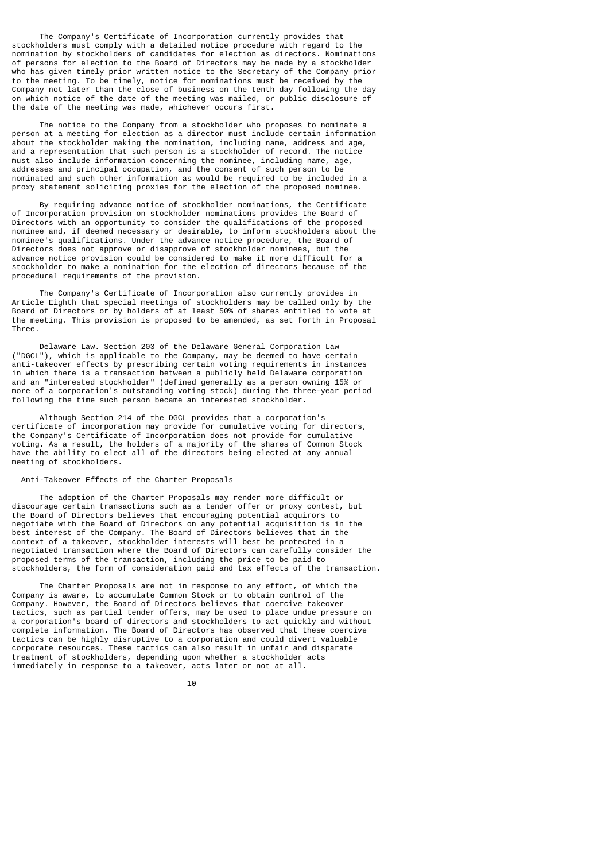The Company's Certificate of Incorporation currently provides that stockholders must comply with a detailed notice procedure with regard to the nomination by stockholders of candidates for election as directors. Nominations of persons for election to the Board of Directors may be made by a stockholder who has given timely prior written notice to the Secretary of the Company prior to the meeting. To be timely, notice for nominations must be received by the Company not later than the close of business on the tenth day following the day on which notice of the date of the meeting was mailed, or public disclosure of the date of the meeting was made, whichever occurs first.

 The notice to the Company from a stockholder who proposes to nominate a person at a meeting for election as a director must include certain information about the stockholder making the nomination, including name, address and age, and a representation that such person is a stockholder of record. The notice must also include information concerning the nominee, including name, age, addresses and principal occupation, and the consent of such person to be nominated and such other information as would be required to be included in a proxy statement soliciting proxies for the election of the proposed nominee.

 By requiring advance notice of stockholder nominations, the Certificate of Incorporation provision on stockholder nominations provides the Board of Directors with an opportunity to consider the qualifications of the proposed nominee and, if deemed necessary or desirable, to inform stockholders about the nominee's qualifications. Under the advance notice procedure, the Board of Directors does not approve or disapprove of stockholder nominees, but the advance notice provision could be considered to make it more difficult for a stockholder to make a nomination for the election of directors because of the procedural requirements of the provision.

 The Company's Certificate of Incorporation also currently provides in Article Eighth that special meetings of stockholders may be called only by the Board of Directors or by holders of at least 50% of shares entitled to vote at the meeting. This provision is proposed to be amended, as set forth in Proposal Three.

 Delaware Law. Section 203 of the Delaware General Corporation Law ("DGCL"), which is applicable to the Company, may be deemed to have certain anti-takeover effects by prescribing certain voting requirements in instances in which there is a transaction between a publicly held Delaware corporation and an "interested stockholder" (defined generally as a person owning 15% or more of a corporation's outstanding voting stock) during the three-year period following the time such person became an interested stockholder.

 Although Section 214 of the DGCL provides that a corporation's certificate of incorporation may provide for cumulative voting for directors, the Company's Certificate of Incorporation does not provide for cumulative voting. As a result, the holders of a majority of the shares of Common Stock have the ability to elect all of the directors being elected at any annual meeting of stockholders.

# Anti-Takeover Effects of the Charter Proposals

 The adoption of the Charter Proposals may render more difficult or discourage certain transactions such as a tender offer or proxy contest, but the Board of Directors believes that encouraging potential acquirors to negotiate with the Board of Directors on any potential acquisition is in the best interest of the Company. The Board of Directors believes that in the context of a takeover, stockholder interests will best be protected in a negotiated transaction where the Board of Directors can carefully consider the proposed terms of the transaction, including the price to be paid to stockholders, the form of consideration paid and tax effects of the transaction.

 The Charter Proposals are not in response to any effort, of which the Company is aware, to accumulate Common Stock or to obtain control of the Company. However, the Board of Directors believes that coercive takeover tactics, such as partial tender offers, may be used to place undue pressure on a corporation's board of directors and stockholders to act quickly and without complete information. The Board of Directors has observed that these coercive tactics can be highly disruptive to a corporation and could divert valuable corporate resources. These tactics can also result in unfair and disparate treatment of stockholders, depending upon whether a stockholder acts immediately in response to a takeover, acts later or not at all.

10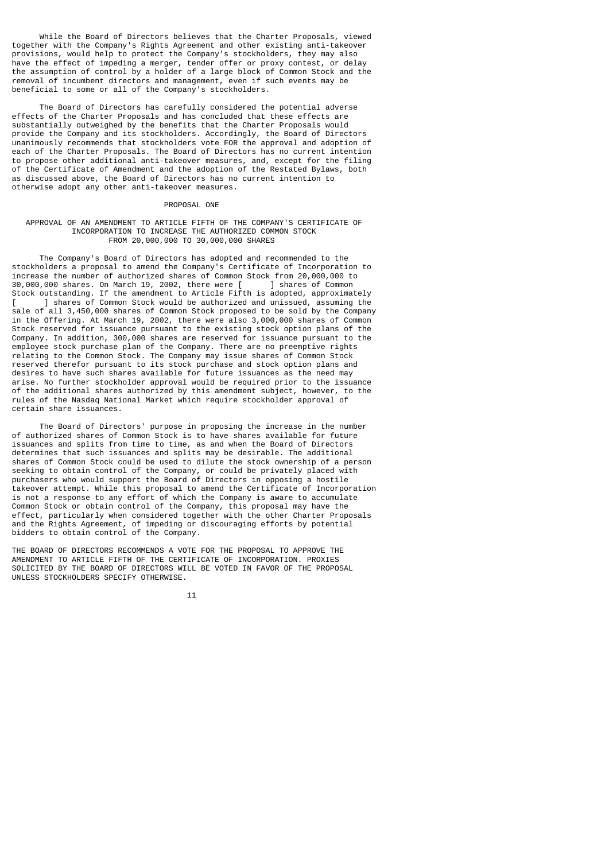While the Board of Directors believes that the Charter Proposals, viewed together with the Company's Rights Agreement and other existing anti-takeover provisions, would help to protect the Company's stockholders, they may also have the effect of impeding a merger, tender offer or proxy contest, or delay the assumption of control by a holder of a large block of Common Stock and the removal of incumbent directors and management, even if such events may be beneficial to some or all of the Company's stockholders.

 The Board of Directors has carefully considered the potential adverse effects of the Charter Proposals and has concluded that these effects are substantially outweighed by the benefits that the Charter Proposals would provide the Company and its stockholders. Accordingly, the Board of Directors unanimously recommends that stockholders vote FOR the approval and adoption of each of the Charter Proposals. The Board of Directors has no current intention to propose other additional anti-takeover measures, and, except for the filing of the Certificate of Amendment and the adoption of the Restated Bylaws, both as discussed above, the Board of Directors has no current intention to otherwise adopt any other anti-takeover measures.

### PROPOSAL ONE

### APPROVAL OF AN AMENDMENT TO ARTICLE FIFTH OF THE COMPANY'S CERTIFICATE OF INCORPORATION TO INCREASE THE AUTHORIZED COMMON STOCK FROM 20,000,000 TO 30,000,000 SHARES

 The Company's Board of Directors has adopted and recommended to the stockholders a proposal to amend the Company's Certificate of Incorporation to increase the number of authorized shares of Common Stock from 20,000,000 to 30,000,000 to 30,000,000 to 30,000,000 to 30,000,000 shares. On March 19, 2002, there were [ Stock outstanding. If the amendment to Article Fifth is adopted, approximately [ ] shares of Common Stock would be authorized and unissued, assuming the sale of all 3,450,000 shares of Common Stock proposed to be sold by the Company in the Offering. At March 19, 2002, there were also 3,000,000 shares of Common Stock reserved for issuance pursuant to the existing stock option plans of the Company. In addition, 300,000 shares are reserved for issuance pursuant to the employee stock purchase plan of the Company. There are no preemptive rights relating to the Common Stock. The Company may issue shares of Common Stock reserved therefor pursuant to its stock purchase and stock option plans and desires to have such shares available for future issuances as the need may arise. No further stockholder approval would be required prior to the issuance of the additional shares authorized by this amendment subject, however, to the rules of the Nasdaq National Market which require stockholder approval of certain share issuances.

 The Board of Directors' purpose in proposing the increase in the number of authorized shares of Common Stock is to have shares available for future issuances and splits from time to time, as and when the Board of Directors determines that such issuances and splits may be desirable. The additional shares of Common Stock could be used to dilute the stock ownership of a person seeking to obtain control of the Company, or could be privately placed with purchasers who would support the Board of Directors in opposing a hostile takeover attempt. While this proposal to amend the Certificate of Incorporation is not a response to any effort of which the Company is aware to accumulate Common Stock or obtain control of the Company, this proposal may have the effect, particularly when considered together with the other Charter Proposals and the Rights Agreement, of impeding or discouraging efforts by potential bidders to obtain control of the Company.

THE BOARD OF DIRECTORS RECOMMENDS A VOTE FOR THE PROPOSAL TO APPROVE THE AMENDMENT TO ARTICLE FIFTH OF THE CERTIFICATE OF INCORPORATION. PROXIES SOLICITED BY THE BOARD OF DIRECTORS WILL BE VOTED IN FAVOR OF THE PROPOSAL UNLESS STOCKHOLDERS SPECIFY OTHERWISE.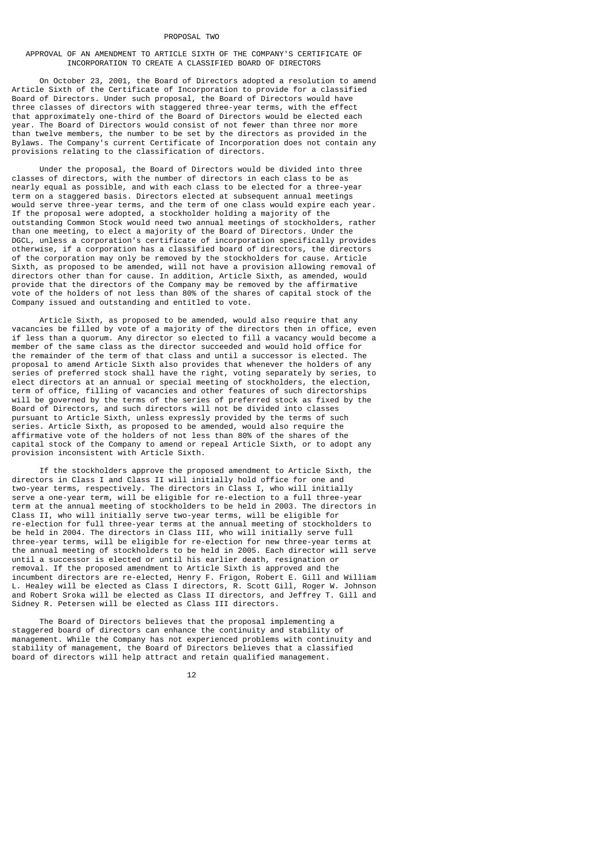#### PROPOSAL TWO

# APPROVAL OF AN AMENDMENT TO ARTICLE SIXTH OF THE COMPANY'S CERTIFICATE OF INCORPORATION TO CREATE A CLASSIFIED BOARD OF DIRECTORS

 On October 23, 2001, the Board of Directors adopted a resolution to amend Article Sixth of the Certificate of Incorporation to provide for a classified Board of Directors. Under such proposal, the Board of Directors would have three classes of directors with staggered three-year terms, with the effect that approximately one-third of the Board of Directors would be elected each year. The Board of Directors would consist of not fewer than three nor more than twelve members, the number to be set by the directors as provided in the Bylaws. The Company's current Certificate of Incorporation does not contain any provisions relating to the classification of directors.

 Under the proposal, the Board of Directors would be divided into three classes of directors, with the number of directors in each class to be as nearly equal as possible, and with each class to be elected for a three-year term on a staggered basis. Directors elected at subsequent annual meetings would serve three-year terms, and the term of one class would expire each year. If the proposal were adopted, a stockholder holding a majority of the outstanding Common Stock would need two annual meetings of stockholders, rather than one meeting, to elect a majority of the Board of Directors. Under the DGCL, unless a corporation's certificate of incorporation specifically provides otherwise, if a corporation has a classified board of directors, the directors of the corporation may only be removed by the stockholders for cause. Article Sixth, as proposed to be amended, will not have a provision allowing removal of directors other than for cause. In addition, Article Sixth, as amended, would provide that the directors of the Company may be removed by the affirmative vote of the holders of not less than 80% of the shares of capital stock of the Company issued and outstanding and entitled to vote.

 Article Sixth, as proposed to be amended, would also require that any vacancies be filled by vote of a majority of the directors then in office, even if less than a quorum. Any director so elected to fill a vacancy would become a member of the same class as the director succeeded and would hold office for the remainder of the term of that class and until a successor is elected. The proposal to amend Article Sixth also provides that whenever the holders of any series of preferred stock shall have the right, voting separately by series, to elect directors at an annual or special meeting of stockholders, the election, term of office, filling of vacancies and other features of such directorships will be governed by the terms of the series of preferred stock as fixed by the Board of Directors, and such directors will not be divided into classes pursuant to Article Sixth, unless expressly provided by the terms of such series. Article Sixth, as proposed to be amended, would also require the affirmative vote of the holders of not less than 80% of the shares of the capital stock of the Company to amend or repeal Article Sixth, or to adopt any provision inconsistent with Article Sixth.

 If the stockholders approve the proposed amendment to Article Sixth, the directors in Class I and Class II will initially hold office for one and two-year terms, respectively. The directors in Class I, who will initially serve a one-year term, will be eligible for re-election to a full three-year term at the annual meeting of stockholders to be held in 2003. The directors in Class II, who will initially serve two-year terms, will be eligible for re-election for full three-year terms at the annual meeting of stockholders to be held in 2004. The directors in Class III, who will initially serve full three-year terms, will be eligible for re-election for new three-year terms at the annual meeting of stockholders to be held in 2005. Each director will serve until a successor is elected or until his earlier death, resignation or removal. If the proposed amendment to Article Sixth is approved and the incumbent directors are re-elected, Henry F. Frigon, Robert E. Gill and William L. Healey will be elected as Class I directors, R. Scott Gill, Roger W. Johnson and Robert Sroka will be elected as Class II directors, and Jeffrey T. Gill and Sidney R. Petersen will be elected as Class III directors.

 The Board of Directors believes that the proposal implementing a staggered board of directors can enhance the continuity and stability of management. While the Company has not experienced problems with continuity and stability of management, the Board of Directors believes that a classified board of directors will help attract and retain qualified management.

 $12$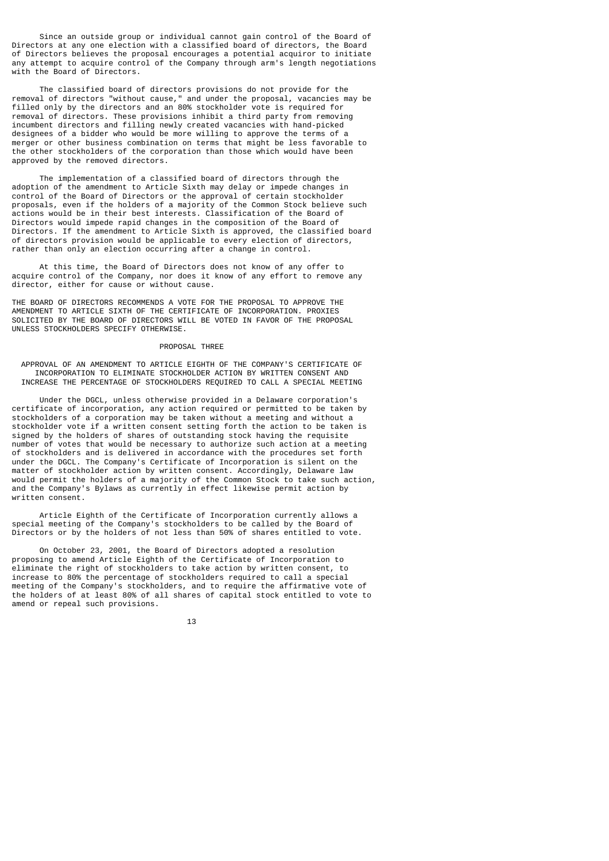Since an outside group or individual cannot gain control of the Board of Directors at any one election with a classified board of directors, the Board of Directors believes the proposal encourages a potential acquiror to initiate any attempt to acquire control of the Company through arm's length negotiations with the Board of Directors.

 The classified board of directors provisions do not provide for the removal of directors "without cause," and under the proposal, vacancies may be filled only by the directors and an 80% stockholder vote is required for removal of directors. These provisions inhibit a third party from removing incumbent directors and filling newly created vacancies with hand-picked designees of a bidder who would be more willing to approve the terms of a merger or other business combination on terms that might be less favorable to the other stockholders of the corporation than those which would have been approved by the removed directors.

 The implementation of a classified board of directors through the adoption of the amendment to Article Sixth may delay or impede changes in control of the Board of Directors or the approval of certain stockholder proposals, even if the holders of a majority of the Common Stock believe such actions would be in their best interests. Classification of the Board of Directors would impede rapid changes in the composition of the Board of Directors. If the amendment to Article Sixth is approved, the classified board of directors provision would be applicable to every election of directors, rather than only an election occurring after a change in control.

 At this time, the Board of Directors does not know of any offer to acquire control of the Company, nor does it know of any effort to remove any director, either for cause or without cause.

THE BOARD OF DIRECTORS RECOMMENDS A VOTE FOR THE PROPOSAL TO APPROVE THE AMENDMENT TO ARTICLE SIXTH OF THE CERTIFICATE OF INCORPORATION. PROXIES SOLICITED BY THE BOARD OF DIRECTORS WILL BE VOTED IN FAVOR OF THE PROPOSAL UNLESS STOCKHOLDERS SPECIFY OTHERWISE.

### PROPOSAL THREE

 APPROVAL OF AN AMENDMENT TO ARTICLE EIGHTH OF THE COMPANY'S CERTIFICATE OF INCORPORATION TO ELIMINATE STOCKHOLDER ACTION BY WRITTEN CONSENT AND INCREASE THE PERCENTAGE OF STOCKHOLDERS REQUIRED TO CALL A SPECIAL MEETING

 Under the DGCL, unless otherwise provided in a Delaware corporation's certificate of incorporation, any action required or permitted to be taken by stockholders of a corporation may be taken without a meeting and without a stockholder vote if a written consent setting forth the action to be taken is signed by the holders of shares of outstanding stock having the requisite number of votes that would be necessary to authorize such action at a meeting of stockholders and is delivered in accordance with the procedures set forth under the DGCL. The Company's Certificate of Incorporation is silent on the matter of stockholder action by written consent. Accordingly, Delaware law would permit the holders of a majority of the Common Stock to take such action, and the Company's Bylaws as currently in effect likewise permit action by written consent.

 Article Eighth of the Certificate of Incorporation currently allows a special meeting of the Company's stockholders to be called by the Board of Directors or by the holders of not less than 50% of shares entitled to vote.

 On October 23, 2001, the Board of Directors adopted a resolution proposing to amend Article Eighth of the Certificate of Incorporation to eliminate the right of stockholders to take action by written consent, to increase to 80% the percentage of stockholders required to call a special meeting of the Company's stockholders, and to require the affirmative vote of the holders of at least 80% of all shares of capital stock entitled to vote to amend or repeal such provisions.

#### 13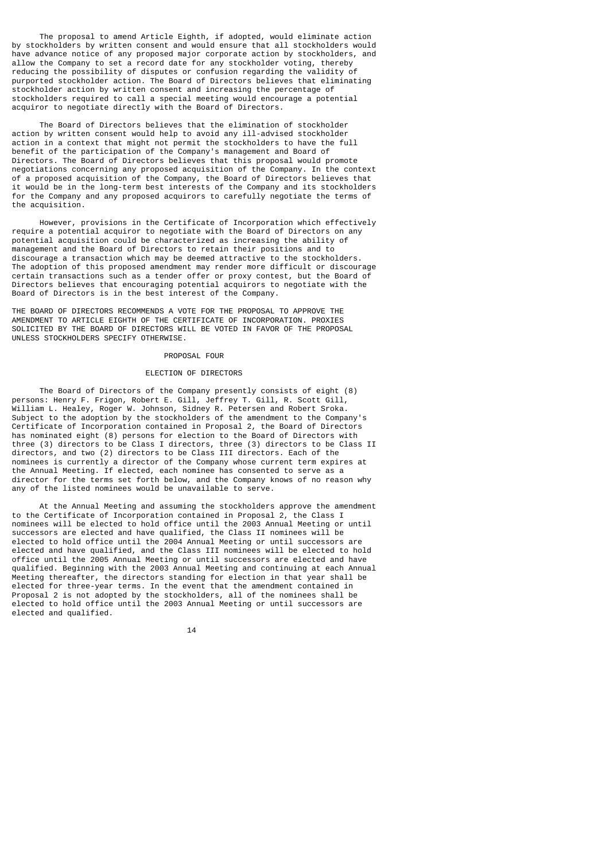The proposal to amend Article Eighth, if adopted, would eliminate action by stockholders by written consent and would ensure that all stockholders would have advance notice of any proposed major corporate action by stockholders, and allow the Company to set a record date for any stockholder voting, thereby reducing the possibility of disputes or confusion regarding the validity of purported stockholder action. The Board of Directors believes that eliminating stockholder action by written consent and increasing the percentage of stockholders required to call a special meeting would encourage a potential acquiror to negotiate directly with the Board of Directors.

 The Board of Directors believes that the elimination of stockholder action by written consent would help to avoid any ill-advised stockholder action in a context that might not permit the stockholders to have the full benefit of the participation of the Company's management and Board of Directors. The Board of Directors believes that this proposal would promote negotiations concerning any proposed acquisition of the Company. In the context of a proposed acquisition of the Company, the Board of Directors believes that it would be in the long-term best interests of the Company and its stockholders for the Company and any proposed acquirors to carefully negotiate the terms of the acquisition.

 However, provisions in the Certificate of Incorporation which effectively require a potential acquiror to negotiate with the Board of Directors on any potential acquisition could be characterized as increasing the ability of management and the Board of Directors to retain their positions and to discourage a transaction which may be deemed attractive to the stockholders. The adoption of this proposed amendment may render more difficult or discourage certain transactions such as a tender offer or proxy contest, but the Board of Directors believes that encouraging potential acquirors to negotiate with the Board of Directors is in the best interest of the Company.

THE BOARD OF DIRECTORS RECOMMENDS A VOTE FOR THE PROPOSAL TO APPROVE THE AMENDMENT TO ARTICLE EIGHTH OF THE CERTIFICATE OF INCORPORATION. PROXIES SOLICITED BY THE BOARD OF DIRECTORS WILL BE VOTED IN FAVOR OF THE PROPOSAL UNLESS STOCKHOLDERS SPECIFY OTHERWISE.

### PROPOSAL FOUR

# ELECTION OF DIRECTORS

 The Board of Directors of the Company presently consists of eight (8) persons: Henry F. Frigon, Robert E. Gill, Jeffrey T. Gill, R. Scott Gill, William L. Healey, Roger W. Johnson, Sidney R. Petersen and Robert Sroka. Subject to the adoption by the stockholders of the amendment to the Company's Certificate of Incorporation contained in Proposal 2, the Board of Directors has nominated eight (8) persons for election to the Board of Directors with three (3) directors to be Class I directors, three (3) directors to be Class II directors, and two (2) directors to be Class III directors. Each of the nominees is currently a director of the Company whose current term expires at the Annual Meeting. If elected, each nominee has consented to serve as a director for the terms set forth below, and the Company knows of no reason why any of the listed nominees would be unavailable to serve.

 At the Annual Meeting and assuming the stockholders approve the amendment to the Certificate of Incorporation contained in Proposal 2, the Class I nominees will be elected to hold office until the 2003 Annual Meeting or until successors are elected and have qualified, the Class II nominees will be elected to hold office until the 2004 Annual Meeting or until successors are elected and have qualified, and the Class III nominees will be elected to hold office until the 2005 Annual Meeting or until successors are elected and have qualified. Beginning with the 2003 Annual Meeting and continuing at each Annual Meeting thereafter, the directors standing for election in that year shall be elected for three-year terms. In the event that the amendment contained in Proposal 2 is not adopted by the stockholders, all of the nominees shall be elected to hold office until the 2003 Annual Meeting or until successors are elected and qualified.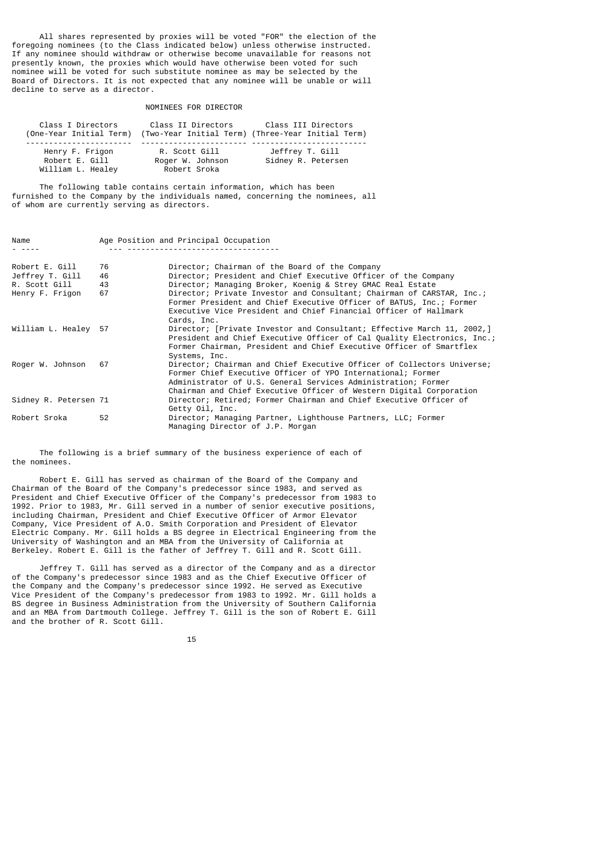All shares represented by proxies will be voted "FOR" the election of the foregoing nominees (to the Class indicated below) unless otherwise instructed. If any nominee should withdraw or otherwise become unavailable for reasons not presently known, the proxies which would have otherwise been voted for such nominee will be voted for such substitute nominee as may be selected by the Board of Directors. It is not expected that any nominee will be unable or will decline to serve as a director.

# NOMINEES FOR DIRECTOR

| Class I Directors | Class II Directors | Class III Directors                                                       |
|-------------------|--------------------|---------------------------------------------------------------------------|
|                   |                    | (One-Year Initial Term) (Two-Year Initial Term) (Three-Year Initial Term) |
|                   |                    |                                                                           |
| Henry F. Frigon   | R. Scott Gill      | Jeffrey T. Gill                                                           |
| Robert E. Gill    | Roger W. Johnson   | Sidney R. Petersen                                                        |
| William L. Healey | Robert Sroka       |                                                                           |

 The following table contains certain information, which has been furnished to the Company by the individuals named, concerning the nominees, all of whom are currently serving as directors.

| Name | Age Position and Principal Occupation |  |
|------|---------------------------------------|--|
|      |                                       |  |

| Robert E. Gill<br>Jeffrey T. Gill<br>R. Scott Gill<br>Henry F. Frigon | 76<br>46<br>43<br>67 | Director; Chairman of the Board of the Company<br>Director; President and Chief Executive Officer of the Company<br>Director; Managing Broker, Koenig & Strey GMAC Real Estate<br>Director; Private Investor and Consultant; Chairman of CARSTAR, Inc.;<br>Former President and Chief Executive Officer of BATUS, Inc.; Former<br>Executive Vice President and Chief Financial Officer of Hallmark<br>Cards, Inc. |
|-----------------------------------------------------------------------|----------------------|-------------------------------------------------------------------------------------------------------------------------------------------------------------------------------------------------------------------------------------------------------------------------------------------------------------------------------------------------------------------------------------------------------------------|
| William L. Healey 57                                                  |                      | Director; [Private Investor and Consultant; Effective March 11, 2002,]<br>President and Chief Executive Officer of Cal Quality Electronics, Inc.;<br>Former Chairman, President and Chief Executive Officer of Smartflex<br>Systems, Inc.                                                                                                                                                                         |
| Roger W. Johnson 67                                                   |                      | Director; Chairman and Chief Executive Officer of Collectors Universe;<br>Former Chief Executive Officer of YPO International; Former<br>Administrator of U.S. General Services Administration; Former<br>Chairman and Chief Executive Officer of Western Digital Corporation                                                                                                                                     |
| Sidney R. Petersen 71                                                 |                      | Director; Retired; Former Chairman and Chief Executive Officer of<br>Getty Oil, Inc.                                                                                                                                                                                                                                                                                                                              |
| Robert Sroka                                                          | 52                   | Director; Managing Partner, Lighthouse Partners, LLC; Former<br>Managing Director of J.P. Morgan                                                                                                                                                                                                                                                                                                                  |

 The following is a brief summary of the business experience of each of the nominees.

 Robert E. Gill has served as chairman of the Board of the Company and Chairman of the Board of the Company's predecessor since 1983, and served as President and Chief Executive Officer of the Company's predecessor from 1983 to 1992. Prior to 1983, Mr. Gill served in a number of senior executive positions, including Chairman, President and Chief Executive Officer of Armor Elevator Company, Vice President of A.O. Smith Corporation and President of Elevator Electric Company. Mr. Gill holds a BS degree in Electrical Engineering from the University of Washington and an MBA from the University of California at Berkeley. Robert E. Gill is the father of Jeffrey T. Gill and R. Scott Gill.

 Jeffrey T. Gill has served as a director of the Company and as a director of the Company's predecessor since 1983 and as the Chief Executive Officer of the Company and the Company's predecessor since 1992. He served as Executive Vice President of the Company's predecessor from 1983 to 1992. Mr. Gill holds a BS degree in Business Administration from the University of Southern California and an MBA from Dartmouth College. Jeffrey T. Gill is the son of Robert E. Gill and the brother of R. Scott Gill.

 $15$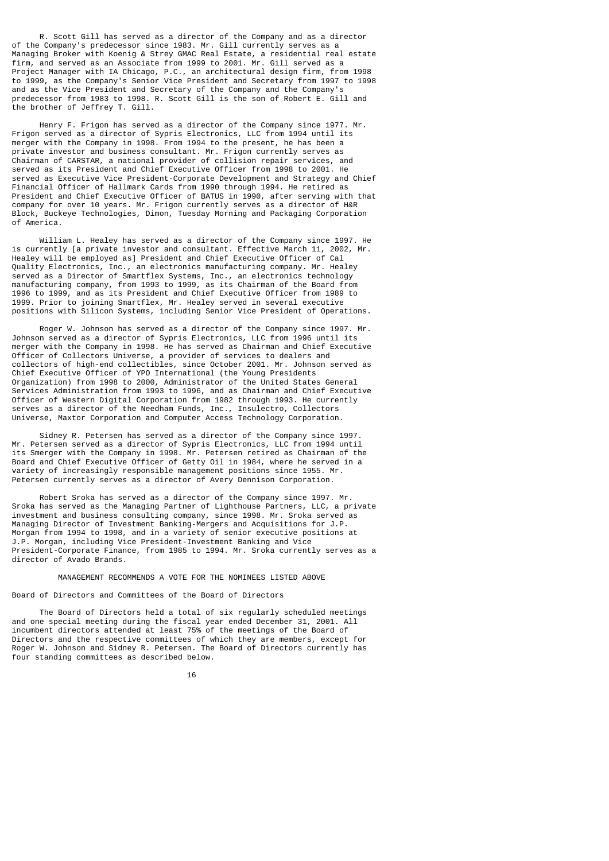R. Scott Gill has served as a director of the Company and as a director of the Company's predecessor since 1983. Mr. Gill currently serves as a Managing Broker with Koenig & Strey GMAC Real Estate, a residential real estate firm, and served as an Associate from 1999 to 2001. Mr. Gill served as a Project Manager with IA Chicago, P.C., an architectural design firm, from 1998 to 1999, as the Company's Senior Vice President and Secretary from 1997 to 1998 and as the Vice President and Secretary of the Company and the Company's predecessor from 1983 to 1998. R. Scott Gill is the son of Robert E. Gill and the brother of Jeffrey T. Gill.

 Henry F. Frigon has served as a director of the Company since 1977. Mr. Frigon served as a director of Sypris Electronics, LLC from 1994 until its merger with the Company in 1998. From 1994 to the present, he has been a private investor and business consultant. Mr. Frigon currently serves as Chairman of CARSTAR, a national provider of collision repair services, and served as its President and Chief Executive Officer from 1998 to 2001. He served as Executive Vice President-Corporate Development and Strategy and Chief Financial Officer of Hallmark Cards from 1990 through 1994. He retired as President and Chief Executive Officer of BATUS in 1990, after serving with that company for over 10 years. Mr. Frigon currently serves as a director of H&R Block, Buckeye Technologies, Dimon, Tuesday Morning and Packaging Corporation of America.

 William L. Healey has served as a director of the Company since 1997. He is currently [a private investor and consultant. Effective March 11, 2002, Mr. Healey will be employed as] President and Chief Executive Officer of Cal Quality Electronics, Inc., an electronics manufacturing company. Mr. Healey served as a Director of Smartflex Systems, Inc., an electronics technology manufacturing company, from 1993 to 1999, as its Chairman of the Board from 1996 to 1999, and as its President and Chief Executive Officer from 1989 to 1999. Prior to joining Smartflex, Mr. Healey served in several executive positions with Silicon Systems, including Senior Vice President of Operations.

 Roger W. Johnson has served as a director of the Company since 1997. Mr. Johnson served as a director of Sypris Electronics, LLC from 1996 until its merger with the Company in 1998. He has served as Chairman and Chief Executive Officer of Collectors Universe, a provider of services to dealers and collectors of high-end collectibles, since October 2001. Mr. Johnson served as Chief Executive Officer of YPO International (the Young Presidents Organization) from 1998 to 2000, Administrator of the United States General Services Administration from 1993 to 1996, and as Chairman and Chief Executive Officer of Western Digital Corporation from 1982 through 1993. He currently serves as a director of the Needham Funds, Inc., Insulectro, Collectors Universe, Maxtor Corporation and Computer Access Technology Corporation.

 Sidney R. Petersen has served as a director of the Company since 1997. Mr. Petersen served as a director of Sypris Electronics, LLC from 1994 until its Smerger with the Company in 1998. Mr. Petersen retired as Chairman of the Board and Chief Executive Officer of Getty Oil in 1984, where he served in a variety of increasingly responsible management positions since 1955. Mr. Petersen currently serves as a director of Avery Dennison Corporation.

 Robert Sroka has served as a director of the Company since 1997. Mr. Sroka has served as the Managing Partner of Lighthouse Partners, LLC, a private investment and business consulting company, since 1998. Mr. Sroka served as Managing Director of Investment Banking-Mergers and Acquisitions for J.P. Morgan from 1994 to 1998, and in a variety of senior executive positions at J.P. Morgan, including Vice President-Investment Banking and Vice President-Corporate Finance, from 1985 to 1994. Mr. Sroka currently serves as a director of Avado Brands.

MANAGEMENT RECOMMENDS A VOTE FOR THE NOMINEES LISTED ABOVE

Board of Directors and Committees of the Board of Directors

 The Board of Directors held a total of six regularly scheduled meetings and one special meeting during the fiscal year ended December 31, 2001. All incumbent directors attended at least 75% of the meetings of the Board of Directors and the respective committees of which they are members, except for Roger W. Johnson and Sidney R. Petersen. The Board of Directors currently has four standing committees as described below.

 $16$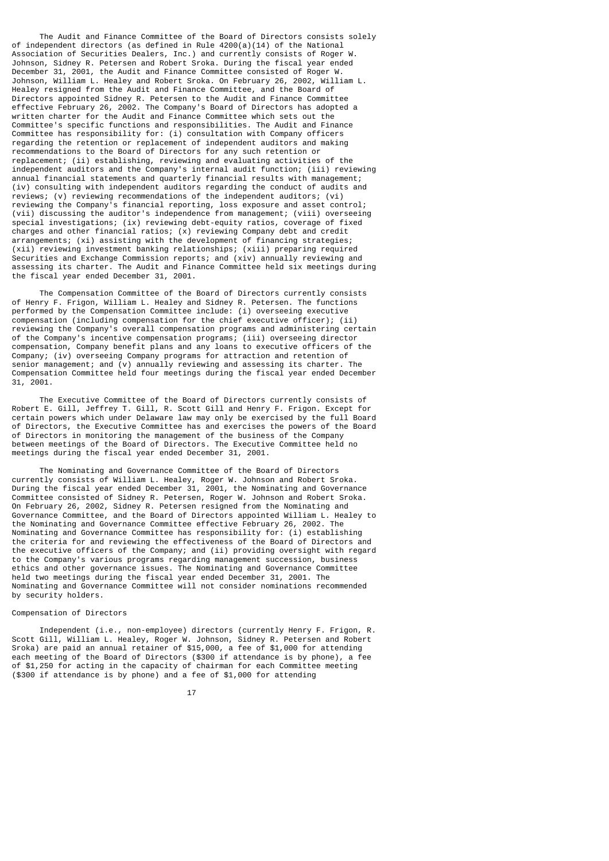The Audit and Finance Committee of the Board of Directors consists solely of independent directors (as defined in Rule 4200(a)(14) of the National Association of Securities Dealers, Inc.) and currently consists of Roger W. Johnson, Sidney R. Petersen and Robert Sroka. During the fiscal year ended December 31, 2001, the Audit and Finance Committee consisted of Roger W. Johnson, William L. Healey and Robert Sroka. On February 26, 2002, William L. Healey resigned from the Audit and Finance Committee, and the Board of Directors appointed Sidney R. Petersen to the Audit and Finance Committee effective February 26, 2002. The Company's Board of Directors has adopted a written charter for the Audit and Finance Committee which sets out the Committee's specific functions and responsibilities. The Audit and Finance Committee has responsibility for: (i) consultation with Company officers regarding the retention or replacement of independent auditors and making recommendations to the Board of Directors for any such retention or replacement; (ii) establishing, reviewing and evaluating activities of the independent auditors and the Company's internal audit function; (iii) reviewing annual financial statements and quarterly financial results with management; (iv) consulting with independent auditors regarding the conduct of audits and reviews; (v) reviewing recommendations of the independent auditors; (vi) reviewing the Company's financial reporting, loss exposure and asset control; (vii) discussing the auditor's independence from management; (viii) overseeing special investigations; (ix) reviewing debt-equity ratios, coverage of fixed charges and other financial ratios;  $(x)$  reviewing Company debt and credit arrangements; (xi) assisting with the development of financing strategies; (xii) reviewing investment banking relationships; (xiii) preparing required Securities and Exchange Commission reports; and (xiv) annually reviewing and assessing its charter. The Audit and Finance Committee held six meetings during the fiscal year ended December 31, 2001.

 The Compensation Committee of the Board of Directors currently consists of Henry F. Frigon, William L. Healey and Sidney R. Petersen. The functions performed by the Compensation Committee include: (i) overseeing executive compensation (including compensation for the chief executive officer); (ii) reviewing the Company's overall compensation programs and administering certain of the Company's incentive compensation programs; (iii) overseeing director compensation, Company benefit plans and any loans to executive officers of the Company; (iv) overseeing Company programs for attraction and retention of senior management; and (v) annually reviewing and assessing its charter. The Compensation Committee held four meetings during the fiscal year ended December 31, 2001.

 The Executive Committee of the Board of Directors currently consists of Robert E. Gill, Jeffrey T. Gill, R. Scott Gill and Henry F. Frigon. Except for certain powers which under Delaware law may only be exercised by the full Board of Directors, the Executive Committee has and exercises the powers of the Board of Directors in monitoring the management of the business of the Company between meetings of the Board of Directors. The Executive Committee held no meetings during the fiscal year ended December 31, 2001.

 The Nominating and Governance Committee of the Board of Directors currently consists of William L. Healey, Roger W. Johnson and Robert Sroka. During the fiscal year ended December 31, 2001, the Nominating and Governance Committee consisted of Sidney R. Petersen, Roger W. Johnson and Robert Sroka. On February 26, 2002, Sidney R. Petersen resigned from the Nominating and Governance Committee, and the Board of Directors appointed William L. Healey to the Nominating and Governance Committee effective February 26, 2002. The Nominating and Governance Committee has responsibility for: (i) establishing the criteria for and reviewing the effectiveness of the Board of Directors and the executive officers of the Company; and (ii) providing oversight with regard to the Company's various programs regarding management succession, business ethics and other governance issues. The Nominating and Governance Committee held two meetings during the fiscal year ended December 31, 2001. The Nominating and Governance Committee will not consider nominations recommended by security holders.

# Compensation of Directors

 Independent (i.e., non-employee) directors (currently Henry F. Frigon, R. Scott Gill, William L. Healey, Roger W. Johnson, Sidney R. Petersen and Robert Sroka) are paid an annual retainer of \$15,000, a fee of \$1,000 for attending each meeting of the Board of Directors (\$300 if attendance is by phone), a fee of \$1,250 for acting in the capacity of chairman for each Committee meeting (\$300 if attendance is by phone) and a fee of \$1,000 for attending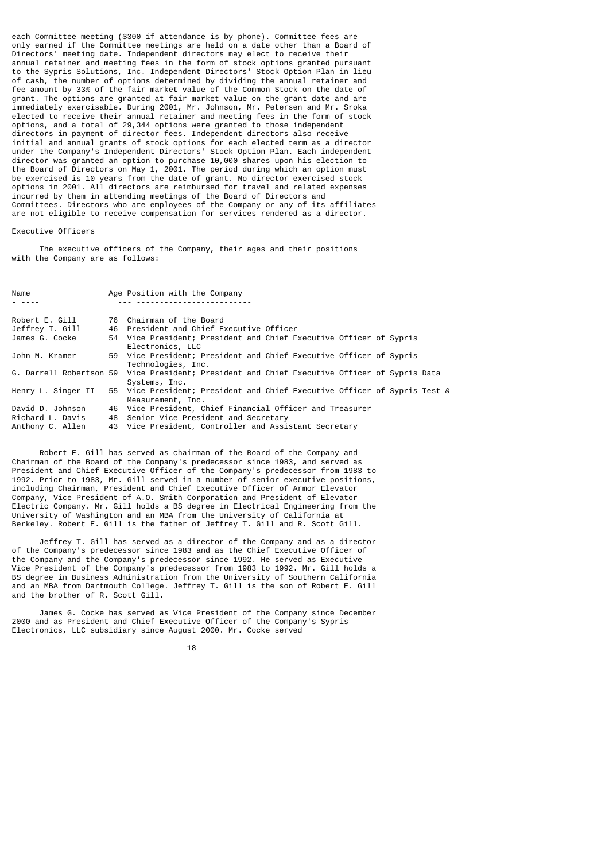each Committee meeting (\$300 if attendance is by phone). Committee fees are only earned if the Committee meetings are held on a date other than a Board of Directors' meeting date. Independent directors may elect to receive their annual retainer and meeting fees in the form of stock options granted pursuant to the Sypris Solutions, Inc. Independent Directors' Stock Option Plan in lieu of cash, the number of options determined by dividing the annual retainer and fee amount by 33% of the fair market value of the Common Stock on the date of grant. The options are granted at fair market value on the grant date and are immediately exercisable. During 2001, Mr. Johnson, Mr. Petersen and Mr. Sroka elected to receive their annual retainer and meeting fees in the form of stock options, and a total of 29,344 options were granted to those independent directors in payment of director fees. Independent directors also receive initial and annual grants of stock options for each elected term as a director under the Company's Independent Directors' Stock Option Plan. Each independent director was granted an option to purchase 10,000 shares upon his election to the Board of Directors on May 1, 2001. The period during which an option must be exercised is 10 years from the date of grant. No director exercised stock options in 2001. All directors are reimbursed for travel and related expenses incurred by them in attending meetings of the Board of Directors and Committees. Directors who are employees of the Company or any of its affiliates are not eligible to receive compensation for services rendered as a director.

### Executive Officers

 The executive officers of the Company, their ages and their positions with the Company are as follows:

| Name               | Age Position with the Company                                                                                 |
|--------------------|---------------------------------------------------------------------------------------------------------------|
|                    |                                                                                                               |
| Robert E. Gill     | 76 Chairman of the Board                                                                                      |
| Jeffrey T. Gill    | 46 President and Chief Executive Officer                                                                      |
| James G. Cocke     | 54 Vice President; President and Chief Executive Officer of Sypris<br>Electronics, LLC                        |
| John M. Kramer     | 59 Vice President; President and Chief Executive Officer of Sypris<br>Technologies, Inc.                      |
|                    | G. Darrell Robertson 59 Vice President; President and Chief Executive Officer of Sypris Data<br>Systems, Inc. |
| Henry L. Singer II | 55 Vice President; President and Chief Executive Officer of Sypris Test &<br>Measurement, Inc.                |
| David D. Johnson   | 46 Vice President, Chief Financial Officer and Treasurer                                                      |
| Richard L. Davis   | 48 Senior Vice President and Secretary                                                                        |
| Anthony C. Allen   | 43 Vice President, Controller and Assistant Secretary                                                         |

 Robert E. Gill has served as chairman of the Board of the Company and Chairman of the Board of the Company's predecessor since 1983, and served as President and Chief Executive Officer of the Company's predecessor from 1983 to 1992. Prior to 1983, Mr. Gill served in a number of senior executive positions, including Chairman, President and Chief Executive Officer of Armor Elevator Company, Vice President of A.O. Smith Corporation and President of Elevator Electric Company. Mr. Gill holds a BS degree in Electrical Engineering from the University of Washington and an MBA from the University of California at Berkeley. Robert E. Gill is the father of Jeffrey T. Gill and R. Scott Gill.

 Jeffrey T. Gill has served as a director of the Company and as a director of the Company's predecessor since 1983 and as the Chief Executive Officer of the Company and the Company's predecessor since 1992. He served as Executive Vice President of the Company's predecessor from 1983 to 1992. Mr. Gill holds a BS degree in Business Administration from the University of Southern California and an MBA from Dartmouth College. Jeffrey T. Gill is the son of Robert E. Gill and the brother of R. Scott Gill.

 James G. Cocke has served as Vice President of the Company since December 2000 and as President and Chief Executive Officer of the Company's Sypris Electronics, LLC subsidiary since August 2000. Mr. Cocke served

 $18$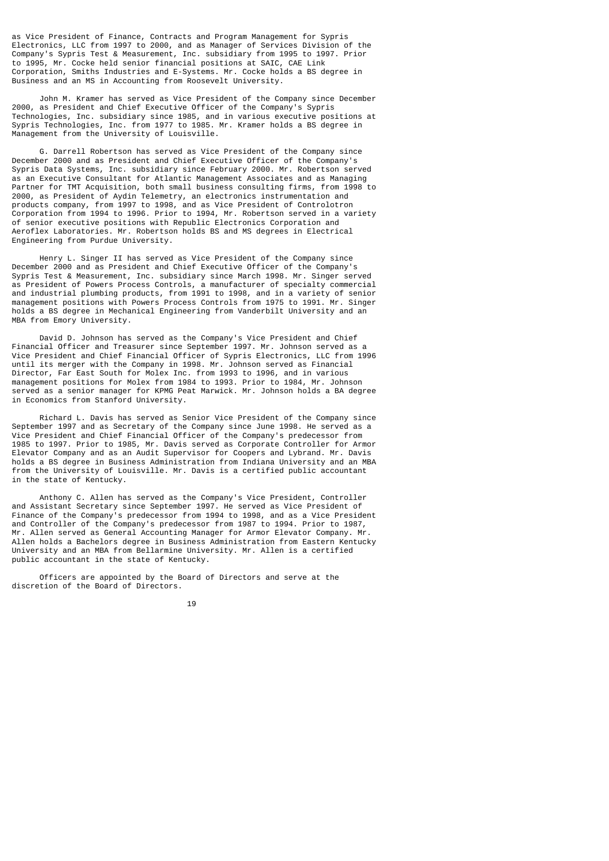as Vice President of Finance, Contracts and Program Management for Sypris Electronics, LLC from 1997 to 2000, and as Manager of Services Division of the Company's Sypris Test & Measurement, Inc. subsidiary from 1995 to 1997. Prior to 1995, Mr. Cocke held senior financial positions at SAIC, CAE Link Corporation, Smiths Industries and E-Systems. Mr. Cocke holds a BS degree in Business and an MS in Accounting from Roosevelt University.

 John M. Kramer has served as Vice President of the Company since December 2000, as President and Chief Executive Officer of the Company's Sypris Technologies, Inc. subsidiary since 1985, and in various executive positions at Sypris Technologies, Inc. from 1977 to 1985. Mr. Kramer holds a BS degree in Management from the University of Louisville.

 G. Darrell Robertson has served as Vice President of the Company since December 2000 and as President and Chief Executive Officer of the Company's Sypris Data Systems, Inc. subsidiary since February 2000. Mr. Robertson served as an Executive Consultant for Atlantic Management Associates and as Managing Partner for TMT Acquisition, both small business consulting firms, from 1998 to 2000, as President of Aydin Telemetry, an electronics instrumentation and products company, from 1997 to 1998, and as Vice President of Controlotron Corporation from 1994 to 1996. Prior to 1994, Mr. Robertson served in a variety of senior executive positions with Republic Electronics Corporation and Aeroflex Laboratories. Mr. Robertson holds BS and MS degrees in Electrical Engineering from Purdue University.

 Henry L. Singer II has served as Vice President of the Company since December 2000 and as President and Chief Executive Officer of the Company's Sypris Test & Measurement, Inc. subsidiary since March 1998. Mr. Singer served as President of Powers Process Controls, a manufacturer of specialty commercial and industrial plumbing products, from 1991 to 1998, and in a variety of senior management positions with Powers Process Controls from 1975 to 1991. Mr. Singer holds a BS degree in Mechanical Engineering from Vanderbilt University and an MBA from Emory University.

 David D. Johnson has served as the Company's Vice President and Chief Financial Officer and Treasurer since September 1997. Mr. Johnson served as a Vice President and Chief Financial Officer of Sypris Electronics, LLC from 1996 until its merger with the Company in 1998. Mr. Johnson served as Financial Director, Far East South for Molex Inc. from 1993 to 1996, and in various management positions for Molex from 1984 to 1993. Prior to 1984, Mr. Johnson served as a senior manager for KPMG Peat Marwick. Mr. Johnson holds a BA degree in Economics from Stanford University.

 Richard L. Davis has served as Senior Vice President of the Company since September 1997 and as Secretary of the Company since June 1998. He served as a Vice President and Chief Financial Officer of the Company's predecessor from 1985 to 1997. Prior to 1985, Mr. Davis served as Corporate Controller for Armor Elevator Company and as an Audit Supervisor for Coopers and Lybrand. Mr. Davis holds a BS degree in Business Administration from Indiana University and an MBA from the University of Louisville. Mr. Davis is a certified public accountant in the state of Kentucky.

 Anthony C. Allen has served as the Company's Vice President, Controller and Assistant Secretary since September 1997. He served as Vice President of Finance of the Company's predecessor from 1994 to 1998, and as a Vice President and Controller of the Company's predecessor from 1987 to 1994. Prior to 1987, Mr. Allen served as General Accounting Manager for Armor Elevator Company. Mr. Allen holds a Bachelors degree in Business Administration from Eastern Kentucky University and an MBA from Bellarmine University. Mr. Allen is a certified public accountant in the state of Kentucky.

 Officers are appointed by the Board of Directors and serve at the discretion of the Board of Directors.

19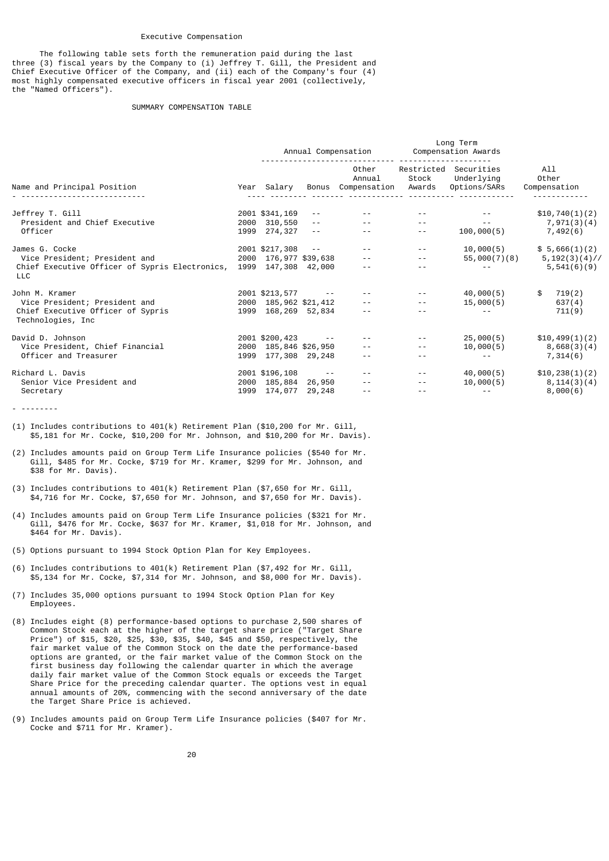### Executive Compensation

 The following table sets forth the remuneration paid during the last three (3) fiscal years by the Company to (i) Jeffrey T. Gill, the President and Chief Executive Officer of the Company, and (ii) each of the Company's four (4) most highly compensated executive officers in fiscal year 2001 (collectively, the "Named Officers").

# SUMMARY COMPENSATION TABLE

| Name and Principal Position                            |  | Annual Compensation   |        |                                       | Long Term<br>Compensation Awards |                                                     |                               |
|--------------------------------------------------------|--|-----------------------|--------|---------------------------------------|----------------------------------|-----------------------------------------------------|-------------------------------|
|                                                        |  | Year Salary           |        | Other<br>Annual<br>Bonus Compensation | Stock<br>Awards                  | Restricted Securities<br>Underlying<br>Options/SARs | All<br>Other<br>Compensation  |
| Jeffrey T. Gill                                        |  | 2001 \$341,169        | $ -$   |                                       |                                  |                                                     | \$10,740(1)(2)                |
| President and Chief Executive                          |  | 2000 310,550          | $- -$  | <b>Service</b> Contractor             | $- -$                            | $- -$                                               | 7,971(3)(4)                   |
| Officer                                                |  | 1999 274,327          | $  \,$ | $- -$                                 | $- -$                            | 100,000(5)                                          | 7,492(6)                      |
| James G. Cocke                                         |  | 2001 \$217,308 --     |        | $- -$                                 | $- -$                            | 10,000(5)                                           | \$5,666(1)(2)                 |
| Vice President; President and                          |  | 2000 176,977 \$39,638 |        | <b>Service</b>                        | $- -$                            |                                                     | $55,000(7)(8)$ $5,192(3)(4)/$ |
| Chief Executive Officer of Sypris Electronics,<br>LLC. |  | 1999 147,308 42,000   |        | $- -$                                 | $- -$                            | $\sim$ $\sim$ $ \sim$                               | 5,541(6)(9)                   |
| John M. Kramer                                         |  |                       |        | $2001$ \$213,577 -- --                |                                  | 40,000(5)                                           | \$719(2)                      |
| Vice President; President and                          |  | 2000 185,962 \$21,412 |        | $\sim 10^{-10}$ and $\sim 10^{-10}$   | $ -$                             | 15,000(5)                                           | 637(4)                        |
| Chief Executive Officer of Sypris<br>Technologies, Inc |  | 1999 168, 269 52, 834 |        | $- -$                                 | $- -$                            | $ -$                                                | 711(9)                        |
| David D. Johnson                                       |  | 2001 \$200,423 --     |        | $\sim$ $\sim$ $\sim$                  |                                  | 25,000(5)                                           | \$10,499(1)(2)                |
| Vice President, Chief Financial                        |  | 2000 185,846 \$26,950 |        | <b>Service</b>                        | $\sim$ $-$                       | 10,000(5)                                           | 8,668(3)(4)                   |
| Officer and Treasurer                                  |  | 1999 177,308 29,248   |        | $\sim$ $-$                            | $- -$                            |                                                     | 7,314(6)                      |
| Richard L. Davis                                       |  |                       |        | $2001$ \$196,108 -- --                | $- -$                            | 40,000(5)                                           | \$10, 238(1)(2)               |
| Senior Vice President and                              |  | 2000 185,884 26,950   |        | $\sim$ $-$                            | $- -$                            | 10,000(5)                                           | 8,114(3)(4)                   |
| Secretary                                              |  | 1999 174,077 29,248   |        | $- -$                                 | $- -$                            | $\sim$ $\sim$ $ \sim$                               | 8,000(6)                      |

<sup>- --------</sup>

- (1) Includes contributions to 401(k) Retirement Plan (\$10,200 for Mr. Gill, \$5,181 for Mr. Cocke, \$10,200 for Mr. Johnson, and \$10,200 for Mr. Davis).
- (2) Includes amounts paid on Group Term Life Insurance policies (\$540 for Mr. Gill, \$485 for Mr. Cocke, \$719 for Mr. Kramer, \$299 for Mr. Johnson, and \$38 for Mr. Davis).
- (3) Includes contributions to 401(k) Retirement Plan (\$7,650 for Mr. Gill, \$4,716 for Mr. Cocke, \$7,650 for Mr. Johnson, and \$7,650 for Mr. Davis).
- (4) Includes amounts paid on Group Term Life Insurance policies (\$321 for Mr. Gill, \$476 for Mr. Cocke, \$637 for Mr. Kramer, \$1,018 for Mr. Johnson, and \$464 for Mr. Davis).
- (5) Options pursuant to 1994 Stock Option Plan for Key Employees.
- (6) Includes contributions to 401(k) Retirement Plan (\$7,492 for Mr. Gill, \$5,134 for Mr. Cocke, \$7,314 for Mr. Johnson, and \$8,000 for Mr. Davis).
- (7) Includes 35,000 options pursuant to 1994 Stock Option Plan for Key Employees.
- (8) Includes eight (8) performance-based options to purchase 2,500 shares of Common Stock each at the higher of the target share price ("Target Share Price") of \$15, \$20, \$25, \$30, \$35, \$40, \$45 and \$50, respectively, the fair market value of the Common Stock on the date the performance-based options are granted, or the fair market value of the Common Stock on the first business day following the calendar quarter in which the average daily fair market value of the Common Stock equals or exceeds the Target Share Price for the preceding calendar quarter. The options vest in equal annual amounts of 20%, commencing with the second anniversary of the date the Target Share Price is achieved.
- (9) Includes amounts paid on Group Term Life Insurance policies (\$407 for Mr. Cocke and \$711 for Mr. Kramer).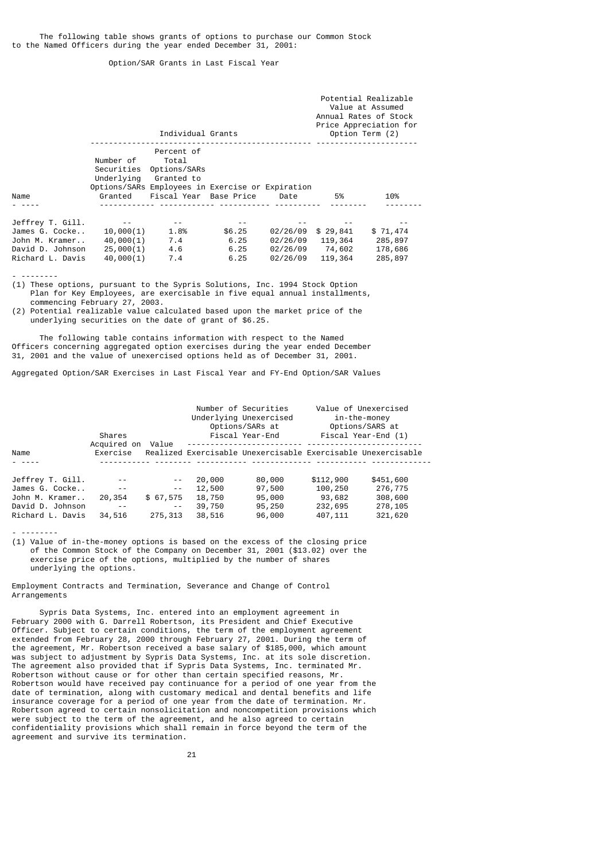# Option/SAR Grants in Last Fiscal Year

|                  |                         | Individual Grants                                                                                                                                  |        |          |          | Potential Realizable<br>Value at Assumed<br>Annual Rates of Stock<br>Price Appreciation for<br>Option Term (2) |
|------------------|-------------------------|----------------------------------------------------------------------------------------------------------------------------------------------------|--------|----------|----------|----------------------------------------------------------------------------------------------------------------|
| Name             | Number of<br>Securities | Percent of<br>Total<br>Options/SARs<br>Underlying Granted to<br>Options/SARs Employees in Exercise or Expiration<br>Granted Fiscal Year Base Price |        | Date     | 5%       | 10%                                                                                                            |
|                  |                         |                                                                                                                                                    |        |          |          |                                                                                                                |
| Jeffrey T. Gill. |                         |                                                                                                                                                    |        |          |          |                                                                                                                |
| James G. Cocke   | 10,000(1)               | 1.8%                                                                                                                                               | \$6.25 | 02/26/09 | \$29,841 | \$71,474                                                                                                       |
| John M. Kramer   | 40,000(1)               | 7.4                                                                                                                                                | 6.25   | 02/26/09 | 119,364  | 285,897                                                                                                        |
| David D. Johnson | 25,000(1)               | 4.6                                                                                                                                                | 6.25   | 02/26/09 | 74,602   | 178,686                                                                                                        |
| Richard L. Davis | 40,000(1)               | 7.4                                                                                                                                                | 6.25   | 02/26/09 | 119,364  | 285,897                                                                                                        |

- --------

(1) These options, pursuant to the Sypris Solutions, Inc. 1994 Stock Option Plan for Key Employees, are exercisable in five equal annual installments, commencing February 27, 2003.

(2) Potential realizable value calculated based upon the market price of the underlying securities on the date of grant of \$6.25.

 The following table contains information with respect to the Named Officers concerning aggregated option exercises during the year ended December 31, 2001 and the value of unexercised options held as of December 31, 2001.

Aggregated Option/SAR Exercises in Last Fiscal Year and FY-End Option/SAR Values

|                  | Shares<br>Acquired on | Value    |        | Number of Securities<br>Underlying Unexercised<br>Options/SARs at<br>Fiscal Year-End |           | Value of Unexercised<br>in-the-money<br>Options/SARS at<br>Fiscal Year-End (1) |
|------------------|-----------------------|----------|--------|--------------------------------------------------------------------------------------|-----------|--------------------------------------------------------------------------------|
| Name             | Exercise              |          |        | Realized Exercisable Unexercisable Exercisable Unexercisable                         |           |                                                                                |
|                  |                       |          |        |                                                                                      |           |                                                                                |
| Jeffrey T. Gill. |                       | $- -$    | 20,000 | 80,000                                                                               | \$112,900 | \$451,600                                                                      |
| James G. Cocke   | $- -$                 | $ -$     | 12,500 | 97,500                                                                               | 100,250   | 276,775                                                                        |
| John M. Kramer   | 20,354                | \$67,575 | 18,750 | 95,000                                                                               | 93,682    | 308,600                                                                        |
| David D. Johnson | $- -$                 | $- -$    | 39,750 | 95,250                                                                               | 232,695   | 278,105                                                                        |
| Richard L. Davis | 34,516                | 275,313  | 38,516 | 96,000                                                                               | 407,111   | 321,620                                                                        |

- --------

(1) Value of in-the-money options is based on the excess of the closing price of the Common Stock of the Company on December 31, 2001 (\$13.02) over the exercise price of the options, multiplied by the number of shares underlying the options.

Employment Contracts and Termination, Severance and Change of Control Arrangements

 Sypris Data Systems, Inc. entered into an employment agreement in February 2000 with G. Darrell Robertson, its President and Chief Executive Officer. Subject to certain conditions, the term of the employment agreement extended from February 28, 2000 through February 27, 2001. During the term of the agreement, Mr. Robertson received a base salary of \$185,000, which amount was subject to adjustment by Sypris Data Systems, Inc. at its sole discretion. The agreement also provided that if Sypris Data Systems, Inc. terminated Mr. Robertson without cause or for other than certain specified reasons, Mr. Robertson would have received pay continuance for a period of one year from the date of termination, along with customary medical and dental benefits and life insurance coverage for a period of one year from the date of termination. Mr. Robertson agreed to certain nonsolicitation and noncompetition provisions which were subject to the term of the agreement, and he also agreed to certain confidentiality provisions which shall remain in force beyond the term of the agreement and survive its termination.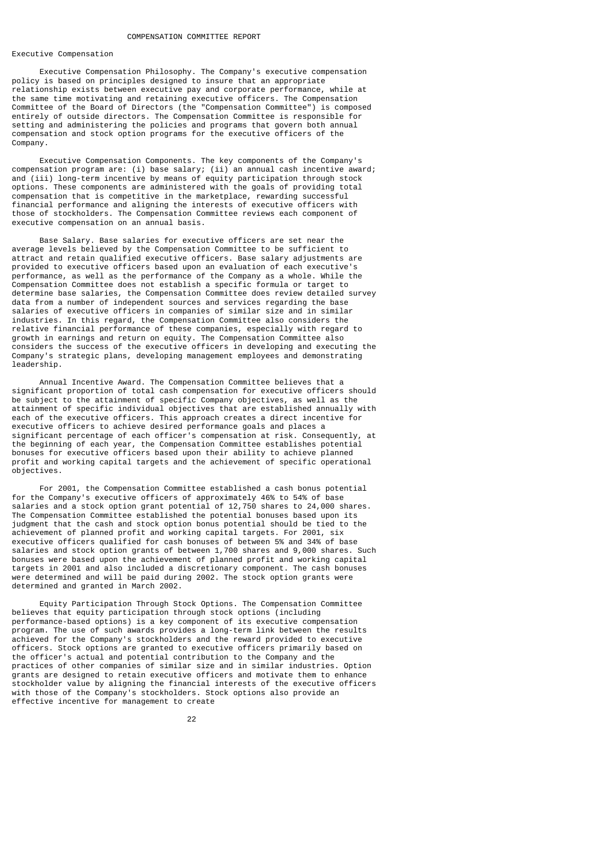#### COMPENSATION COMMITTEE REPORT

Executive Compensation

 Executive Compensation Philosophy. The Company's executive compensation policy is based on principles designed to insure that an appropriate relationship exists between executive pay and corporate performance, while at the same time motivating and retaining executive officers. The Compensation Committee of the Board of Directors (the "Compensation Committee") is composed entirely of outside directors. The Compensation Committee is responsible for setting and administering the policies and programs that govern both annual compensation and stock option programs for the executive officers of the Company.

 Executive Compensation Components. The key components of the Company's compensation program are: (i) base salary; (ii) an annual cash incentive award; and (iii) long-term incentive by means of equity participation through stock options. These components are administered with the goals of providing total compensation that is competitive in the marketplace, rewarding successful financial performance and aligning the interests of executive officers with those of stockholders. The Compensation Committee reviews each component of executive compensation on an annual basis.

 Base Salary. Base salaries for executive officers are set near the average levels believed by the Compensation Committee to be sufficient to attract and retain qualified executive officers. Base salary adjustments are provided to executive officers based upon an evaluation of each executive's performance, as well as the performance of the Company as a whole. While the Compensation Committee does not establish a specific formula or target to determine base salaries, the Compensation Committee does review detailed survey data from a number of independent sources and services regarding the base salaries of executive officers in companies of similar size and in similar industries. In this regard, the Compensation Committee also considers the relative financial performance of these companies, especially with regard to growth in earnings and return on equity. The Compensation Committee also considers the success of the executive officers in developing and executing the Company's strategic plans, developing management employees and demonstrating leadership.

 Annual Incentive Award. The Compensation Committee believes that a significant proportion of total cash compensation for executive officers should be subject to the attainment of specific Company objectives, as well as the attainment of specific individual objectives that are established annually with each of the executive officers. This approach creates a direct incentive for executive officers to achieve desired performance goals and places a significant percentage of each officer's compensation at risk. Consequently, at the beginning of each year, the Compensation Committee establishes potential bonuses for executive officers based upon their ability to achieve planned profit and working capital targets and the achievement of specific operational objectives.

 For 2001, the Compensation Committee established a cash bonus potential for the Company's executive officers of approximately 46% to 54% of base salaries and a stock option grant potential of 12,750 shares to 24,000 shares. The Compensation Committee established the potential bonuses based upon its judgment that the cash and stock option bonus potential should be tied to the achievement of planned profit and working capital targets. For 2001, six executive officers qualified for cash bonuses of between 5% and 34% of base salaries and stock option grants of between 1,700 shares and 9,000 shares. Such bonuses were based upon the achievement of planned profit and working capital targets in 2001 and also included a discretionary component. The cash bonuses were determined and will be paid during 2002. The stock option grants were determined and granted in March 2002.

 Equity Participation Through Stock Options. The Compensation Committee believes that equity participation through stock options (including performance-based options) is a key component of its executive compensation program. The use of such awards provides a long-term link between the results achieved for the Company's stockholders and the reward provided to executive officers. Stock options are granted to executive officers primarily based on the officer's actual and potential contribution to the Company and the practices of other companies of similar size and in similar industries. Option grants are designed to retain executive officers and motivate them to enhance stockholder value by aligning the financial interests of the executive officers with those of the Company's stockholders. Stock options also provide an effective incentive for management to create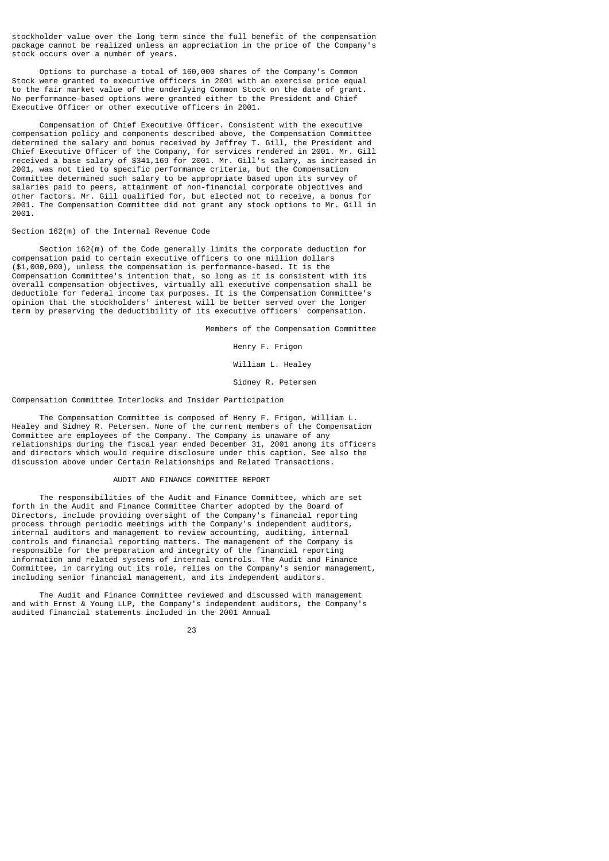stockholder value over the long term since the full benefit of the compensation package cannot be realized unless an appreciation in the price of the Company's stock occurs over a number of years.

 Options to purchase a total of 160,000 shares of the Company's Common Stock were granted to executive officers in 2001 with an exercise price equal to the fair market value of the underlying Common Stock on the date of grant. No performance-based options were granted either to the President and Chief Executive Officer or other executive officers in 2001.

 Compensation of Chief Executive Officer. Consistent with the executive compensation policy and components described above, the Compensation Committee determined the salary and bonus received by Jeffrey T. Gill, the President and Chief Executive Officer of the Company, for services rendered in 2001. Mr. Gill received a base salary of \$341,169 for 2001. Mr. Gill's salary, as increased in 2001, was not tied to specific performance criteria, but the Compensation Committee determined such salary to be appropriate based upon its survey of salaries paid to peers, attainment of non-financial corporate objectives and other factors. Mr. Gill qualified for, but elected not to receive, a bonus for 2001. The Compensation Committee did not grant any stock options to Mr. Gill in 2001.

### Section 162(m) of the Internal Revenue Code

 Section 162(m) of the Code generally limits the corporate deduction for compensation paid to certain executive officers to one million dollars (\$1,000,000), unless the compensation is performance-based. It is the Compensation Committee's intention that, so long as it is consistent with its overall compensation objectives, virtually all executive compensation shall be deductible for federal income tax purposes. It is the Compensation Committee's opinion that the stockholders' interest will be better served over the longer term by preserving the deductibility of its executive officers' compensation.

Members of the Compensation Committee

# Henry F. Frigon

# William L. Healey

### Sidney R. Petersen

# Compensation Committee Interlocks and Insider Participation

 The Compensation Committee is composed of Henry F. Frigon, William L. Healey and Sidney R. Petersen. None of the current members of the Compensation Committee are employees of the Company. The Company is unaware of any relationships during the fiscal year ended December 31, 2001 among its officers and directors which would require disclosure under this caption. See also the discussion above under Certain Relationships and Related Transactions.

### AUDIT AND FINANCE COMMITTEE REPORT

 The responsibilities of the Audit and Finance Committee, which are set forth in the Audit and Finance Committee Charter adopted by the Board of Directors, include providing oversight of the Company's financial reporting process through periodic meetings with the Company's independent auditors, internal auditors and management to review accounting, auditing, internal controls and financial reporting matters. The management of the Company is responsible for the preparation and integrity of the financial reporting information and related systems of internal controls. The Audit and Finance Committee, in carrying out its role, relies on the Company's senior management, including senior financial management, and its independent auditors.

 The Audit and Finance Committee reviewed and discussed with management and with Ernst & Young LLP, the Company's independent auditors, the Company's audited financial statements included in the 2001 Annual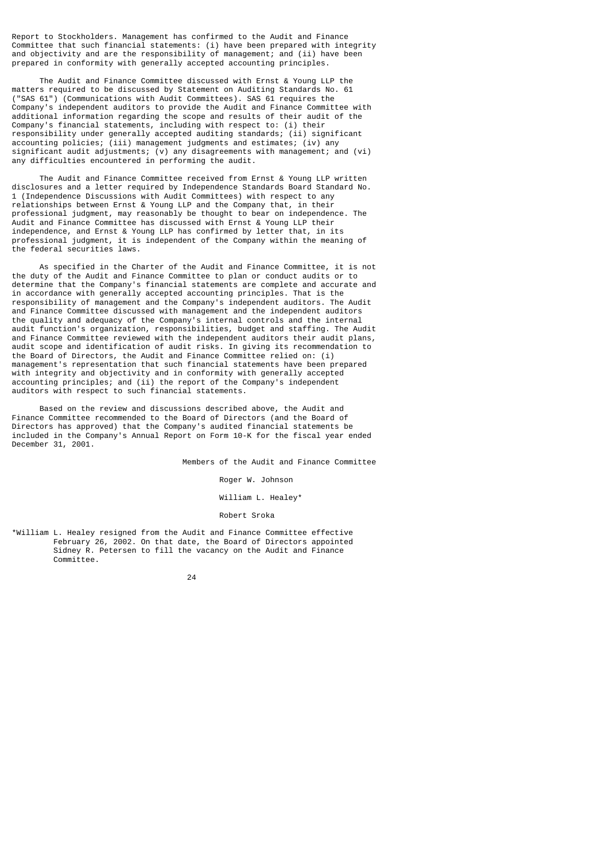Report to Stockholders. Management has confirmed to the Audit and Finance Committee that such financial statements: (i) have been prepared with integrity and objectivity and are the responsibility of management; and (ii) have been prepared in conformity with generally accepted accounting principles.

 The Audit and Finance Committee discussed with Ernst & Young LLP the matters required to be discussed by Statement on Auditing Standards No. 61 ("SAS 61") (Communications with Audit Committees). SAS 61 requires the Company's independent auditors to provide the Audit and Finance Committee with additional information regarding the scope and results of their audit of the Company's financial statements, including with respect to: (i) their responsibility under generally accepted auditing standards; (ii) significant accounting policies; (iii) management judgments and estimates; (iv) any significant audit adjustments; (v) any disagreements with management; and (vi) any difficulties encountered in performing the audit.

 The Audit and Finance Committee received from Ernst & Young LLP written disclosures and a letter required by Independence Standards Board Standard No. 1 (Independence Discussions with Audit Committees) with respect to any relationships between Ernst & Young LLP and the Company that, in their professional judgment, may reasonably be thought to bear on independence. The Audit and Finance Committee has discussed with Ernst & Young LLP their independence, and Ernst & Young LLP has confirmed by letter that, in its professional judgment, it is independent of the Company within the meaning of the federal securities laws.

 As specified in the Charter of the Audit and Finance Committee, it is not the duty of the Audit and Finance Committee to plan or conduct audits or to determine that the Company's financial statements are complete and accurate and in accordance with generally accepted accounting principles. That is the responsibility of management and the Company's independent auditors. The Audit and Finance Committee discussed with management and the independent auditors the quality and adequacy of the Company's internal controls and the internal audit function's organization, responsibilities, budget and staffing. The Audit and Finance Committee reviewed with the independent auditors their audit plans, audit scope and identification of audit risks. In giving its recommendation to the Board of Directors, the Audit and Finance Committee relied on: (i) management's representation that such financial statements have been prepared with integrity and objectivity and in conformity with generally accepted accounting principles; and (ii) the report of the Company's independent auditors with respect to such financial statements.

 Based on the review and discussions described above, the Audit and Finance Committee recommended to the Board of Directors (and the Board of Directors has approved) that the Company's audited financial statements be included in the Company's Annual Report on Form 10-K for the fiscal year ended December 31, 2001.

Members of the Audit and Finance Committee

Roger W. Johnson

# William L. Healey\*

# Robert Sroka

\*William L. Healey resigned from the Audit and Finance Committee effective February 26, 2002. On that date, the Board of Directors appointed Sidney R. Petersen to fill the vacancy on the Audit and Finance Committee.

24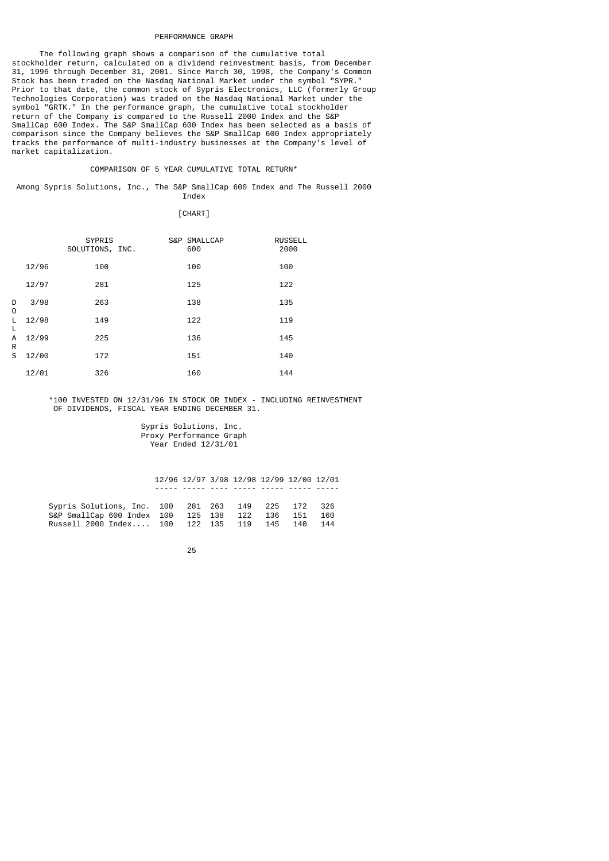### PERFORMANCE GRAPH

 The following graph shows a comparison of the cumulative total stockholder return, calculated on a dividend reinvestment basis, from December 31, 1996 through December 31, 2001. Since March 30, 1998, the Company's Common Stock has been traded on the Nasdaq National Market under the symbol "SYPR." Prior to that date, the common stock of Sypris Electronics, LLC (formerly Group Technologies Corporation) was traded on the Nasdaq National Market under the symbol "GRTK." In the performance graph, the cumulative total stockholder return of the Company is compared to the Russell 2000 Index and the S&P SmallCap 600 Index. The S&P SmallCap 600 Index has been selected as a basis of comparison since the Company believes the S&P SmallCap 600 Index appropriately tracks the performance of multi-industry businesses at the Company's level of market capitalization.

### COMPARISON OF 5 YEAR CUMULATIVE TOTAL RETURN\*

 Among Sypris Solutions, Inc., The S&P SmallCap 600 Index and The Russell 2000 Index

# [CHART]

|             |       | <b>SYPRIS</b><br>SOLUTIONS, INC. | S&P SMALLCAP<br>600 | <b>RUSSELL</b><br>2000 |
|-------------|-------|----------------------------------|---------------------|------------------------|
|             | 12/96 | 100                              | 100                 | 100                    |
|             | 12/97 | 281                              | 125                 | 122                    |
| D<br>0<br>L | 3/98  | 263                              | 138                 | 135                    |
|             | 12/98 | 149                              | 122                 | 119                    |
| L<br>Α      | 12/99 | 225                              | 136                 | 145                    |
| R<br>S      | 12/00 | 172                              | 151                 | 140                    |
|             | 12/01 | 326                              | 160                 | 144                    |

# \*100 INVESTED ON 12/31/96 IN STOCK OR INDEX - INCLUDING REINVESTMENT OF DIVIDENDS, FISCAL YEAR ENDING DECEMBER 31.

 Sypris Solutions, Inc. Proxy Performance Graph Year Ended 12/31/01

 12/96 12/97 3/98 12/98 12/99 12/00 12/01 ----- ----- ---- ----- ----- ----- ----- Sypris Solutions, Inc. 100 281 263 149 225 172 326 S&P SmallCap 600 Index 100 125 138 122 136 151 160

<u>25 and 25 and 26 and 26 and 26 and 26 and 26 and 26 and 26 and 26 and 26 and 26 and 26 and 26 and 26 and 26 and 26 and 26 and 26 and 26 and 26 and 26 and 26 and 26 and 26 and 27 and 27 and 27 and 27 and 27 and 27 and 27 a</u>

Russell 2000 Index.... 100 122 135 119 145 140 144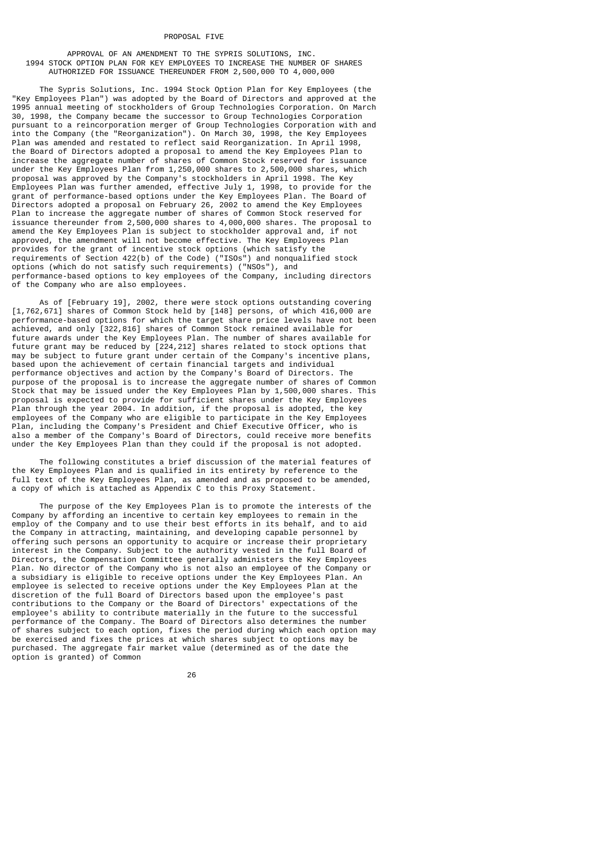#### PROPOSAL FIVE

 APPROVAL OF AN AMENDMENT TO THE SYPRIS SOLUTIONS, INC. 1994 STOCK OPTION PLAN FOR KEY EMPLOYEES TO INCREASE THE NUMBER OF SHARES AUTHORIZED FOR ISSUANCE THEREUNDER FROM 2,500,000 TO 4,000,000

 The Sypris Solutions, Inc. 1994 Stock Option Plan for Key Employees (the "Key Employees Plan") was adopted by the Board of Directors and approved at the 1995 annual meeting of stockholders of Group Technologies Corporation. On March 30, 1998, the Company became the successor to Group Technologies Corporation pursuant to a reincorporation merger of Group Technologies Corporation with and into the Company (the "Reorganization"). On March 30, 1998, the Key Employees Plan was amended and restated to reflect said Reorganization. In April 1998, the Board of Directors adopted a proposal to amend the Key Employees Plan to increase the aggregate number of shares of Common Stock reserved for issuance under the Key Employees Plan from 1,250,000 shares to 2,500,000 shares, which proposal was approved by the Company's stockholders in April 1998. The Key Employees Plan was further amended, effective July 1, 1998, to provide for the grant of performance-based options under the Key Employees Plan. The Board of Directors adopted a proposal on February 26, 2002 to amend the Key Employees Plan to increase the aggregate number of shares of Common Stock reserved for issuance thereunder from 2,500,000 shares to 4,000,000 shares. The proposal to amend the Key Employees Plan is subject to stockholder approval and, if not approved, the amendment will not become effective. The Key Employees Plan provides for the grant of incentive stock options (which satisfy the requirements of Section 422(b) of the Code) ("ISOs") and nonqualified stock options (which do not satisfy such requirements) ("NSOs"), and performance-based options to key employees of the Company, including directors of the Company who are also employees.

 As of [February 19], 2002, there were stock options outstanding covering [1,762,671] shares of Common Stock held by [148] persons, of which 416,000 are performance-based options for which the target share price levels have not been achieved, and only [322,816] shares of Common Stock remained available for future awards under the Key Employees Plan. The number of shares available for future grant may be reduced by [224,212] shares related to stock options that may be subject to future grant under certain of the Company's incentive plans, based upon the achievement of certain financial targets and individual performance objectives and action by the Company's Board of Directors. The purpose of the proposal is to increase the aggregate number of shares of Common Stock that may be issued under the Key Employees Plan by 1,500,000 shares. This proposal is expected to provide for sufficient shares under the Key Employees Plan through the year 2004. In addition, if the proposal is adopted, the key employees of the Company who are eligible to participate in the Key Employees Plan, including the Company's President and Chief Executive Officer, who is also a member of the Company's Board of Directors, could receive more benefits under the Key Employees Plan than they could if the proposal is not adopted.

 The following constitutes a brief discussion of the material features of the Key Employees Plan and is qualified in its entirety by reference to the full text of the Key Employees Plan, as amended and as proposed to be amended, a copy of which is attached as Appendix C to this Proxy Statement.

 The purpose of the Key Employees Plan is to promote the interests of the Company by affording an incentive to certain key employees to remain in the employ of the Company and to use their best efforts in its behalf, and to aid the Company in attracting, maintaining, and developing capable personnel by offering such persons an opportunity to acquire or increase their proprietary interest in the Company. Subject to the authority vested in the full Board of Directors, the Compensation Committee generally administers the Key Employees Plan. No director of the Company who is not also an employee of the Company or a subsidiary is eligible to receive options under the Key Employees Plan. An employee is selected to receive options under the Key Employees Plan at the discretion of the full Board of Directors based upon the employee's past contributions to the Company or the Board of Directors' expectations of the employee's ability to contribute materially in the future to the successful performance of the Company. The Board of Directors also determines the number of shares subject to each option, fixes the period during which each option may be exercised and fixes the prices at which shares subject to options may be purchased. The aggregate fair market value (determined as of the date the option is granted) of Common

<u>26 and 26</u>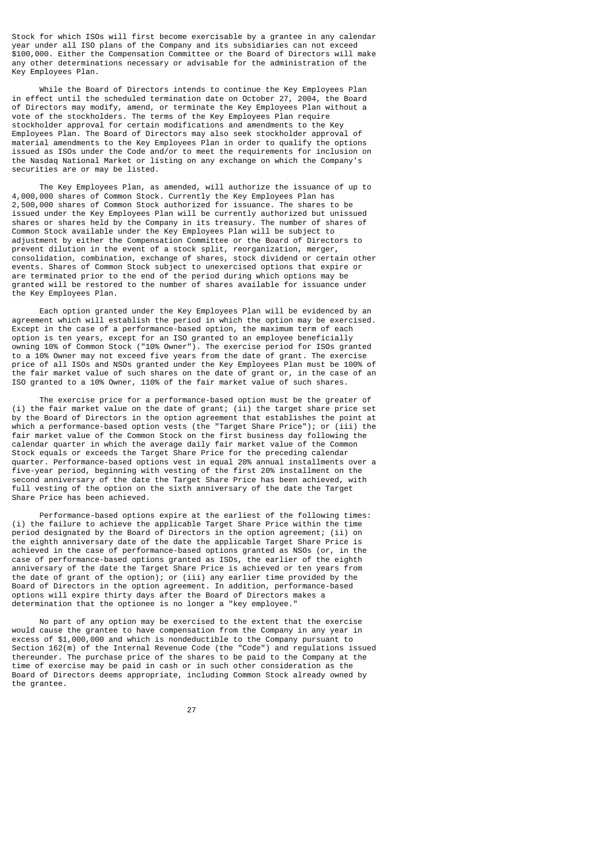Stock for which ISOs will first become exercisable by a grantee in any calendar year under all ISO plans of the Company and its subsidiaries can not exceed \$100,000. Either the Compensation Committee or the Board of Directors will make any other determinations necessary or advisable for the administration of the Key Employees Plan.

 While the Board of Directors intends to continue the Key Employees Plan in effect until the scheduled termination date on October 27, 2004, the Board of Directors may modify, amend, or terminate the Key Employees Plan without a vote of the stockholders. The terms of the Key Employees Plan require stockholder approval for certain modifications and amendments to the Key Employees Plan. The Board of Directors may also seek stockholder approval of material amendments to the Key Employees Plan in order to qualify the options issued as ISOs under the Code and/or to meet the requirements for inclusion on the Nasdaq National Market or listing on any exchange on which the Company's securities are or may be listed.

 The Key Employees Plan, as amended, will authorize the issuance of up to 4,000,000 shares of Common Stock. Currently the Key Employees Plan has 2,500,000 shares of Common Stock authorized for issuance. The shares to be issued under the Key Employees Plan will be currently authorized but unissued shares or shares held by the Company in its treasury. The number of shares of Common Stock available under the Key Employees Plan will be subject to adjustment by either the Compensation Committee or the Board of Directors to prevent dilution in the event of a stock split, reorganization, merger, consolidation, combination, exchange of shares, stock dividend or certain other events. Shares of Common Stock subject to unexercised options that expire or are terminated prior to the end of the period during which options may be granted will be restored to the number of shares available for issuance under the Key Employees Plan.

 Each option granted under the Key Employees Plan will be evidenced by an agreement which will establish the period in which the option may be exercised. Except in the case of a performance-based option, the maximum term of each option is ten years, except for an ISO granted to an employee beneficially owning 10% of Common Stock ("10% Owner"). The exercise period for ISOs granted to a 10% Owner may not exceed five years from the date of grant. The exercise price of all ISOs and NSOs granted under the Key Employees Plan must be 100% of the fair market value of such shares on the date of grant or, in the case of an ISO granted to a 10% Owner, 110% of the fair market value of such shares.

 The exercise price for a performance-based option must be the greater of (i) the fair market value on the date of grant; (ii) the target share price set by the Board of Directors in the option agreement that establishes the point at which a performance-based option vests (the "Target Share Price"); or (iii) the fair market value of the Common Stock on the first business day following the calendar quarter in which the average daily fair market value of the Common Stock equals or exceeds the Target Share Price for the preceding calendar quarter. Performance-based options vest in equal 20% annual installments over a five-year period, beginning with vesting of the first 20% installment on the second anniversary of the date the Target Share Price has been achieved, with full vesting of the option on the sixth anniversary of the date the Target Share Price has been achieved.

 Performance-based options expire at the earliest of the following times: (i) the failure to achieve the applicable Target Share Price within the time period designated by the Board of Directors in the option agreement; (ii) on the eighth anniversary date of the date the applicable Target Share Price is achieved in the case of performance-based options granted as NSOs (or, in the case of performance-based options granted as ISOs, the earlier of the eighth anniversary of the date the Target Share Price is achieved or ten years from the date of grant of the option); or (iii) any earlier time provided by the Board of Directors in the option agreement. In addition, performance-based options will expire thirty days after the Board of Directors makes a determination that the optionee is no longer a "key employee."

 No part of any option may be exercised to the extent that the exercise would cause the grantee to have compensation from the Company in any year in excess of \$1,000,000 and which is nondeductible to the Company pursuant to Section 162(m) of the Internal Revenue Code (the "Code") and regulations issued thereunder. The purchase price of the shares to be paid to the Company at the time of exercise may be paid in cash or in such other consideration as the Board of Directors deems appropriate, including Common Stock already owned by the grantee.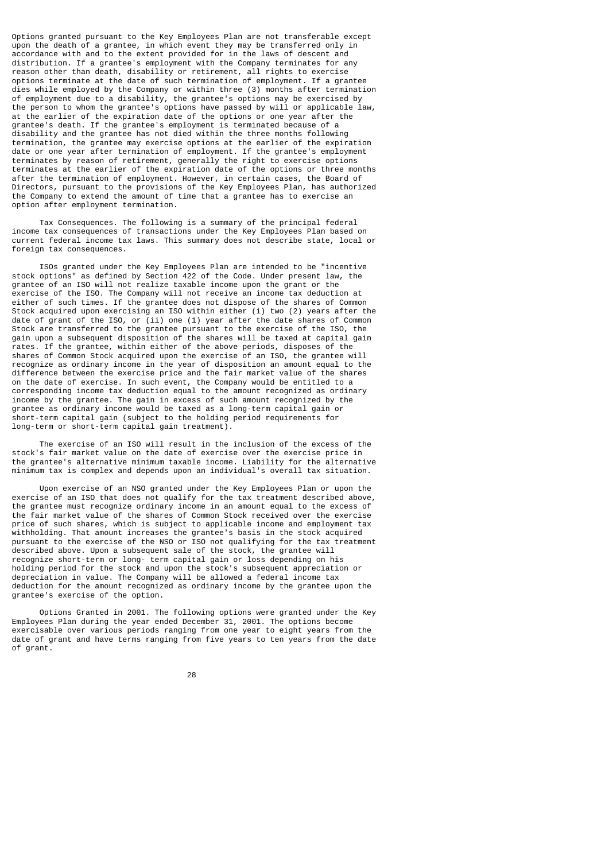Options granted pursuant to the Key Employees Plan are not transferable except upon the death of a grantee, in which event they may be transferred only in accordance with and to the extent provided for in the laws of descent and distribution. If a grantee's employment with the Company terminates for any reason other than death, disability or retirement, all rights to exercise options terminate at the date of such termination of employment. If a grantee dies while employed by the Company or within three (3) months after termination of employment due to a disability, the grantee's options may be exercised by the person to whom the grantee's options have passed by will or applicable law, at the earlier of the expiration date of the options or one year after the grantee's death. If the grantee's employment is terminated because of a disability and the grantee has not died within the three months following termination, the grantee may exercise options at the earlier of the expiration date or one year after termination of employment. If the grantee's employment terminates by reason of retirement, generally the right to exercise options terminates at the earlier of the expiration date of the options or three months after the termination of employment. However, in certain cases, the Board of Directors, pursuant to the provisions of the Key Employees Plan, has authorized the Company to extend the amount of time that a grantee has to exercise an option after employment termination.

 Tax Consequences. The following is a summary of the principal federal income tax consequences of transactions under the Key Employees Plan based on current federal income tax laws. This summary does not describe state, local or foreign tax consequences.

 ISOs granted under the Key Employees Plan are intended to be "incentive stock options" as defined by Section 422 of the Code. Under present law, the grantee of an ISO will not realize taxable income upon the grant or the exercise of the ISO. The Company will not receive an income tax deduction at either of such times. If the grantee does not dispose of the shares of Common Stock acquired upon exercising an ISO within either (i) two (2) years after the date of grant of the ISO, or (ii) one (1) year after the date shares of Common Stock are transferred to the grantee pursuant to the exercise of the ISO, the gain upon a subsequent disposition of the shares will be taxed at capital gain rates. If the grantee, within either of the above periods, disposes of the shares of Common Stock acquired upon the exercise of an ISO, the grantee will recognize as ordinary income in the year of disposition an amount equal to the difference between the exercise price and the fair market value of the shares on the date of exercise. In such event, the Company would be entitled to a corresponding income tax deduction equal to the amount recognized as ordinary income by the grantee. The gain in excess of such amount recognized by the grantee as ordinary income would be taxed as a long-term capital gain or short-term capital gain (subject to the holding period requirements for long-term or short-term capital gain treatment).

 The exercise of an ISO will result in the inclusion of the excess of the stock's fair market value on the date of exercise over the exercise price in the grantee's alternative minimum taxable income. Liability for the alternative minimum tax is complex and depends upon an individual's overall tax situation.

 Upon exercise of an NSO granted under the Key Employees Plan or upon the exercise of an ISO that does not qualify for the tax treatment described above, the grantee must recognize ordinary income in an amount equal to the excess of the fair market value of the shares of Common Stock received over the exercise price of such shares, which is subject to applicable income and employment tax withholding. That amount increases the grantee's basis in the stock acquired pursuant to the exercise of the NSO or ISO not qualifying for the tax treatment described above. Upon a subsequent sale of the stock, the grantee will recognize short-term or long- term capital gain or loss depending on his holding period for the stock and upon the stock's subsequent appreciation or depreciation in value. The Company will be allowed a federal income tax deduction for the amount recognized as ordinary income by the grantee upon the grantee's exercise of the option.

 Options Granted in 2001. The following options were granted under the Key Employees Plan during the year ended December 31, 2001. The options become exercisable over various periods ranging from one year to eight years from the date of grant and have terms ranging from five years to ten years from the date of grant.

<u>28 and 28 and 28 and 28 and 28 and 28 and 28 and 28 and 28 and 28 and 28 and 28 and 28 and 28 and 28 and 28 and 28 and 28 and 28 and 28 and 28 and 28 and 28 and 28 and 28 and 28 and 28 and 28 and 28 and 28 and 28 and 28 a</u>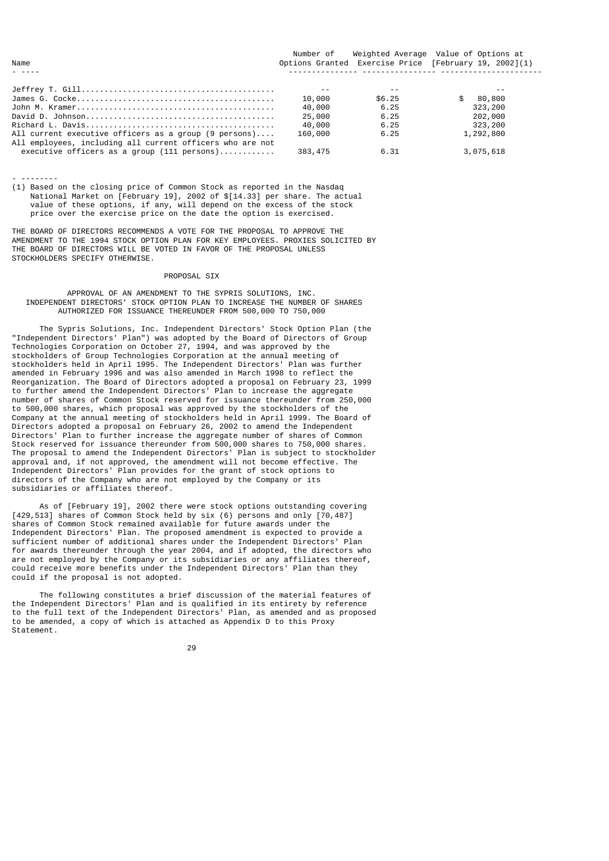Number of Weighted Average Value of Options at<br>Options Granted Exercise Price [February 19, 2002]( Options Granted Exercise Price [February 19, 2002](1) - ---- --------------- ---------------- ----------------------

|                                                                         | - -     | $ -$   |           |
|-------------------------------------------------------------------------|---------|--------|-----------|
|                                                                         | 10,000  | \$6.25 | 80,800    |
|                                                                         | 40,000  | 6.25   | 323,200   |
|                                                                         | 25,000  | 6.25   | 202,000   |
|                                                                         | 40,000  | 6.25   | 323,200   |
| All current executive officers as a group $(9 \text{ persons}) \dots$   | 160.000 | 6.25   | 1,292,800 |
| All employees, including all current officers who are not               |         |        |           |
| executive officers as a group $(111 \text{ persons}) \dots \dots \dots$ | 383,475 | 6.31   | 3,075,618 |

- -------- (1) Based on the closing price of Common Stock as reported in the Nasdaq National Market on [February 19], 2002 of \$[14.33] per share. The actual value of these options, if any, will depend on the excess of the stock price over the exercise price on the date the option is exercised.

THE BOARD OF DIRECTORS RECOMMENDS A VOTE FOR THE PROPOSAL TO APPROVE THE AMENDMENT TO THE 1994 STOCK OPTION PLAN FOR KEY EMPLOYEES. PROXIES SOLICITED BY THE BOARD OF DIRECTORS WILL BE VOTED IN FAVOR OF THE PROPOSAL UNLESS STOCKHOLDERS SPECIFY OTHERWISE.

# PROPOSAL SIX

### APPROVAL OF AN AMENDMENT TO THE SYPRIS SOLUTIONS, INC. INDEPENDENT DIRECTORS' STOCK OPTION PLAN TO INCREASE THE NUMBER OF SHARES AUTHORIZED FOR ISSUANCE THEREUNDER FROM 500,000 TO 750,000

 The Sypris Solutions, Inc. Independent Directors' Stock Option Plan (the "Independent Directors' Plan") was adopted by the Board of Directors of Group Technologies Corporation on October 27, 1994, and was approved by the stockholders of Group Technologies Corporation at the annual meeting of stockholders held in April 1995. The Independent Directors' Plan was further amended in February 1996 and was also amended in March 1998 to reflect the Reorganization. The Board of Directors adopted a proposal on February 23, 1999 to further amend the Independent Directors' Plan to increase the aggregate number of shares of Common Stock reserved for issuance thereunder from 250,000 to 500,000 shares, which proposal was approved by the stockholders of the Company at the annual meeting of stockholders held in April 1999. The Board of Directors adopted a proposal on February 26, 2002 to amend the Independent Directors' Plan to further increase the aggregate number of shares of Common Stock reserved for issuance thereunder from 500,000 shares to 750,000 shares. The proposal to amend the Independent Directors' Plan is subject to stockholder approval and, if not approved, the amendment will not become effective. The Independent Directors' Plan provides for the grant of stock options to directors of the Company who are not employed by the Company or its subsidiaries or affiliates thereof.

 As of [February 19], 2002 there were stock options outstanding covering [429,513] shares of Common Stock held by six (6) persons and only [70,487] shares of Common Stock remained available for future awards under the Independent Directors' Plan. The proposed amendment is expected to provide a sufficient number of additional shares under the Independent Directors' Plan for awards thereunder through the year 2004, and if adopted, the directors who are not employed by the Company or its subsidiaries or any affiliates thereof, could receive more benefits under the Independent Directors' Plan than they could if the proposal is not adopted.

 The following constitutes a brief discussion of the material features of the Independent Directors' Plan and is qualified in its entirety by reference to the full text of the Independent Directors' Plan, as amended and as proposed to be amended, a copy of which is attached as Appendix D to this Proxy Statement.

<u>29 and 29</u>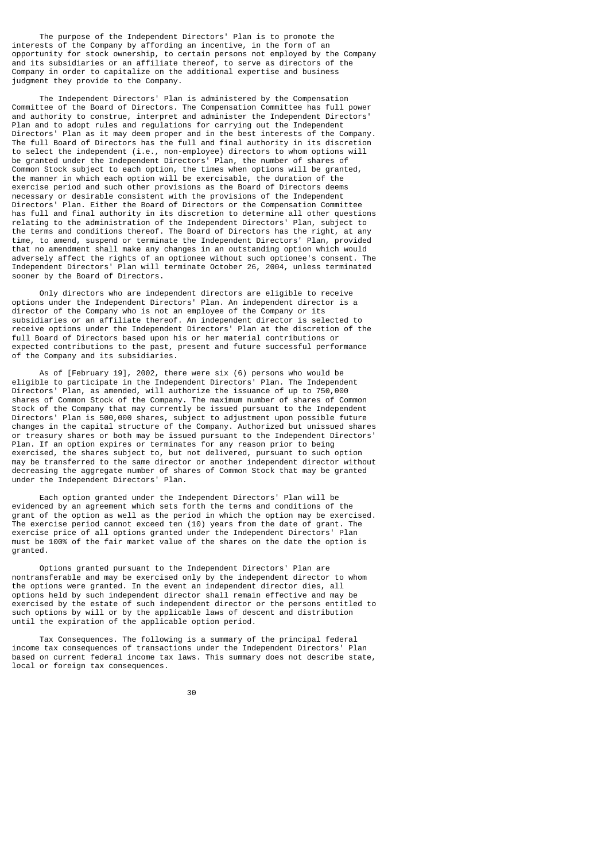The purpose of the Independent Directors' Plan is to promote the interests of the Company by affording an incentive, in the form of an opportunity for stock ownership, to certain persons not employed by the Company and its subsidiaries or an affiliate thereof, to serve as directors of the Company in order to capitalize on the additional expertise and business judgment they provide to the Company.

 The Independent Directors' Plan is administered by the Compensation Committee of the Board of Directors. The Compensation Committee has full power and authority to construe, interpret and administer the Independent Directors' Plan and to adopt rules and regulations for carrying out the Independent Directors' Plan as it may deem proper and in the best interests of the Company. The full Board of Directors has the full and final authority in its discretion to select the independent (i.e., non-employee) directors to whom options will be granted under the Independent Directors' Plan, the number of shares of Common Stock subject to each option, the times when options will be granted, the manner in which each option will be exercisable, the duration of the exercise period and such other provisions as the Board of Directors deems necessary or desirable consistent with the provisions of the Independent Directors' Plan. Either the Board of Directors or the Compensation Committee has full and final authority in its discretion to determine all other questions relating to the administration of the Independent Directors' Plan, subject to the terms and conditions thereof. The Board of Directors has the right, at any time, to amend, suspend or terminate the Independent Directors' Plan, provided that no amendment shall make any changes in an outstanding option which would adversely affect the rights of an optionee without such optionee's consent. The Independent Directors' Plan will terminate October 26, 2004, unless terminated sooner by the Board of Directors.

 Only directors who are independent directors are eligible to receive options under the Independent Directors' Plan. An independent director is a director of the Company who is not an employee of the Company or its subsidiaries or an affiliate thereof. An independent director is selected to receive options under the Independent Directors' Plan at the discretion of the full Board of Directors based upon his or her material contributions or expected contributions to the past, present and future successful performance of the Company and its subsidiaries.

 As of [February 19], 2002, there were six (6) persons who would be eligible to participate in the Independent Directors' Plan. The Independent<br>Directors' Plan, as amended, will authorize the issuance of up to 750,000 Plan, as amended, will authorize the issuance of up to 750,000 shares of Common Stock of the Company. The maximum number of shares of Common Stock of the Company that may currently be issued pursuant to the Independent Directors' Plan is 500,000 shares, subject to adjustment upon possible future changes in the capital structure of the Company. Authorized but unissued shares or treasury shares or both may be issued pursuant to the Independent Directors' Plan. If an option expires or terminates for any reason prior to being exercised, the shares subject to, but not delivered, pursuant to such option may be transferred to the same director or another independent director without decreasing the aggregate number of shares of Common Stock that may be granted under the Independent Directors' Plan.

 Each option granted under the Independent Directors' Plan will be evidenced by an agreement which sets forth the terms and conditions of the grant of the option as well as the period in which the option may be exercised. The exercise period cannot exceed ten (10) years from the date of grant. The exercise price of all options granted under the Independent Directors' Plan must be 100% of the fair market value of the shares on the date the option is granted.

 Options granted pursuant to the Independent Directors' Plan are nontransferable and may be exercised only by the independent director to whom the options were granted. In the event an independent director dies, all options held by such independent director shall remain effective and may be exercised by the estate of such independent director or the persons entitled to such options by will or by the applicable laws of descent and distribution until the expiration of the applicable option period.

 Tax Consequences. The following is a summary of the principal federal income tax consequences of transactions under the Independent Directors' Plan based on current federal income tax laws. This summary does not describe state, local or foreign tax consequences.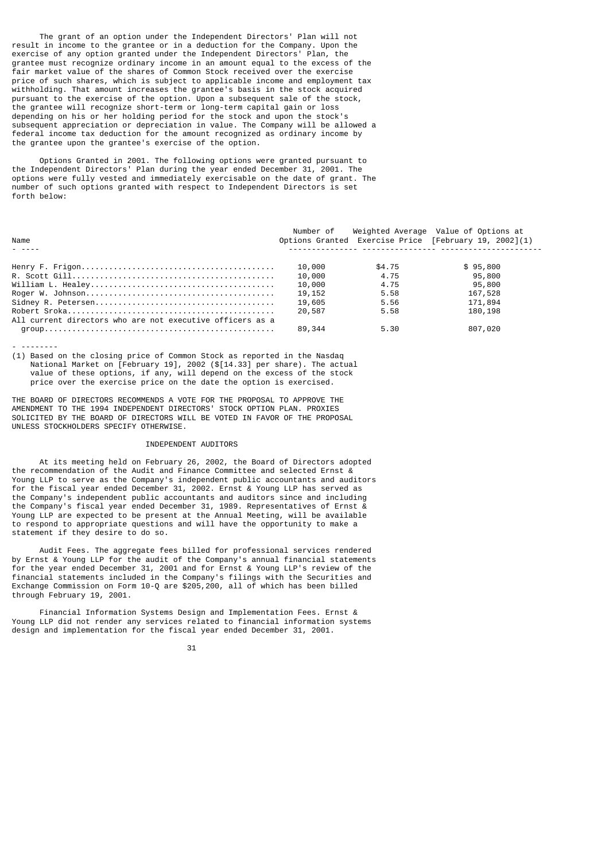The grant of an option under the Independent Directors' Plan will not result in income to the grantee or in a deduction for the Company. Upon the exercise of any option granted under the Independent Directors' Plan, the grantee must recognize ordinary income in an amount equal to the excess of the fair market value of the shares of Common Stock received over the exercise price of such shares, which is subject to applicable income and employment tax withholding. That amount increases the grantee's basis in the stock acquired pursuant to the exercise of the option. Upon a subsequent sale of the stock, the grantee will recognize short-term or long-term capital gain or loss depending on his or her holding period for the stock and upon the stock's subsequent appreciation or depreciation in value. The Company will be allowed a federal income tax deduction for the amount recognized as ordinary income by the grantee upon the grantee's exercise of the option.

 Options Granted in 2001. The following options were granted pursuant to the Independent Directors' Plan during the year ended December 31, 2001. The options were fully vested and immediately exercisable on the date of grant. The number of such options granted with respect to Independent Directors is set forth below:

| Name                                                      |        |        | Number of Weighted Average Value of Options at<br>Options Granted Exercise Price [February 19, 2002](1) |
|-----------------------------------------------------------|--------|--------|---------------------------------------------------------------------------------------------------------|
|                                                           |        |        |                                                                                                         |
|                                                           | 10,000 | \$4.75 | \$95,800                                                                                                |
|                                                           | 10,000 | 4.75   | 95,800                                                                                                  |
|                                                           | 10,000 | 4.75   | 95,800                                                                                                  |
|                                                           | 19,152 | 5.58   | 167,528                                                                                                 |
|                                                           | 19,605 | 5.56   | 171,894                                                                                                 |
|                                                           | 20,587 | 5.58   | 180, 198                                                                                                |
| All current directors who are not executive officers as a |        |        |                                                                                                         |
|                                                           | 89,344 | 5.30   | 807,020                                                                                                 |

- -------- (1) Based on the closing price of Common Stock as reported in the Nasdaq National Market on [February 19], 2002 (\$[14.33] per share). The actual value of these options, if any, will depend on the excess of the stock price over the exercise price on the date the option is exercised.

THE BOARD OF DIRECTORS RECOMMENDS A VOTE FOR THE PROPOSAL TO APPROVE THE AMENDMENT TO THE 1994 INDEPENDENT DIRECTORS' STOCK OPTION PLAN. PROXIES SOLICITED BY THE BOARD OF DIRECTORS WILL BE VOTED IN FAVOR OF THE PROPOSAL UNLESS STOCKHOLDERS SPECIFY OTHERWISE.

# INDEPENDENT AUDITORS

 At its meeting held on February 26, 2002, the Board of Directors adopted the recommendation of the Audit and Finance Committee and selected Ernst & Young LLP to serve as the Company's independent public accountants and auditors for the fiscal year ended December 31, 2002. Ernst & Young LLP has served as the Company's independent public accountants and auditors since and including the Company's fiscal year ended December 31, 1989. Representatives of Ernst & Young LLP are expected to be present at the Annual Meeting, will be available to respond to appropriate questions and will have the opportunity to make a statement if they desire to do so.

 Audit Fees. The aggregate fees billed for professional services rendered by Ernst & Young LLP for the audit of the Company's annual financial statements for the year ended December 31, 2001 and for Ernst & Young LLP's review of the financial statements included in the Company's filings with the Securities and Exchange Commission on Form 10-Q are \$205,200, all of which has been billed through February 19, 2001.

 Financial Information Systems Design and Implementation Fees. Ernst & Young LLP did not render any services related to financial information systems design and implementation for the fiscal year ended December 31, 2001.

31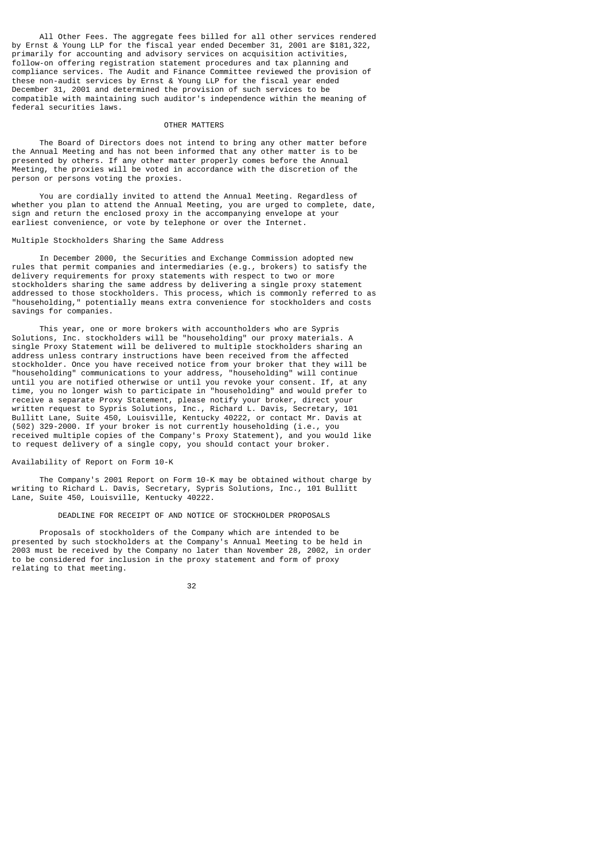All Other Fees. The aggregate fees billed for all other services rendered by Ernst & Young LLP for the fiscal year ended December 31, 2001 are \$181,322, primarily for accounting and advisory services on acquisition activities, follow-on offering registration statement procedures and tax planning and compliance services. The Audit and Finance Committee reviewed the provision of these non-audit services by Ernst & Young LLP for the fiscal year ended December 31, 2001 and determined the provision of such services to be compatible with maintaining such auditor's independence within the meaning of federal securities laws.

#### OTHER MATTERS

 The Board of Directors does not intend to bring any other matter before the Annual Meeting and has not been informed that any other matter is to be presented by others. If any other matter properly comes before the Annual Meeting, the proxies will be voted in accordance with the discretion of the person or persons voting the proxies.

 You are cordially invited to attend the Annual Meeting. Regardless of whether you plan to attend the Annual Meeting, you are urged to complete, date, sign and return the enclosed proxy in the accompanying envelope at your earliest convenience, or vote by telephone or over the Internet.

# Multiple Stockholders Sharing the Same Address

 In December 2000, the Securities and Exchange Commission adopted new rules that permit companies and intermediaries (e.g., brokers) to satisfy the delivery requirements for proxy statements with respect to two or more stockholders sharing the same address by delivering a single proxy statement addressed to those stockholders. This process, which is commonly referred to as "householding," potentially means extra convenience for stockholders and costs savings for companies.

 This year, one or more brokers with accountholders who are Sypris Solutions, Inc. stockholders will be "householding" our proxy materials. A single Proxy Statement will be delivered to multiple stockholders sharing an address unless contrary instructions have been received from the affected stockholder. Once you have received notice from your broker that they will be "householding" communications to your address, "householding" will continue until you are notified otherwise or until you revoke your consent. If, at any time, you no longer wish to participate in "householding" and would prefer to receive a separate Proxy Statement, please notify your broker, direct your written request to Sypris Solutions, Inc., Richard L. Davis, Secretary, 101 Bullitt Lane, Suite 450, Louisville, Kentucky 40222, or contact Mr. Davis at (502) 329-2000. If your broker is not currently householding (i.e., you received multiple copies of the Company's Proxy Statement), and you would like to request delivery of a single copy, you should contact your broker.

# Availability of Report on Form 10-K

 The Company's 2001 Report on Form 10-K may be obtained without charge by writing to Richard L. Davis, Secretary, Sypris Solutions, Inc., 101 Bullitt Lane, Suite 450, Louisville, Kentucky 40222.

# DEADLINE FOR RECEIPT OF AND NOTICE OF STOCKHOLDER PROPOSALS

 Proposals of stockholders of the Company which are intended to be presented by such stockholders at the Company's Annual Meeting to be held in 2003 must be received by the Company no later than November 28, 2002, in order to be considered for inclusion in the proxy statement and form of proxy relating to that meeting.

<u>32 and 2010 and 2010 and 2010 and 2010 and 2010 and 2010 and 2010 and 2010 and 2010 and 2010 and 2010 and 201</u>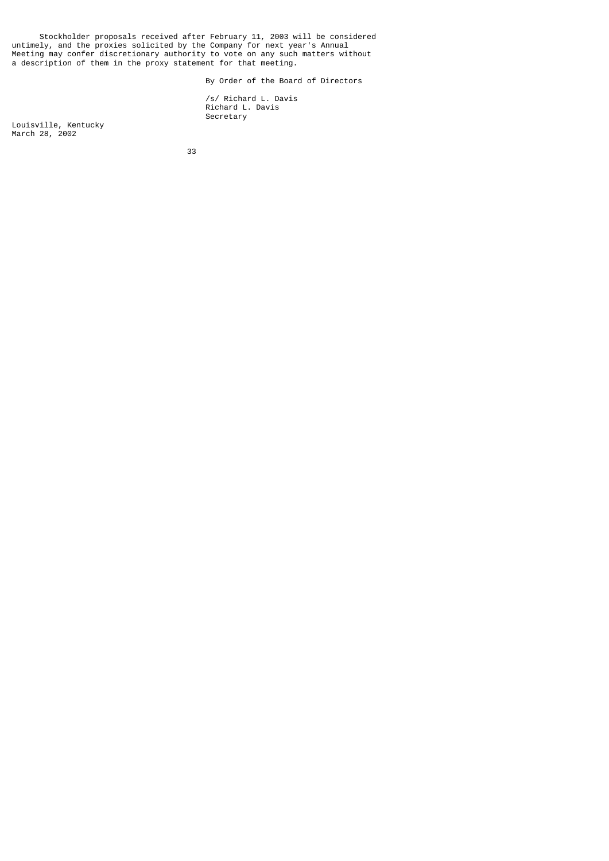Stockholder proposals received after February 11, 2003 will be considered untimely, and the proxies solicited by the Company for next year's Annual Meeting may confer discretionary authority to vote on any such matters without a description of them in the proxy statement for that meeting.

By Order of the Board of Directors

 /s/ Richard L. Davis Richard L. Davis Secretary

Louisville, Kentucky March 28, 2002

33 and 2012 and 2013 and 2013 and 2014 and 2014 and 2014 and 2014 and 2014 and 2014 and 2014 and 2014 and 2014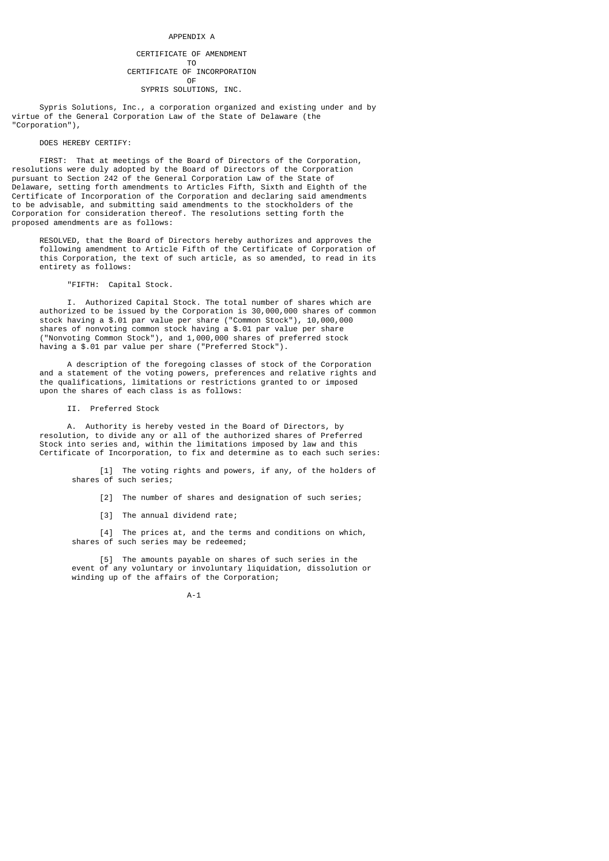#### APPENDIX A

### CERTIFICATE OF AMENDMENT The contract of the contract of the contract of the contract of the contract of the contract of the contract o CERTIFICATE OF INCORPORATION<br>OF **OF OF** SYPRIS SOLUTIONS, INC.

 Sypris Solutions, Inc., a corporation organized and existing under and by virtue of the General Corporation Law of the State of Delaware (the "Corporation"),

### DOES HEREBY CERTIFY:

 FIRST: That at meetings of the Board of Directors of the Corporation, resolutions were duly adopted by the Board of Directors of the Corporation pursuant to Section 242 of the General Corporation Law of the State of Delaware, setting forth amendments to Articles Fifth, Sixth and Eighth of the Certificate of Incorporation of the Corporation and declaring said amendments to be advisable, and submitting said amendments to the stockholders of the Corporation for consideration thereof. The resolutions setting forth the proposed amendments are as follows:

 RESOLVED, that the Board of Directors hereby authorizes and approves the following amendment to Article Fifth of the Certificate of Corporation of this Corporation, the text of such article, as so amended, to read in its entirety as follows:

# "FIFTH: Capital Stock.

 I. Authorized Capital Stock. The total number of shares which are authorized to be issued by the Corporation is 30,000,000 shares of common stock having a \$.01 par value per share ("Common Stock"), 10,000,000 shares of nonvoting common stock having a \$.01 par value per share ("Nonvoting Common Stock"), and 1,000,000 shares of preferred stock having a \$.01 par value per share ("Preferred Stock").

 A description of the foregoing classes of stock of the Corporation and a statement of the voting powers, preferences and relative rights and the qualifications, limitations or restrictions granted to or imposed upon the shares of each class is as follows:

# II. Preferred Stock

 A. Authority is hereby vested in the Board of Directors, by resolution, to divide any or all of the authorized shares of Preferred Stock into series and, within the limitations imposed by law and this Certificate of Incorporation, to fix and determine as to each such series:

 [1] The voting rights and powers, if any, of the holders of shares of such series;

- [2] The number of shares and designation of such series;
- [3] The annual dividend rate;

 [4] The prices at, and the terms and conditions on which, shares of such series may be redeemed;

 [5] The amounts payable on shares of such series in the event of any voluntary or involuntary liquidation, dissolution or winding up of the affairs of the Corporation;

A-1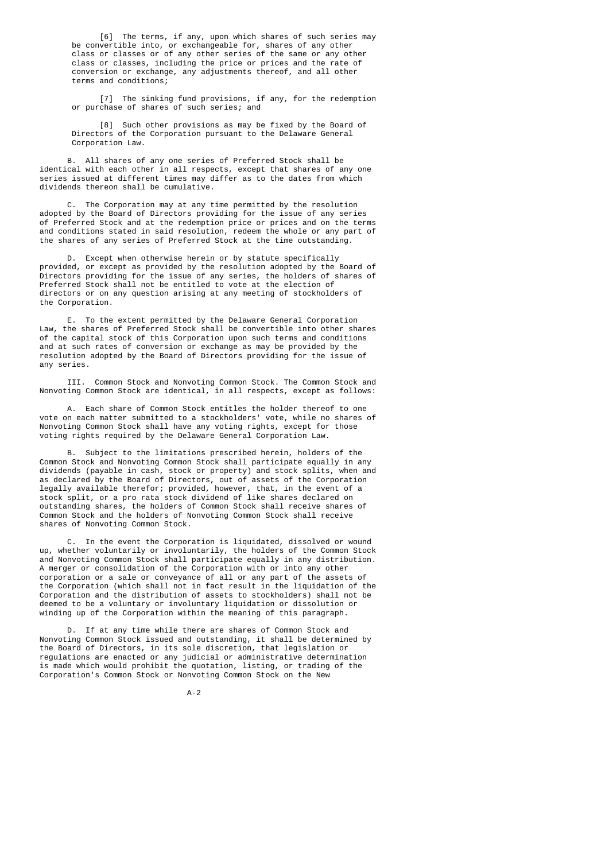[6] The terms, if any, upon which shares of such series may be convertible into, or exchangeable for, shares of any other class or classes or of any other series of the same or any other class or classes, including the price or prices and the rate of conversion or exchange, any adjustments thereof, and all other terms and conditions;

 [7] The sinking fund provisions, if any, for the redemption or purchase of shares of such series; and

> [8] Such other provisions as may be fixed by the Board of Directors of the Corporation pursuant to the Delaware General Corporation Law.

All shares of any one series of Preferred Stock shall be identical with each other in all respects, except that shares of any one series issued at different times may differ as to the dates from which dividends thereon shall be cumulative.

The Corporation may at any time permitted by the resolution adopted by the Board of Directors providing for the issue of any series of Preferred Stock and at the redemption price or prices and on the terms and conditions stated in said resolution, redeem the whole or any part of the shares of any series of Preferred Stock at the time outstanding.

 D. Except when otherwise herein or by statute specifically provided, or except as provided by the resolution adopted by the Board of Directors providing for the issue of any series, the holders of shares of Preferred Stock shall not be entitled to vote at the election of directors or on any question arising at any meeting of stockholders of the Corporation.

 E. To the extent permitted by the Delaware General Corporation Law, the shares of Preferred Stock shall be convertible into other shares of the capital stock of this Corporation upon such terms and conditions and at such rates of conversion or exchange as may be provided by the resolution adopted by the Board of Directors providing for the issue of any series.

 III. Common Stock and Nonvoting Common Stock. The Common Stock and Nonvoting Common Stock are identical, in all respects, except as follows:

 A. Each share of Common Stock entitles the holder thereof to one vote on each matter submitted to a stockholders' vote, while no shares of Nonvoting Common Stock shall have any voting rights, except for those voting rights required by the Delaware General Corporation Law.

 B. Subject to the limitations prescribed herein, holders of the Common Stock and Nonvoting Common Stock shall participate equally in any dividends (payable in cash, stock or property) and stock splits, when and as declared by the Board of Directors, out of assets of the Corporation legally available therefor; provided, however, that, in the event of a stock split, or a pro rata stock dividend of like shares declared on outstanding shares, the holders of Common Stock shall receive shares of Common Stock and the holders of Nonvoting Common Stock shall receive shares of Nonvoting Common Stock.

 C. In the event the Corporation is liquidated, dissolved or wound up, whether voluntarily or involuntarily, the holders of the Common Stock and Nonvoting Common Stock shall participate equally in any distribution. A merger or consolidation of the Corporation with or into any other corporation or a sale or conveyance of all or any part of the assets of the Corporation (which shall not in fact result in the liquidation of the Corporation and the distribution of assets to stockholders) shall not be deemed to be a voluntary or involuntary liquidation or dissolution or winding up of the Corporation within the meaning of this paragraph.

 D. If at any time while there are shares of Common Stock and Nonvoting Common Stock issued and outstanding, it shall be determined by the Board of Directors, in its sole discretion, that legislation or regulations are enacted or any judicial or administrative determination is made which would prohibit the quotation, listing, or trading of the Corporation's Common Stock or Nonvoting Common Stock on the New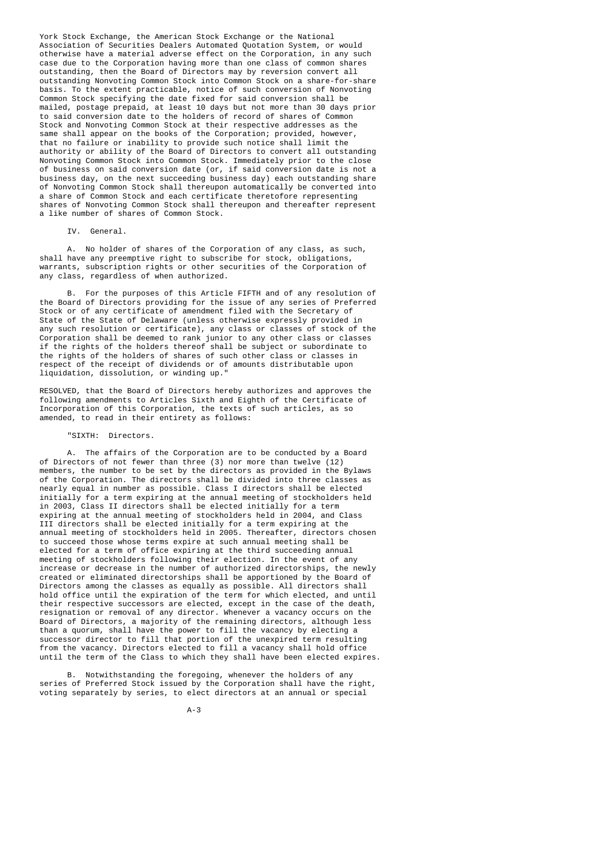York Stock Exchange, the American Stock Exchange or the National Association of Securities Dealers Automated Quotation System, or would otherwise have a material adverse effect on the Corporation, in any such case due to the Corporation having more than one class of common shares outstanding, then the Board of Directors may by reversion convert all outstanding Nonvoting Common Stock into Common Stock on a share-for-share basis. To the extent practicable, notice of such conversion of Nonvoting Common Stock specifying the date fixed for said conversion shall be mailed, postage prepaid, at least 10 days but not more than 30 days prior to said conversion date to the holders of record of shares of Common Stock and Nonvoting Common Stock at their respective addresses as the same shall appear on the books of the Corporation; provided, however, that no failure or inability to provide such notice shall limit the authority or ability of the Board of Directors to convert all outstanding Nonvoting Common Stock into Common Stock. Immediately prior to the close of business on said conversion date (or, if said conversion date is not a business day, on the next succeeding business day) each outstanding share of Nonvoting Common Stock shall thereupon automatically be converted into a share of Common Stock and each certificate theretofore representing shares of Nonvoting Common Stock shall thereupon and thereafter represent a like number of shares of Common Stock.

#### IV. General.

 A. No holder of shares of the Corporation of any class, as such, shall have any preemptive right to subscribe for stock, obligations, warrants, subscription rights or other securities of the Corporation of any class, regardless of when authorized.

 B. For the purposes of this Article FIFTH and of any resolution of the Board of Directors providing for the issue of any series of Preferred Stock or of any certificate of amendment filed with the Secretary of State of the State of Delaware (unless otherwise expressly provided in any such resolution or certificate), any class or classes of stock of the Corporation shall be deemed to rank junior to any other class or classes if the rights of the holders thereof shall be subject or subordinate to the rights of the holders of shares of such other class or classes in respect of the receipt of dividends or of amounts distributable upon liquidation, dissolution, or winding up."

 RESOLVED, that the Board of Directors hereby authorizes and approves the following amendments to Articles Sixth and Eighth of the Certificate of Incorporation of this Corporation, the texts of such articles, as so amended, to read in their entirety as follows:

# "SIXTH: Directors.

 A. The affairs of the Corporation are to be conducted by a Board of Directors of not fewer than three (3) nor more than twelve (12) members, the number to be set by the directors as provided in the Bylaws of the Corporation. The directors shall be divided into three classes as nearly equal in number as possible. Class I directors shall be elected initially for a term expiring at the annual meeting of stockholders held in 2003, Class II directors shall be elected initially for a term expiring at the annual meeting of stockholders held in 2004, and Class III directors shall be elected initially for a term expiring at the annual meeting of stockholders held in 2005. Thereafter, directors chosen to succeed those whose terms expire at such annual meeting shall be elected for a term of office expiring at the third succeeding annual meeting of stockholders following their election. In the event of any increase or decrease in the number of authorized directorships, the newly created or eliminated directorships shall be apportioned by the Board of Directors among the classes as equally as possible. All directors shall hold office until the expiration of the term for which elected, and until their respective successors are elected, except in the case of the death, resignation or removal of any director. Whenever a vacancy occurs on the Board of Directors, a majority of the remaining directors, although less than a quorum, shall have the power to fill the vacancy by electing a successor director to fill that portion of the unexpired term resulting from the vacancy. Directors elected to fill a vacancy shall hold office until the term of the Class to which they shall have been elected expires.

 B. Notwithstanding the foregoing, whenever the holders of any series of Preferred Stock issued by the Corporation shall have the right, voting separately by series, to elect directors at an annual or special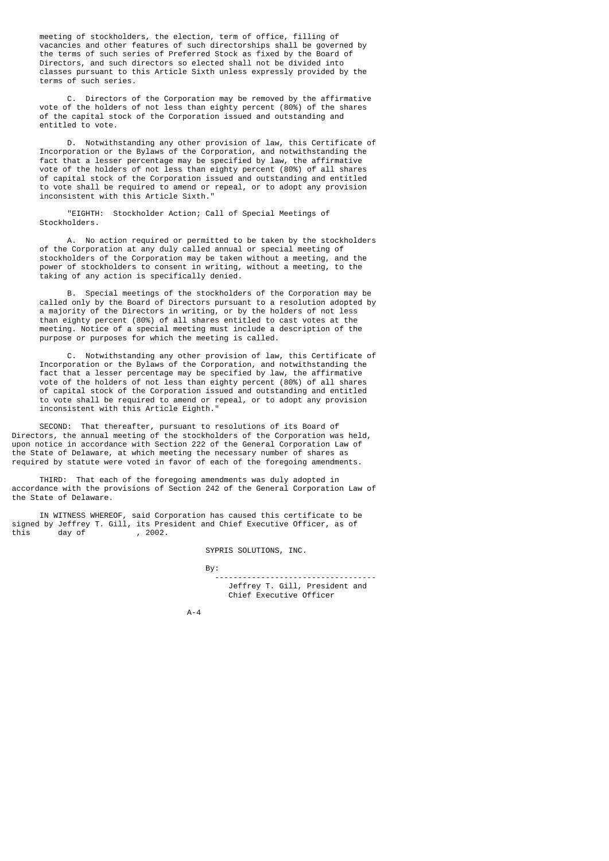meeting of stockholders, the election, term of office, filling of vacancies and other features of such directorships shall be governed by the terms of such series of Preferred Stock as fixed by the Board of Directors, and such directors so elected shall not be divided into classes pursuant to this Article Sixth unless expressly provided by the terms of such series.

 C. Directors of the Corporation may be removed by the affirmative vote of the holders of not less than eighty percent (80%) of the shares of the capital stock of the Corporation issued and outstanding and entitled to vote.

 D. Notwithstanding any other provision of law, this Certificate of Incorporation or the Bylaws of the Corporation, and notwithstanding the fact that a lesser percentage may be specified by law, the affirmative vote of the holders of not less than eighty percent (80%) of all shares of capital stock of the Corporation issued and outstanding and entitled to vote shall be required to amend or repeal, or to adopt any provision inconsistent with this Article Sixth."

 "EIGHTH: Stockholder Action; Call of Special Meetings of Stockholders.

 A. No action required or permitted to be taken by the stockholders of the Corporation at any duly called annual or special meeting of stockholders of the Corporation may be taken without a meeting, and the power of stockholders to consent in writing, without a meeting, to the taking of any action is specifically denied.

 B. Special meetings of the stockholders of the Corporation may be called only by the Board of Directors pursuant to a resolution adopted by a majority of the Directors in writing, or by the holders of not less than eighty percent (80%) of all shares entitled to cast votes at the meeting. Notice of a special meeting must include a description of the purpose or purposes for which the meeting is called.

 C. Notwithstanding any other provision of law, this Certificate of Incorporation or the Bylaws of the Corporation, and notwithstanding the fact that a lesser percentage may be specified by law, the affirmative vote of the holders of not less than eighty percent (80%) of all shares of capital stock of the Corporation issued and outstanding and entitled to vote shall be required to amend or repeal, or to adopt any provision inconsistent with this Article Eighth."

 SECOND: That thereafter, pursuant to resolutions of its Board of Directors, the annual meeting of the stockholders of the Corporation was held, upon notice in accordance with Section 222 of the General Corporation Law of the State of Delaware, at which meeting the necessary number of shares as required by statute were voted in favor of each of the foregoing amendments.

 THIRD: That each of the foregoing amendments was duly adopted in accordance with the provisions of Section 242 of the General Corporation Law of the State of Delaware.

 IN WITNESS WHEREOF, said Corporation has caused this certificate to be signed by Jeffrey T. Gill, its President and Chief Executive Officer, as of this day of  $\frac{2002}{\cdot}$ this day of , 2002.

SYPRIS SOLUTIONS, INC.

By:

 ----------------------------------- Jeffrey T. Gill, President and Chief Executive Officer

A-4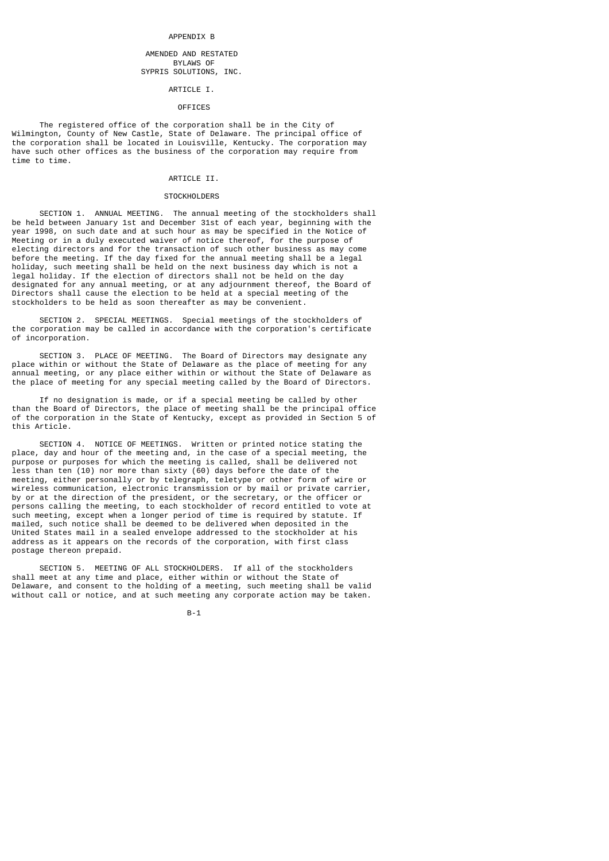#### APPFNDTX R

### AMENDED AND RESTATED BYLAWS OF SYPRIS SOLUTIONS, INC.

### ARTICLE T

# OFFICES

 The registered office of the corporation shall be in the City of Wilmington, County of New Castle, State of Delaware. The principal office of the corporation shall be located in Louisville, Kentucky. The corporation may have such other offices as the business of the corporation may require from time to time.

#### ARTICLE II.

# **STOCKHOLDERS**

 SECTION 1. ANNUAL MEETING. The annual meeting of the stockholders shall be held between January 1st and December 31st of each year, beginning with the year 1998, on such date and at such hour as may be specified in the Notice of Meeting or in a duly executed waiver of notice thereof, for the purpose of electing directors and for the transaction of such other business as may come before the meeting. If the day fixed for the annual meeting shall be a legal holiday, such meeting shall be held on the next business day which is not a legal holiday. If the election of directors shall not be held on the day designated for any annual meeting, or at any adjournment thereof, the Board of Directors shall cause the election to be held at a special meeting of the stockholders to be held as soon thereafter as may be convenient.

 SECTION 2. SPECIAL MEETINGS. Special meetings of the stockholders of the corporation may be called in accordance with the corporation's certificate of incorporation.

 SECTION 3. PLACE OF MEETING. The Board of Directors may designate any place within or without the State of Delaware as the place of meeting for any annual meeting, or any place either within or without the State of Delaware as the place of meeting for any special meeting called by the Board of Directors.

 If no designation is made, or if a special meeting be called by other than the Board of Directors, the place of meeting shall be the principal office of the corporation in the State of Kentucky, except as provided in Section 5 of this Article.

 SECTION 4. NOTICE OF MEETINGS. Written or printed notice stating the place, day and hour of the meeting and, in the case of a special meeting, the purpose or purposes for which the meeting is called, shall be delivered not less than ten (10) nor more than sixty (60) days before the date of the meeting, either personally or by telegraph, teletype or other form of wire or wireless communication, electronic transmission or by mail or private carrier, by or at the direction of the president, or the secretary, or the officer or persons calling the meeting, to each stockholder of record entitled to vote at such meeting, except when a longer period of time is required by statute. If mailed, such notice shall be deemed to be delivered when deposited in the United States mail in a sealed envelope addressed to the stockholder at his address as it appears on the records of the corporation, with first class postage thereon prepaid.

 SECTION 5. MEETING OF ALL STOCKHOLDERS. If all of the stockholders shall meet at any time and place, either within or without the State of Delaware, and consent to the holding of a meeting, such meeting shall be valid without call or notice, and at such meeting any corporate action may be taken.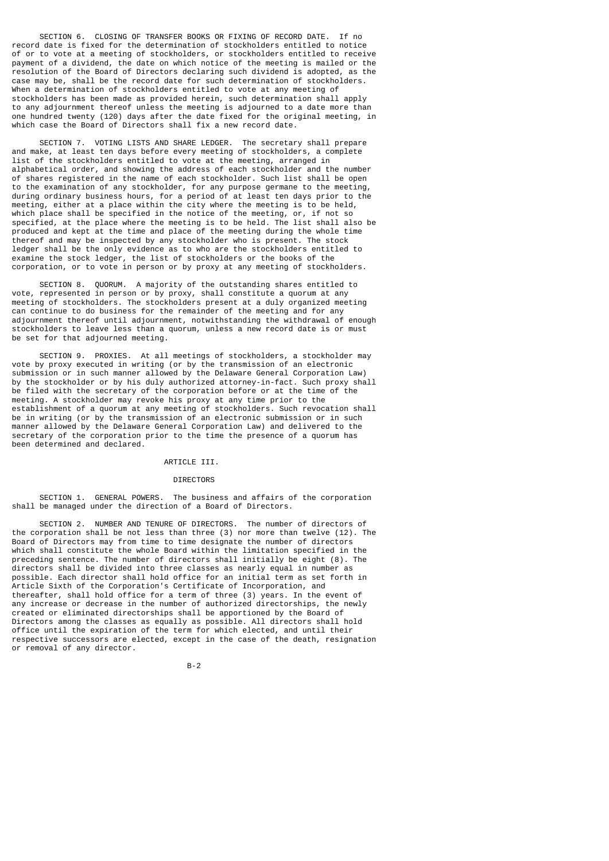SECTION 6. CLOSING OF TRANSFER BOOKS OR FIXING OF RECORD DATE. If no record date is fixed for the determination of stockholders entitled to notice of or to vote at a meeting of stockholders, or stockholders entitled to receive payment of a dividend, the date on which notice of the meeting is mailed or the resolution of the Board of Directors declaring such dividend is adopted, as the case may be, shall be the record date for such determination of stockholders. When a determination of stockholders entitled to vote at any meeting of stockholders has been made as provided herein, such determination shall apply to any adjournment thereof unless the meeting is adjourned to a date more than one hundred twenty (120) days after the date fixed for the original meeting, in which case the Board of Directors shall fix a new record date.

 SECTION 7. VOTING LISTS AND SHARE LEDGER. The secretary shall prepare and make, at least ten days before every meeting of stockholders, a complete list of the stockholders entitled to vote at the meeting, arranged in alphabetical order, and showing the address of each stockholder and the number of shares registered in the name of each stockholder. Such list shall be open to the examination of any stockholder, for any purpose germane to the meeting, during ordinary business hours, for a period of at least ten days prior to the meeting, either at a place within the city where the meeting is to be held, which place shall be specified in the notice of the meeting, or, if not so specified, at the place where the meeting is to be held. The list shall also be produced and kept at the time and place of the meeting during the whole time thereof and may be inspected by any stockholder who is present. The stock ledger shall be the only evidence as to who are the stockholders entitled to examine the stock ledger, the list of stockholders or the books of the corporation, or to vote in person or by proxy at any meeting of stockholders.

 SECTION 8. QUORUM. A majority of the outstanding shares entitled to vote, represented in person or by proxy, shall constitute a quorum at any meeting of stockholders. The stockholders present at a duly organized meeting can continue to do business for the remainder of the meeting and for any adjournment thereof until adjournment, notwithstanding the withdrawal of enough stockholders to leave less than a quorum, unless a new record date is or must be set for that adjourned meeting.

 SECTION 9. PROXIES. At all meetings of stockholders, a stockholder may vote by proxy executed in writing (or by the transmission of an electronic submission or in such manner allowed by the Delaware General Corporation Law) by the stockholder or by his duly authorized attorney-in-fact. Such proxy shall be filed with the secretary of the corporation before or at the time of the meeting. A stockholder may revoke his proxy at any time prior to the establishment of a quorum at any meeting of stockholders. Such revocation shall be in writing (or by the transmission of an electronic submission or in such manner allowed by the Delaware General Corporation Law) and delivered to the secretary of the corporation prior to the time the presence of a quorum has been determined and declared.

## ARTICLE III.

#### **DIRECTORS**

 SECTION 1. GENERAL POWERS. The business and affairs of the corporation shall be managed under the direction of a Board of Directors.

 SECTION 2. NUMBER AND TENURE OF DIRECTORS. The number of directors of the corporation shall be not less than three (3) nor more than twelve (12). The Board of Directors may from time to time designate the number of directors which shall constitute the whole Board within the limitation specified in the preceding sentence. The number of directors shall initially be eight (8). The directors shall be divided into three classes as nearly equal in number as possible. Each director shall hold office for an initial term as set forth in Article Sixth of the Corporation's Certificate of Incorporation, and thereafter, shall hold office for a term of three (3) years. In the event of any increase or decrease in the number of authorized directorships, the newly created or eliminated directorships shall be apportioned by the Board of Directors among the classes as equally as possible. All directors shall hold office until the expiration of the term for which elected, and until their respective successors are elected, except in the case of the death, resignation or removal of any director.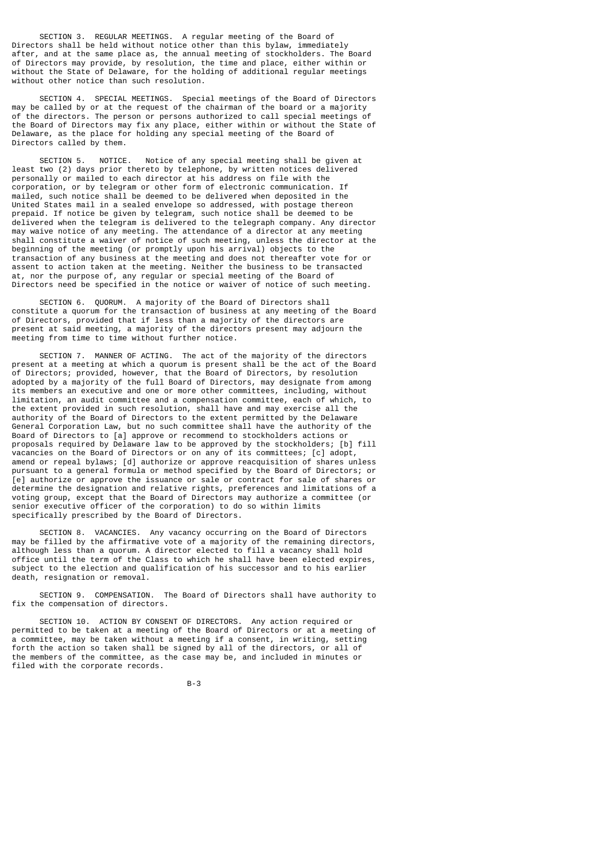SECTION 3. REGULAR MEETINGS. A regular meeting of the Board of Directors shall be held without notice other than this bylaw, immediately after, and at the same place as, the annual meeting of stockholders. The Board of Directors may provide, by resolution, the time and place, either within or without the State of Delaware, for the holding of additional regular meetings without other notice than such resolution.

 SECTION 4. SPECIAL MEETINGS. Special meetings of the Board of Directors may be called by or at the request of the chairman of the board or a majority of the directors. The person or persons authorized to call special meetings of the Board of Directors may fix any place, either within or without the State of Delaware, as the place for holding any special meeting of the Board of Directors called by them.

 SECTION 5. NOTICE. Notice of any special meeting shall be given at least two (2) days prior thereto by telephone, by written notices delivered personally or mailed to each director at his address on file with the corporation, or by telegram or other form of electronic communication. If mailed, such notice shall be deemed to be delivered when deposited in the United States mail in a sealed envelope so addressed, with postage thereon prepaid. If notice be given by telegram, such notice shall be deemed to be delivered when the telegram is delivered to the telegraph company. Any director may waive notice of any meeting. The attendance of a director at any meeting shall constitute a waiver of notice of such meeting, unless the director at the beginning of the meeting (or promptly upon his arrival) objects to the transaction of any business at the meeting and does not thereafter vote for or assent to action taken at the meeting. Neither the business to be transacted at, nor the purpose of, any regular or special meeting of the Board of Directors need be specified in the notice or waiver of notice of such meeting.

 SECTION 6. QUORUM. A majority of the Board of Directors shall constitute a quorum for the transaction of business at any meeting of the Board of Directors, provided that if less than a majority of the directors are present at said meeting, a majority of the directors present may adjourn the meeting from time to time without further notice.

 SECTION 7. MANNER OF ACTING. The act of the majority of the directors present at a meeting at which a quorum is present shall be the act of the Board of Directors; provided, however, that the Board of Directors, by resolution adopted by a majority of the full Board of Directors, may designate from among its members an executive and one or more other committees, including, without limitation, an audit committee and a compensation committee, each of which, to the extent provided in such resolution, shall have and may exercise all the authority of the Board of Directors to the extent permitted by the Delaware General Corporation Law, but no such committee shall have the authority of the Board of Directors to [a] approve or recommend to stockholders actions or proposals required by Delaware law to be approved by the stockholders; [b] fill vacancies on the Board of Directors or on any of its committees; [c] adopt, amend or repeal bylaws; [d] authorize or approve reacquisition of shares unless pursuant to a general formula or method specified by the Board of Directors; or [e] authorize or approve the issuance or sale or contract for sale of shares or determine the designation and relative rights, preferences and limitations of a voting group, except that the Board of Directors may authorize a committee (or senior executive officer of the corporation) to do so within limits specifically prescribed by the Board of Directors.

 SECTION 8. VACANCIES. Any vacancy occurring on the Board of Directors may be filled by the affirmative vote of a majority of the remaining directors, although less than a quorum. A director elected to fill a vacancy shall hold office until the term of the Class to which he shall have been elected expires, subject to the election and qualification of his successor and to his earlier death, resignation or removal.

 SECTION 9. COMPENSATION. The Board of Directors shall have authority to fix the compensation of directors.

 SECTION 10. ACTION BY CONSENT OF DIRECTORS. Any action required or permitted to be taken at a meeting of the Board of Directors or at a meeting of a committee, may be taken without a meeting if a consent, in writing, setting forth the action so taken shall be signed by all of the directors, or all of the members of the committee, as the case may be, and included in minutes or filed with the corporate records.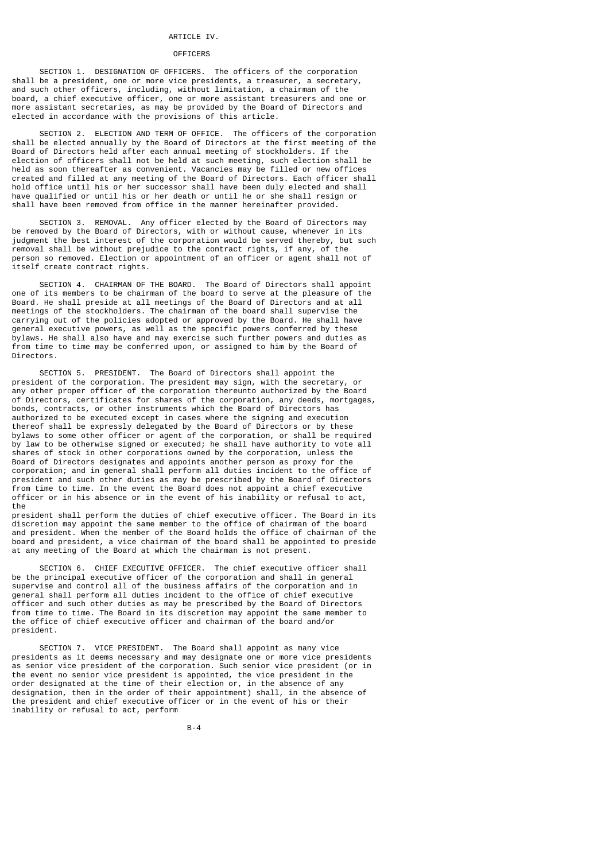#### ARTICLE IV.

### **OFFICERS**

 SECTION 1. DESIGNATION OF OFFICERS. The officers of the corporation shall be a president, one or more vice presidents, a treasurer, a secretary, and such other officers, including, without limitation, a chairman of the board, a chief executive officer, one or more assistant treasurers and one or more assistant secretaries, as may be provided by the Board of Directors and elected in accordance with the provisions of this article.

 SECTION 2. ELECTION AND TERM OF OFFICE. The officers of the corporation shall be elected annually by the Board of Directors at the first meeting of the Board of Directors held after each annual meeting of stockholders. If the election of officers shall not be held at such meeting, such election shall be held as soon thereafter as convenient. Vacancies may be filled or new offices created and filled at any meeting of the Board of Directors. Each officer shall hold office until his or her successor shall have been duly elected and shall have qualified or until his or her death or until he or she shall resign or shall have been removed from office in the manner hereinafter provided.

 SECTION 3. REMOVAL. Any officer elected by the Board of Directors may be removed by the Board of Directors, with or without cause, whenever in its judgment the best interest of the corporation would be served thereby, but such removal shall be without prejudice to the contract rights, if any, of the person so removed. Election or appointment of an officer or agent shall not of itself create contract rights.

 SECTION 4. CHAIRMAN OF THE BOARD. The Board of Directors shall appoint one of its members to be chairman of the board to serve at the pleasure of the Board. He shall preside at all meetings of the Board of Directors and at all meetings of the stockholders. The chairman of the board shall supervise the carrying out of the policies adopted or approved by the Board. He shall have general executive powers, as well as the specific powers conferred by these bylaws. He shall also have and may exercise such further powers and duties as from time to time may be conferred upon, or assigned to him by the Board of Directors.

 SECTION 5. PRESIDENT. The Board of Directors shall appoint the president of the corporation. The president may sign, with the secretary, or any other proper officer of the corporation thereunto authorized by the Board of Directors, certificates for shares of the corporation, any deeds, mortgages, bonds, contracts, or other instruments which the Board of Directors has authorized to be executed except in cases where the signing and execution thereof shall be expressly delegated by the Board of Directors or by these bylaws to some other officer or agent of the corporation, or shall be required by law to be otherwise signed or executed; he shall have authority to vote all shares of stock in other corporations owned by the corporation, unless the Board of Directors designates and appoints another person as proxy for the corporation; and in general shall perform all duties incident to the office of president and such other duties as may be prescribed by the Board of Directors from time to time. In the event the Board does not appoint a chief executive officer or in his absence or in the event of his inability or refusal to act, the

president shall perform the duties of chief executive officer. The Board in its discretion may appoint the same member to the office of chairman of the board and president. When the member of the Board holds the office of chairman of the board and president, a vice chairman of the board shall be appointed to preside at any meeting of the Board at which the chairman is not present.

 SECTION 6. CHIEF EXECUTIVE OFFICER. The chief executive officer shall be the principal executive officer of the corporation and shall in general supervise and control all of the business affairs of the corporation and in general shall perform all duties incident to the office of chief executive officer and such other duties as may be prescribed by the Board of Directors from time to time. The Board in its discretion may appoint the same member to the office of chief executive officer and chairman of the board and/or president.

 SECTION 7. VICE PRESIDENT. The Board shall appoint as many vice presidents as it deems necessary and may designate one or more vice presidents as senior vice president of the corporation. Such senior vice president (or in the event no senior vice president is appointed, the vice president in the order designated at the time of their election or, in the absence of any designation, then in the order of their appointment) shall, in the absence of the president and chief executive officer or in the event of his or their inability or refusal to act, perform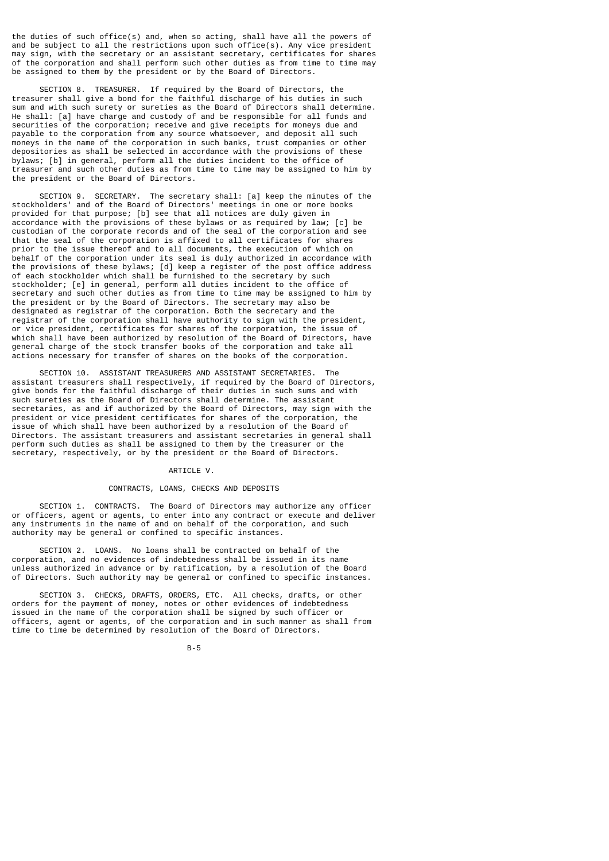the duties of such office(s) and, when so acting, shall have all the powers of and be subject to all the restrictions upon such office(s). Any vice president may sign, with the secretary or an assistant secretary, certificates for shares of the corporation and shall perform such other duties as from time to time may be assigned to them by the president or by the Board of Directors.

 SECTION 8. TREASURER. If required by the Board of Directors, the treasurer shall give a bond for the faithful discharge of his duties in such sum and with such surety or sureties as the Board of Directors shall determine. He shall: [a] have charge and custody of and be responsible for all funds and securities of the corporation; receive and give receipts for moneys due and payable to the corporation from any source whatsoever, and deposit all such moneys in the name of the corporation in such banks, trust companies or other depositories as shall be selected in accordance with the provisions of these bylaws; [b] in general, perform all the duties incident to the office of treasurer and such other duties as from time to time may be assigned to him by the president or the Board of Directors.

 SECTION 9. SECRETARY. The secretary shall: [a] keep the minutes of the stockholders' and of the Board of Directors' meetings in one or more books provided for that purpose; [b] see that all notices are duly given in accordance with the provisions of these bylaws or as required by law; [c] be custodian of the corporate records and of the seal of the corporation and see that the seal of the corporation is affixed to all certificates for shares prior to the issue thereof and to all documents, the execution of which on behalf of the corporation under its seal is duly authorized in accordance with the provisions of these bylaws; [d] keep a register of the post office address of each stockholder which shall be furnished to the secretary by such stockholder; [e] in general, perform all duties incident to the office of secretary and such other duties as from time to time may be assigned to him by the president or by the Board of Directors. The secretary may also be designated as registrar of the corporation. Both the secretary and the registrar of the corporation shall have authority to sign with the president, or vice president, certificates for shares of the corporation, the issue of which shall have been authorized by resolution of the Board of Directors, have general charge of the stock transfer books of the corporation and take all actions necessary for transfer of shares on the books of the corporation.

 SECTION 10. ASSISTANT TREASURERS AND ASSISTANT SECRETARIES. The assistant treasurers shall respectively, if required by the Board of Directors, give bonds for the faithful discharge of their duties in such sums and with such sureties as the Board of Directors shall determine. The assistant secretaries, as and if authorized by the Board of Directors, may sign with the president or vice president certificates for shares of the corporation, the issue of which shall have been authorized by a resolution of the Board of Directors. The assistant treasurers and assistant secretaries in general shall perform such duties as shall be assigned to them by the treasurer or the secretary, respectively, or by the president or the Board of Directors.

# ARTICLE V.

# CONTRACTS, LOANS, CHECKS AND DEPOSITS

 SECTION 1. CONTRACTS. The Board of Directors may authorize any officer or officers, agent or agents, to enter into any contract or execute and deliver any instruments in the name of and on behalf of the corporation, and such authority may be general or confined to specific instances.

 SECTION 2. LOANS. No loans shall be contracted on behalf of the corporation, and no evidences of indebtedness shall be issued in its name unless authorized in advance or by ratification, by a resolution of the Board of Directors. Such authority may be general or confined to specific instances.

 SECTION 3. CHECKS, DRAFTS, ORDERS, ETC. All checks, drafts, or other orders for the payment of money, notes or other evidences of indebtedness issued in the name of the corporation shall be signed by such officer or officers, agent or agents, of the corporation and in such manner as shall from time to time be determined by resolution of the Board of Directors.

ве в село в село в село во село во село во село во село во село во село во село во село во село во село во сел<br>Во село во село во село во село во село во село во село во село во село во село во село во село во село во сел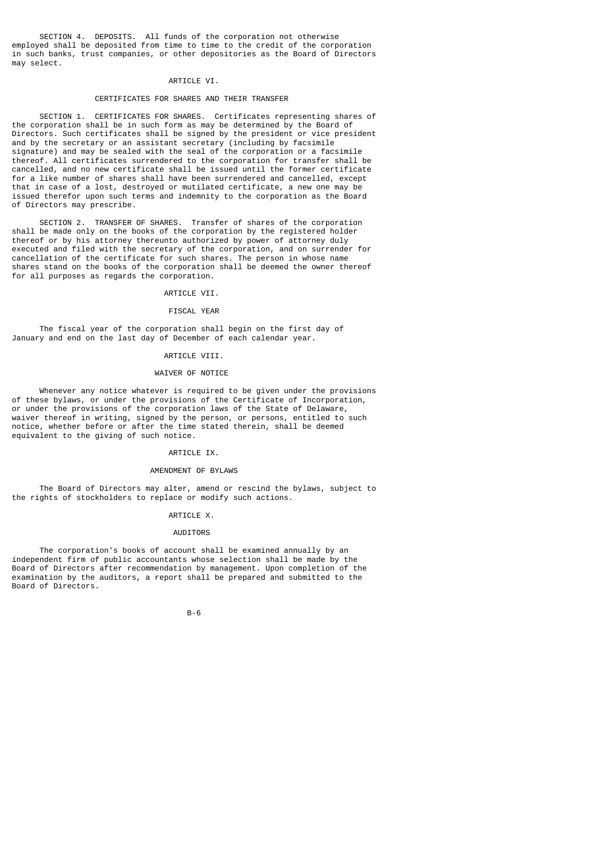SECTION 4. DEPOSITS. All funds of the corporation not otherwise employed shall be deposited from time to time to the credit of the corporation in such banks, trust companies, or other depositories as the Board of Directors may select.

# ARTICLE VI

# CERTIFICATES FOR SHARES AND THEIR TRANSFER

 SECTION 1. CERTIFICATES FOR SHARES. Certificates representing shares of the corporation shall be in such form as may be determined by the Board of Directors. Such certificates shall be signed by the president or vice president and by the secretary or an assistant secretary (including by facsimile signature) and may be sealed with the seal of the corporation or a facsimile thereof. All certificates surrendered to the corporation for transfer shall be cancelled, and no new certificate shall be issued until the former certificate for a like number of shares shall have been surrendered and cancelled, except that in case of a lost, destroyed or mutilated certificate, a new one may be issued therefor upon such terms and indemnity to the corporation as the Board of Directors may prescribe.

 SECTION 2. TRANSFER OF SHARES. Transfer of shares of the corporation shall be made only on the books of the corporation by the registered holder thereof or by his attorney thereunto authorized by power of attorney duly executed and filed with the secretary of the corporation, and on surrender for cancellation of the certificate for such shares. The person in whose name shares stand on the books of the corporation shall be deemed the owner thereof for all purposes as regards the corporation.

### ARTICLE VII.

# FISCAL YEAR

 The fiscal year of the corporation shall begin on the first day of January and end on the last day of December of each calendar year.

### ARTICLE VIII.

### WAIVER OF NOTICE

 Whenever any notice whatever is required to be given under the provisions of these bylaws, or under the provisions of the Certificate of Incorporation, or under the provisions of the corporation laws of the State of Delaware, waiver thereof in writing, signed by the person, or persons, entitled to such notice, whether before or after the time stated therein, shall be deemed equivalent to the giving of such notice.

### ARTICLE IX.

### AMENDMENT OF BYLAWS

 The Board of Directors may alter, amend or rescind the bylaws, subject to the rights of stockholders to replace or modify such actions.

# ARTICLE X.

# AUDITORS

 The corporation's books of account shall be examined annually by an independent firm of public accountants whose selection shall be made by the Board of Directors after recommendation by management. Upon completion of the examination by the auditors, a report shall be prepared and submitted to the Board of Directors.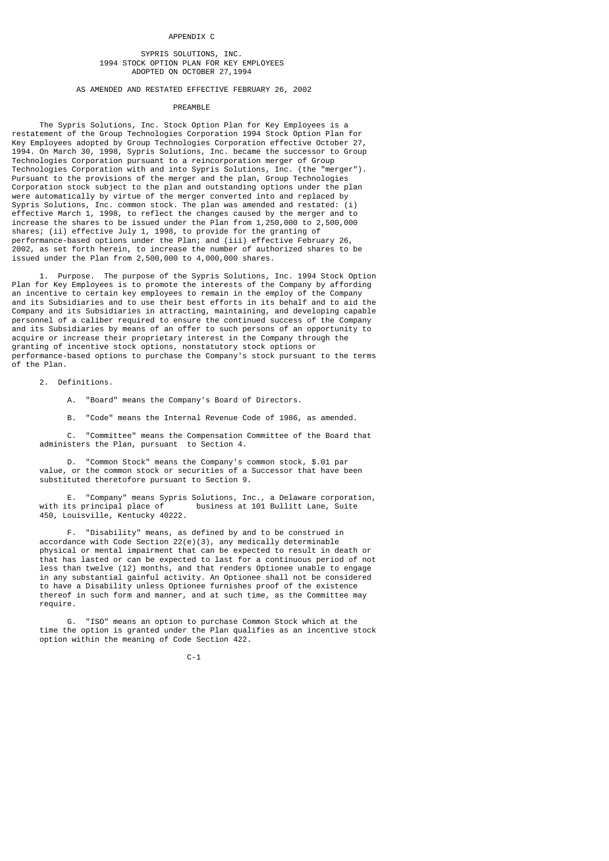#### APPENDIX C

# SYPRIS SOLUTIONS, INC. 1994 STOCK OPTION PLAN FOR KEY EMPLOYEES ADOPTED ON OCTOBER 27,1994

# AS AMENDED AND RESTATED EFFECTIVE FEBRUARY 26, 2002

# PREAMBLE

 The Sypris Solutions, Inc. Stock Option Plan for Key Employees is a restatement of the Group Technologies Corporation 1994 Stock Option Plan for Key Employees adopted by Group Technologies Corporation effective October 27, 1994. On March 30, 1998, Sypris Solutions, Inc. became the successor to Group Technologies Corporation pursuant to a reincorporation merger of Group Technologies Corporation with and into Sypris Solutions, Inc. (the "merger"). Pursuant to the provisions of the merger and the plan, Group Technologies Corporation stock subject to the plan and outstanding options under the plan were automatically by virtue of the merger converted into and replaced by Sypris Solutions, Inc. common stock. The plan was amended and restated: (i) effective March 1, 1998, to reflect the changes caused by the merger and to increase the shares to be issued under the Plan from 1,250,000 to 2,500,000 shares; (ii) effective July 1, 1998, to provide for the granting of performance-based options under the Plan; and (iii) effective February 26, 2002, as set forth herein, to increase the number of authorized shares to be issued under the Plan from 2,500,000 to 4,000,000 shares.

 1. Purpose. The purpose of the Sypris Solutions, Inc. 1994 Stock Option Plan for Key Employees is to promote the interests of the Company by affording an incentive to certain key employees to remain in the employ of the Company and its Subsidiaries and to use their best efforts in its behalf and to aid the Company and its Subsidiaries in attracting, maintaining, and developing capable personnel of a caliber required to ensure the continued success of the Company and its Subsidiaries by means of an offer to such persons of an opportunity to acquire or increase their proprietary interest in the Company through the granting of incentive stock options, nonstatutory stock options or performance-based options to purchase the Company's stock pursuant to the terms of the Plan.

2. Definitions.

A. "Board" means the Company's Board of Directors.

B. "Code" means the Internal Revenue Code of 1986, as amended.

 C. "Committee" means the Compensation Committee of the Board that administers the Plan, pursuant to Section 4.

 D. "Common Stock" means the Company's common stock, \$.01 par value, or the common stock or securities of a Successor that have been substituted theretofore pursuant to Section 9.

 E. "Company" means Sypris Solutions, Inc., a Delaware corporation, with its principal place of business at 101 Bullitt Lane, Suite 450, Louisville, Kentucky 40222.

 F. "Disability" means, as defined by and to be construed in accordance with Code Section 22(e)(3), any medically determinable physical or mental impairment that can be expected to result in death or that has lasted or can be expected to last for a continuous period of not less than twelve (12) months, and that renders Optionee unable to engage in any substantial gainful activity. An Optionee shall not be considered to have a Disability unless Optionee furnishes proof of the existence thereof in such form and manner, and at such time, as the Committee may require.

 G. "ISO" means an option to purchase Common Stock which at the time the option is granted under the Plan qualifies as an incentive stock option within the meaning of Code Section 422.

 $C-1$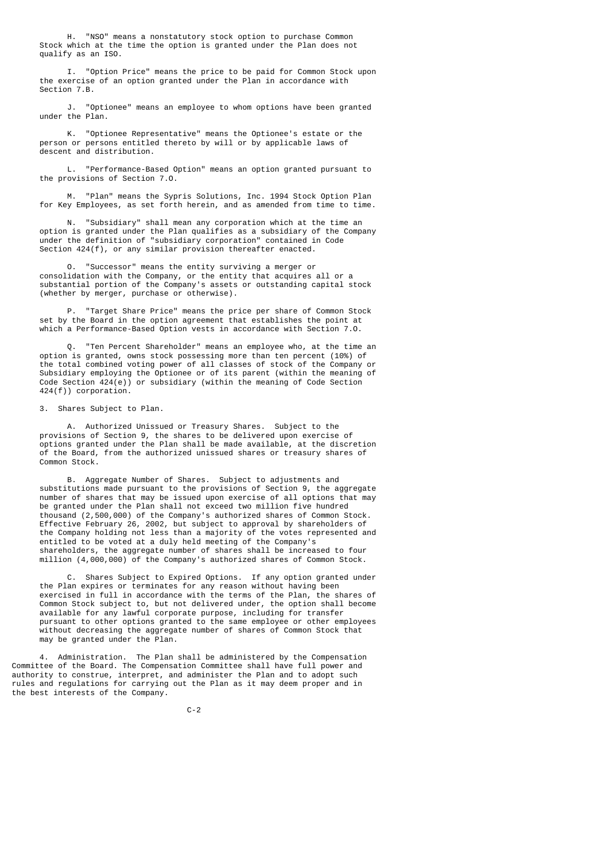H. "NSO" means a nonstatutory stock option to purchase Common Stock which at the time the option is granted under the Plan does not qualify as an ISO.

 I. "Option Price" means the price to be paid for Common Stock upon the exercise of an option granted under the Plan in accordance with Section 7.B.

 J. "Optionee" means an employee to whom options have been granted under the Plan.

 K. "Optionee Representative" means the Optionee's estate or the person or persons entitled thereto by will or by applicable laws of descent and distribution.

 L. "Performance-Based Option" means an option granted pursuant to the provisions of Section 7.O.

 M. "Plan" means the Sypris Solutions, Inc. 1994 Stock Option Plan for Key Employees, as set forth herein, and as amended from time to time.

 N. "Subsidiary" shall mean any corporation which at the time an option is granted under the Plan qualifies as a subsidiary of the Company under the definition of "subsidiary corporation" contained in Code Section 424(f), or any similar provision thereafter enacted.

 O. "Successor" means the entity surviving a merger or consolidation with the Company, or the entity that acquires all or a substantial portion of the Company's assets or outstanding capital stock (whether by merger, purchase or otherwise).

 P. "Target Share Price" means the price per share of Common Stock set by the Board in the option agreement that establishes the point at which a Performance-Based Option vests in accordance with Section 7.O.

"Ten Percent Shareholder" means an employee who, at the time an option is granted, owns stock possessing more than ten percent (10%) of the total combined voting power of all classes of stock of the Company or Subsidiary employing the Optionee or of its parent (within the meaning of Code Section  $424(e)$ ) or subsidiary (within the meaning of Code Section 424(f)) corporation.

3. Shares Subject to Plan.

 A. Authorized Unissued or Treasury Shares. Subject to the provisions of Section 9, the shares to be delivered upon exercise of options granted under the Plan shall be made available, at the discretion of the Board, from the authorized unissued shares or treasury shares of Common Stock.

 B. Aggregate Number of Shares. Subject to adjustments and substitutions made pursuant to the provisions of Section 9, the aggregate number of shares that may be issued upon exercise of all options that may be granted under the Plan shall not exceed two million five hundred thousand (2,500,000) of the Company's authorized shares of Common Stock. Effective February 26, 2002, but subject to approval by shareholders of the Company holding not less than a majority of the votes represented and entitled to be voted at a duly held meeting of the Company's shareholders, the aggregate number of shares shall be increased to four million (4,000,000) of the Company's authorized shares of Common Stock.

 C. Shares Subject to Expired Options. If any option granted under the Plan expires or terminates for any reason without having been exercised in full in accordance with the terms of the Plan, the shares of Common Stock subject to, but not delivered under, the option shall become available for any lawful corporate purpose, including for transfer pursuant to other options granted to the same employee or other employees without decreasing the aggregate number of shares of Common Stock that may be granted under the Plan.

 4. Administration. The Plan shall be administered by the Compensation Committee of the Board. The Compensation Committee shall have full power and authority to construe, interpret, and administer the Plan and to adopt such rules and regulations for carrying out the Plan as it may deem proper and in the best interests of the Company.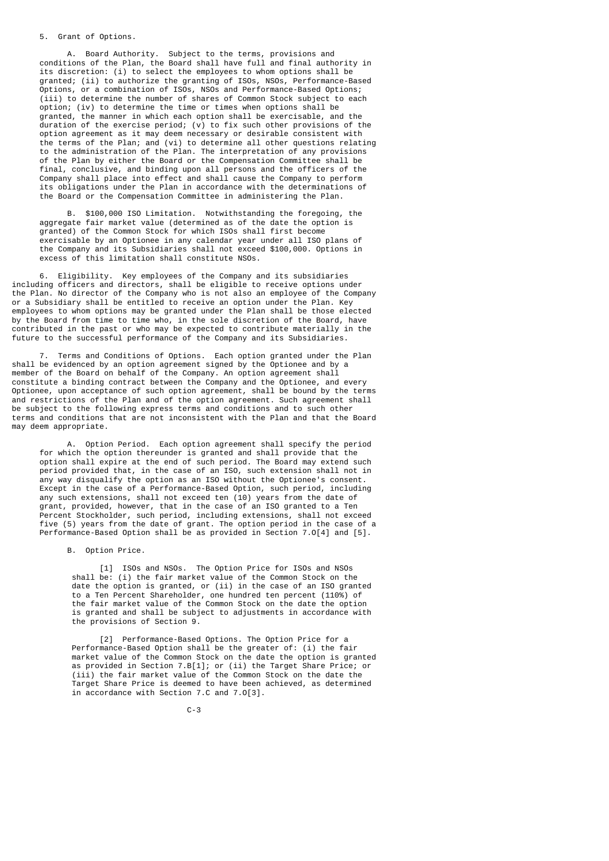### 5. Grant of Options.

 A. Board Authority. Subject to the terms, provisions and conditions of the Plan, the Board shall have full and final authority in its discretion: (i) to select the employees to whom options shall be granted; (ii) to authorize the granting of ISOs, NSOs, Performance-Based Options, or a combination of ISOs, NSOs and Performance-Based Options; (iii) to determine the number of shares of Common Stock subject to each option; (iv) to determine the time or times when options shall be granted, the manner in which each option shall be exercisable, and the duration of the exercise period; (v) to fix such other provisions of the option agreement as it may deem necessary or desirable consistent with the terms of the Plan; and (vi) to determine all other questions relating to the administration of the Plan. The interpretation of any provisions of the Plan by either the Board or the Compensation Committee shall be final, conclusive, and binding upon all persons and the officers of the Company shall place into effect and shall cause the Company to perform its obligations under the Plan in accordance with the determinations of the Board or the Compensation Committee in administering the Plan.

 B. \$100,000 ISO Limitation. Notwithstanding the foregoing, the aggregate fair market value (determined as of the date the option is granted) of the Common Stock for which ISOs shall first become exercisable by an Optionee in any calendar year under all ISO plans of the Company and its Subsidiaries shall not exceed \$100,000. Options in excess of this limitation shall constitute NSOs.

 6. Eligibility. Key employees of the Company and its subsidiaries including officers and directors, shall be eligible to receive options under the Plan. No director of the Company who is not also an employee of the Company or a Subsidiary shall be entitled to receive an option under the Plan. Key employees to whom options may be granted under the Plan shall be those elected by the Board from time to time who, in the sole discretion of the Board, have contributed in the past or who may be expected to contribute materially in the future to the successful performance of the Company and its Subsidiaries.

 7. Terms and Conditions of Options. Each option granted under the Plan shall be evidenced by an option agreement signed by the Optionee and by a member of the Board on behalf of the Company. An option agreement shall constitute a binding contract between the Company and the Optionee, and every Optionee, upon acceptance of such option agreement, shall be bound by the terms and restrictions of the Plan and of the option agreement. Such agreement shall be subject to the following express terms and conditions and to such other terms and conditions that are not inconsistent with the Plan and that the Board may deem appropriate.

 A. Option Period. Each option agreement shall specify the period for which the option thereunder is granted and shall provide that the option shall expire at the end of such period. The Board may extend such period provided that, in the case of an ISO, such extension shall not in any way disqualify the option as an ISO without the Optionee's consent. Except in the case of a Performance-Based Option, such period, including any such extensions, shall not exceed ten (10) years from the date of grant, provided, however, that in the case of an ISO granted to a Ten Percent Stockholder, such period, including extensions, shall not exceed five (5) years from the date of grant. The option period in the case of a Performance-Based Option shall be as provided in Section 7.O[4] and [5].

B. Option Price.

 [1] ISOs and NSOs. The Option Price for ISOs and NSOs shall be: (i) the fair market value of the Common Stock on the date the option is granted, or (ii) in the case of an ISO granted to a Ten Percent Shareholder, one hundred ten percent (110%) of the fair market value of the Common Stock on the date the option is granted and shall be subject to adjustments in accordance with the provisions of Section 9.

[2] Performance-Based Options. The Option Price for a Performance-Based Option shall be the greater of: (i) the fair market value of the Common Stock on the date the option is granted as provided in Section 7.B[1]; or (ii) the Target Share Price; or (iii) the fair market value of the Common Stock on the date the Target Share Price is deemed to have been achieved, as determined in accordance with Section 7.C and 7.O[3].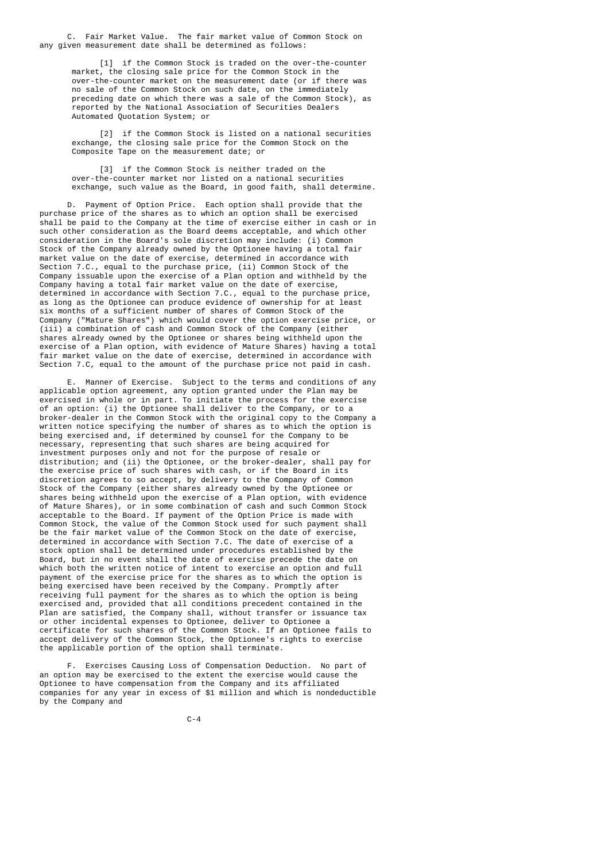C. Fair Market Value. The fair market value of Common Stock on any given measurement date shall be determined as follows:

 [1] if the Common Stock is traded on the over-the-counter market, the closing sale price for the Common Stock in the over-the-counter market on the measurement date (or if there was no sale of the Common Stock on such date, on the immediately preceding date on which there was a sale of the Common Stock), as reported by the National Association of Securities Dealers Automated Quotation System; or

 [2] if the Common Stock is listed on a national securities exchange, the closing sale price for the Common Stock on the Composite Tape on the measurement date; or

 [3] if the Common Stock is neither traded on the over-the-counter market nor listed on a national securities exchange, such value as the Board, in good faith, shall determine.

 D. Payment of Option Price. Each option shall provide that the purchase price of the shares as to which an option shall be exercised shall be paid to the Company at the time of exercise either in cash or in such other consideration as the Board deems acceptable, and which other consideration in the Board's sole discretion may include: (i) Common Stock of the Company already owned by the Optionee having a total fair market value on the date of exercise, determined in accordance with Section 7.C., equal to the purchase  $price$ , (ii) Common Stock of the Company issuable upon the exercise of a Plan option and withheld by the Company having a total fair market value on the date of exercise, determined in accordance with Section 7.C., equal to the purchase price, as long as the Optionee can produce evidence of ownership for at least six months of a sufficient number of shares of Common Stock of the Company ("Mature Shares") which would cover the option exercise price, or (iii) a combination of cash and Common Stock of the Company (either shares already owned by the Optionee or shares being withheld upon the exercise of a Plan option, with evidence of Mature Shares) having a total fair market value on the date of exercise, determined in accordance with Section 7.C, equal to the amount of the purchase price not paid in cash.

 E. Manner of Exercise. Subject to the terms and conditions of any applicable option agreement, any option granted under the Plan may be exercised in whole or in part. To initiate the process for the exercise of an option: (i) the Optionee shall deliver to the Company, or to a broker-dealer in the Common Stock with the original copy to the Company a written notice specifying the number of shares as to which the option is being exercised and, if determined by counsel for the Company to be necessary, representing that such shares are being acquired for investment purposes only and not for the purpose of resale or distribution; and (ii) the Optionee, or the broker-dealer, shall pay for the exercise price of such shares with cash, or if the Board in its discretion agrees to so accept, by delivery to the Company of Common Stock of the Company (either shares already owned by the Optionee or shares being withheld upon the exercise of a Plan option, with evidence of Mature Shares), or in some combination of cash and such Common Stock acceptable to the Board. If payment of the Option Price is made with Common Stock, the value of the Common Stock used for such payment shall be the fair market value of the Common Stock on the date of exercise, determined in accordance with Section 7.C. The date of exercise of a stock option shall be determined under procedures established by the Board, but in no event shall the date of exercise precede the date on which both the written notice of intent to exercise an option and full payment of the exercise price for the shares as to which the option is being exercised have been received by the Company. Promptly after receiving full payment for the shares as to which the option is being exercised and, provided that all conditions precedent contained in the Plan are satisfied, the Company shall, without transfer or issuance tax or other incidental expenses to Optionee, deliver to Optionee a certificate for such shares of the Common Stock. If an Optionee fails to accept delivery of the Common Stock, the Optionee's rights to exercise the applicable portion of the option shall terminate.

 F. Exercises Causing Loss of Compensation Deduction. No part of an option may be exercised to the extent the exercise would cause the Optionee to have compensation from the Company and its affiliated companies for any year in excess of \$1 million and which is nondeductible by the Company and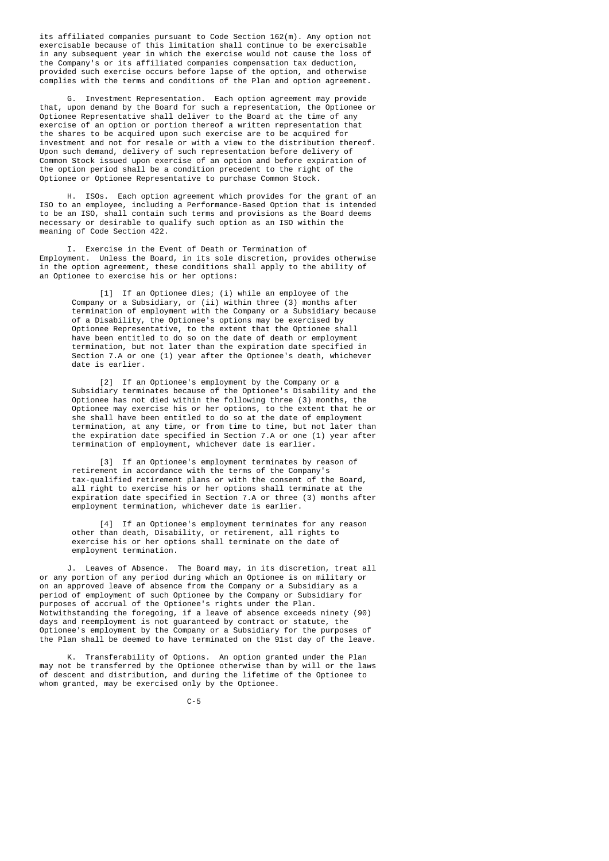its affiliated companies pursuant to Code Section 162(m). Any option not exercisable because of this limitation shall continue to be exercisable in any subsequent year in which the exercise would not cause the loss of the Company's or its affiliated companies compensation tax deduction, provided such exercise occurs before lapse of the option, and otherwise complies with the terms and conditions of the Plan and option agreement.

 G. Investment Representation. Each option agreement may provide that, upon demand by the Board for such a representation, the Optionee or Optionee Representative shall deliver to the Board at the time of any exercise of an option or portion thereof a written representation that the shares to be acquired upon such exercise are to be acquired for investment and not for resale or with a view to the distribution thereof. Upon such demand, delivery of such representation before delivery of Common Stock issued upon exercise of an option and before expiration of the option period shall be a condition precedent to the right of the Optionee or Optionee Representative to purchase Common Stock.

 H. ISOs. Each option agreement which provides for the grant of an ISO to an employee, including a Performance-Based Option that is intended to be an ISO, shall contain such terms and provisions as the Board deems necessary or desirable to qualify such option as an ISO within the meaning of Code Section 422.

 I. Exercise in the Event of Death or Termination of Employment. Unless the Board, in its sole discretion, provides otherwise in the option agreement, these conditions shall apply to the ability of an Optionee to exercise his or her options:

 [1] If an Optionee dies; (i) while an employee of the Company or a Subsidiary, or (ii) within three (3) months after termination of employment with the Company or a Subsidiary because of a Disability, the Optionee's options may be exercised by Optionee Representative, to the extent that the Optionee shall have been entitled to do so on the date of death or employment termination, but not later than the expiration date specified in Section 7.A or one (1) year after the Optionee's death, whichever date is earlier.

[2] If an Optionee's employment by the Company or a Subsidiary terminates because of the Optionee's Disability and the Optionee has not died within the following three (3) months, the Optionee may exercise his or her options, to the extent that he or she shall have been entitled to do so at the date of employment termination, at any time, or from time to time, but not later than the expiration date specified in Section 7.A or one (1) year after termination of employment, whichever date is earlier.

 [3] If an Optionee's employment terminates by reason of retirement in accordance with the terms of the Company's tax-qualified retirement plans or with the consent of the Board, all right to exercise his or her options shall terminate at the expiration date specified in Section 7.A or three (3) months after employment termination, whichever date is earlier.

> [4] If an Optionee's employment terminates for any reason other than death, Disability, or retirement, all rights to exercise his or her options shall terminate on the date of employment termination.

 J. Leaves of Absence. The Board may, in its discretion, treat all or any portion of any period during which an Optionee is on military or on an approved leave of absence from the Company or a Subsidiary as a period of employment of such Optionee by the Company or Subsidiary for purposes of accrual of the Optionee's rights under the Plan. Notwithstanding the foregoing, if a leave of absence exceeds ninety (90) days and reemployment is not guaranteed by contract or statute, the Optionee's employment by the Company or a Subsidiary for the purposes of the Plan shall be deemed to have terminated on the 91st day of the leave.

 K. Transferability of Options. An option granted under the Plan may not be transferred by the Optionee otherwise than by will or the laws of descent and distribution, and during the lifetime of the Optionee to whom granted, may be exercised only by the Optionee.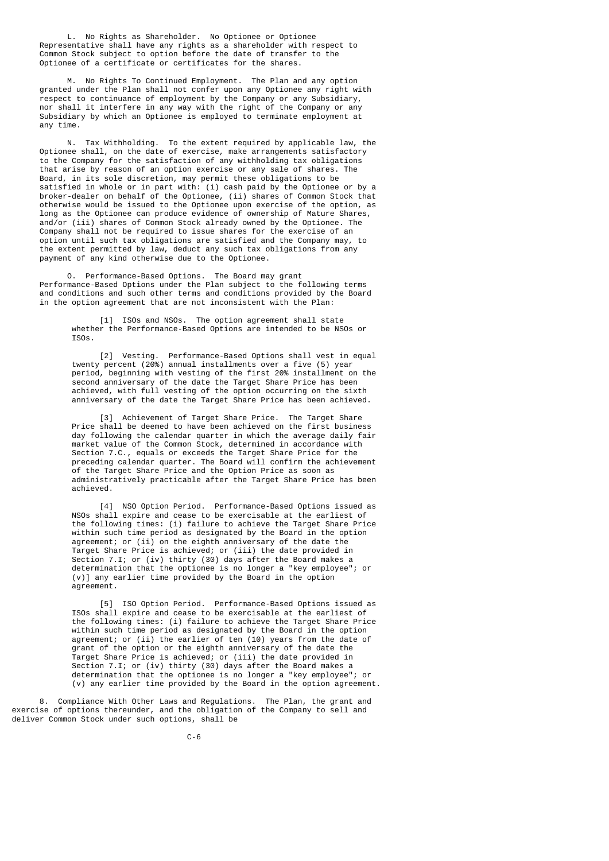L. No Rights as Shareholder. No Optionee or Optionee Representative shall have any rights as a shareholder with respect to Common Stock subject to option before the date of transfer to the Optionee of a certificate or certificates for the shares.

 M. No Rights To Continued Employment. The Plan and any option granted under the Plan shall not confer upon any Optionee any right with respect to continuance of employment by the Company or any Subsidiary, nor shall it interfere in any way with the right of the Company or any Subsidiary by which an Optionee is employed to terminate employment at any time.

 N. Tax Withholding. To the extent required by applicable law, the Optionee shall, on the date of exercise, make arrangements satisfactory to the Company for the satisfaction of any withholding tax obligations that arise by reason of an option exercise or any sale of shares. The Board, in its sole discretion, may permit these obligations to be satisfied in whole or in part with: (i) cash paid by the Optionee or by a broker-dealer on behalf of the Optionee, (ii) shares of Common Stock that otherwise would be issued to the Optionee upon exercise of the option, as long as the Optionee can produce evidence of ownership of Mature Shares, and/or (iii) shares of Common Stock already owned by the Optionee. The Company shall not be required to issue shares for the exercise of an option until such tax obligations are satisfied and the Company may, to the extent permitted by law, deduct any such tax obligations from any payment of any kind otherwise due to the Optionee.

 O. Performance-Based Options. The Board may grant Performance-Based Options under the Plan subject to the following terms and conditions and such other terms and conditions provided by the Board in the option agreement that are not inconsistent with the Plan:

 [1] ISOs and NSOs. The option agreement shall state whether the Performance-Based Options are intended to be NSOs or ISOs.

[2] Vesting. Performance-Based Options shall vest in equal twenty percent (20%) annual installments over a five (5) year period, beginning with vesting of the first 20% installment on the second anniversary of the date the Target Share Price has been achieved, with full vesting of the option occurring on the sixth anniversary of the date the Target Share Price has been achieved.

 [3] Achievement of Target Share Price. The Target Share Price shall be deemed to have been achieved on the first business day following the calendar quarter in which the average daily fair market value of the Common Stock, determined in accordance with Section 7.C., equals or exceeds the Target Share Price for the preceding calendar quarter. The Board will confirm the achievement of the Target Share Price and the Option Price as soon as administratively practicable after the Target Share Price has been achieved.

> [4] NSO Option Period. Performance-Based Options issued as NSOs shall expire and cease to be exercisable at the earliest of the following times: (i) failure to achieve the Target Share Price within such time period as designated by the Board in the option agreement; or (ii) on the eighth anniversary of the date the Target Share Price is achieved; or (iii) the date provided in Section 7.I; or (iv) thirty (30) days after the Board makes a determination that the optionee is no longer a "key employee"; or (v)] any earlier time provided by the Board in the option agreement.

 [5] ISO Option Period. Performance-Based Options issued as ISOs shall expire and cease to be exercisable at the earliest of the following times: (i) failure to achieve the Target Share Price within such time period as designated by the Board in the option agreement; or (ii) the earlier of ten (10) years from the date of grant of the option or the eighth anniversary of the date the Target Share Price is achieved; or (iii) the date provided in Section 7.I; or (iv) thirty (30) days after the Board makes a determination that the optionee is no longer a "key employee"; or (v) any earlier time provided by the Board in the option agreement.

 8. Compliance With Other Laws and Regulations. The Plan, the grant and exercise of options thereunder, and the obligation of the Company to sell and deliver Common Stock under such options, shall be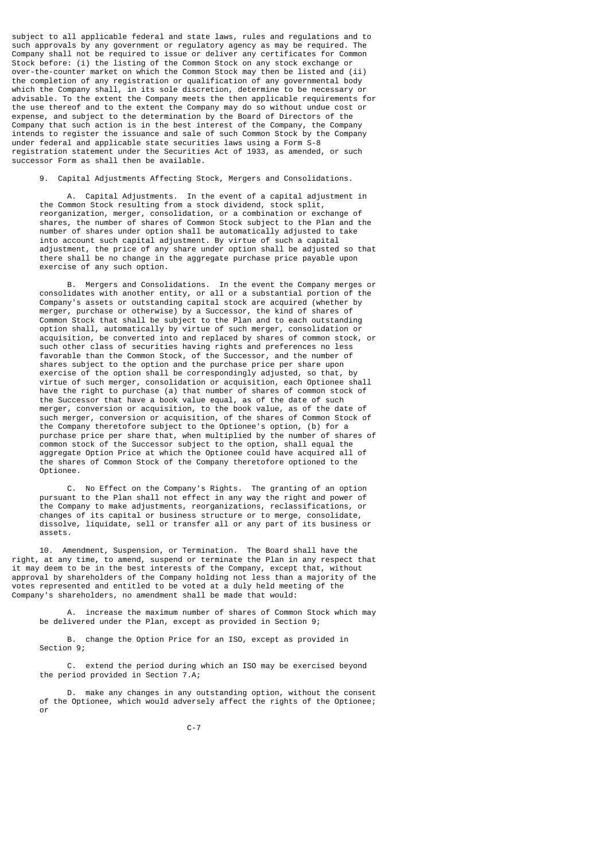subject to all applicable federal and state laws, rules and regulations and to such approvals by any government or regulatory agency as may be required. The Company shall not be required to issue or deliver any certificates for Common Stock before: (i) the listing of the Common Stock on any stock exchange or over-the-counter market on which the Common Stock may then be listed and (ii) the completion of any registration or qualification of any governmental body which the Company shall, in its sole discretion, determine to be necessary or advisable. To the extent the Company meets the then applicable requirements for the use thereof and to the extent the Company may do so without undue cost or expense, and subject to the determination by the Board of Directors of the Company that such action is in the best interest of the Company, the Company intends to register the issuance and sale of such Common Stock by the Company under federal and applicable state securities laws using a Form S-8 registration statement under the Securities Act of 1933, as amended, or such successor Form as shall then be available.

9. Capital Adjustments Affecting Stock, Mergers and Consolidations.

 A. Capital Adjustments. In the event of a capital adjustment in the Common Stock resulting from a stock dividend, stock split, reorganization, merger, consolidation, or a combination or exchange of shares, the number of shares of Common Stock subject to the Plan and the number of shares under option shall be automatically adjusted to take into account such capital adjustment. By virtue of such a capital adjustment, the price of any share under option shall be adjusted so that there shall be no change in the aggregate purchase price payable upon exercise of any such option.

 B. Mergers and Consolidations. In the event the Company merges or consolidates with another entity, or all or a substantial portion of the Company's assets or outstanding capital stock are acquired (whether by merger, purchase or otherwise) by a Successor, the kind of shares of Common Stock that shall be subject to the Plan and to each outstanding option shall, automatically by virtue of such merger, consolidation or acquisition, be converted into and replaced by shares of common stock, or such other class of securities having rights and preferences no less favorable than the Common Stock, of the Successor, and the number of shares subject to the option and the purchase price per share upon exercise of the option shall be correspondingly adjusted, so that, by virtue of such merger, consolidation or acquisition, each Optionee shall have the right to purchase (a) that number of shares of common stock of the Successor that have a book value equal, as of the date of such merger, conversion or acquisition, to the book value, as of the date of such merger, conversion or acquisition, of the shares of Common Stock of the Company theretofore subject to the Optionee's option, (b) for a purchase price per share that, when multiplied by the number of shares of common stock of the Successor subject to the option, shall equal the aggregate Option Price at which the Optionee could have acquired all of the shares of Common Stock of the Company theretofore optioned to the Optionee.

 C. No Effect on the Company's Rights. The granting of an option pursuant to the Plan shall not effect in any way the right and power of the Company to make adjustments, reorganizations, reclassifications, or changes of its capital or business structure or to merge, consolidate, dissolve, liquidate, sell or transfer all or any part of its business or assets.

 10. Amendment, Suspension, or Termination. The Board shall have the right, at any time, to amend, suspend or terminate the Plan in any respect that it may deem to be in the best interests of the Company, except that, without approval by shareholders of the Company holding not less than a majority of the votes represented and entitled to be voted at a duly held meeting of the Company's shareholders, no amendment shall be made that would:

 A. increase the maximum number of shares of Common Stock which may be delivered under the Plan, except as provided in Section 9;

 B. change the Option Price for an ISO, except as provided in Section 9;

 C. extend the period during which an ISO may be exercised beyond the period provided in Section 7.A;

 D. make any changes in any outstanding option, without the consent of the Optionee, which would adversely affect the rights of the Optionee; or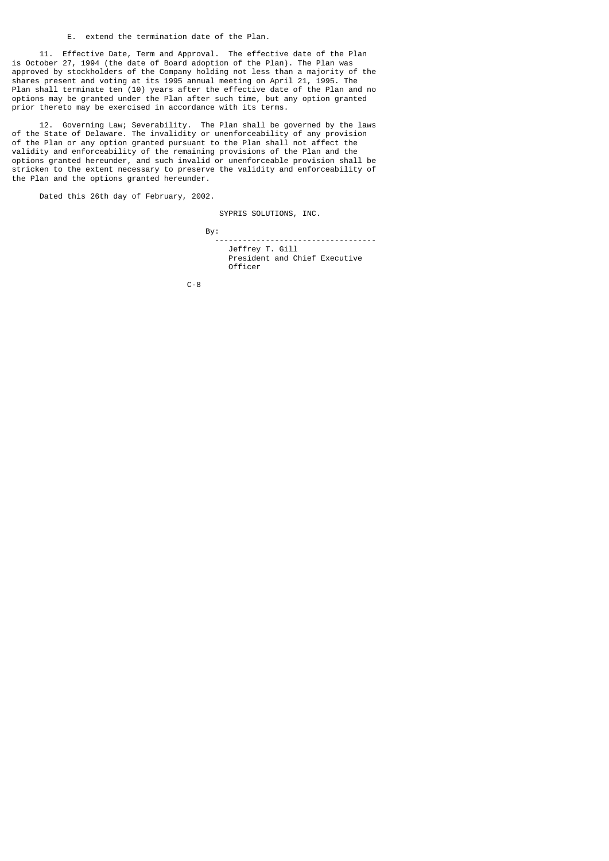E. extend the termination date of the Plan.

 11. Effective Date, Term and Approval. The effective date of the Plan is October 27, 1994 (the date of Board adoption of the Plan). The Plan was approved by stockholders of the Company holding not less than a majority of the shares present and voting at its 1995 annual meeting on April 21, 1995. The Plan shall terminate ten (10) years after the effective date of the Plan and no options may be granted under the Plan after such time, but any option granted prior thereto may be exercised in accordance with its terms.

 12. Governing Law; Severability. The Plan shall be governed by the laws of the State of Delaware. The invalidity or unenforceability of any provision of the Plan or any option granted pursuant to the Plan shall not affect the validity and enforceability of the remaining provisions of the Plan and the options granted hereunder, and such invalid or unenforceable provision shall be stricken to the extent necessary to preserve the validity and enforceability of the Plan and the options granted hereunder.

Dated this 26th day of February, 2002.

SYPRIS SOLUTIONS, INC.

 By: ----------------------------------- Jeffrey T. Gill President and Chief Executive Officer

C-8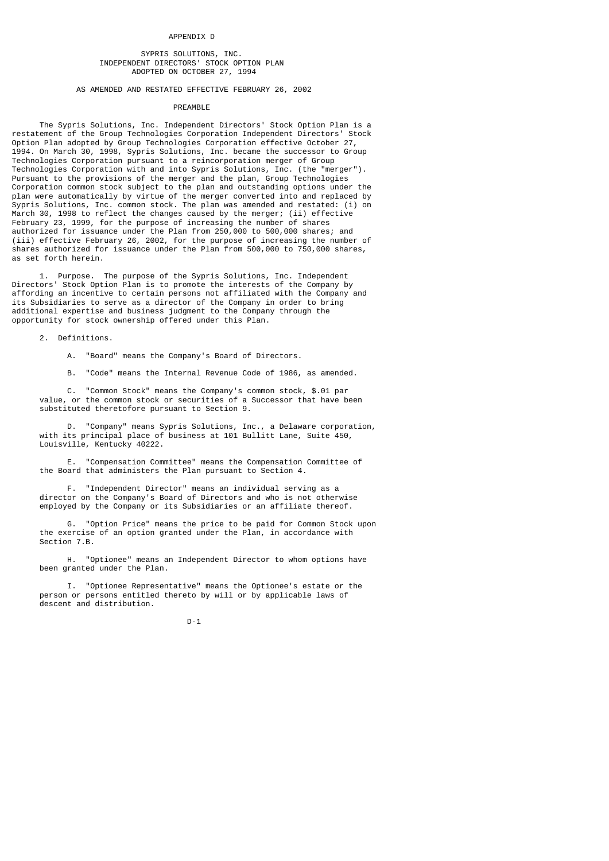#### APPENDIX D

### SYPRIS SOLUTIONS, INC. INDEPENDENT DIRECTORS' STOCK OPTION PLAN ADOPTED ON OCTOBER 27, 1994

# AS AMENDED AND RESTATED EFFECTIVE FEBRUARY 26, 2002

# PREAMBLE

 The Sypris Solutions, Inc. Independent Directors' Stock Option Plan is a restatement of the Group Technologies Corporation Independent Directors' Stock Option Plan adopted by Group Technologies Corporation effective October 27, 1994. On March 30, 1998, Sypris Solutions, Inc. became the successor to Group Technologies Corporation pursuant to a reincorporation merger of Group Technologies Corporation with and into Sypris Solutions, Inc. (the "merger"). Pursuant to the provisions of the merger and the plan, Group Technologies Corporation common stock subject to the plan and outstanding options under the plan were automatically by virtue of the merger converted into and replaced by Sypris Solutions, Inc. common stock. The plan was amended and restated: (i) on March 30, 1998 to reflect the changes caused by the merger; (ii) effective February 23, 1999, for the purpose of increasing the number of shares authorized for issuance under the Plan from 250,000 to 500,000 shares; and (iii) effective February 26, 2002, for the purpose of increasing the number of shares authorized for issuance under the Plan from 500,000 to 750,000 shares, as set forth herein.

 1. Purpose. The purpose of the Sypris Solutions, Inc. Independent Directors' Stock Option Plan is to promote the interests of the Company by affording an incentive to certain persons not affiliated with the Company and its Subsidiaries to serve as a director of the Company in order to bring additional expertise and business judgment to the Company through the opportunity for stock ownership offered under this Plan.

2. Definitions.

A. "Board" means the Company's Board of Directors.

B. "Code" means the Internal Revenue Code of 1986, as amended.

 C. "Common Stock" means the Company's common stock, \$.01 par value, or the common stock or securities of a Successor that have been substituted theretofore pursuant to Section 9.

 D. "Company" means Sypris Solutions, Inc., a Delaware corporation, with its principal place of business at 101 Bullitt Lane, Suite 450, Louisville, Kentucky 40222.

 E. "Compensation Committee" means the Compensation Committee of the Board that administers the Plan pursuant to Section 4.

 F. "Independent Director" means an individual serving as a director on the Company's Board of Directors and who is not otherwise employed by the Company or its Subsidiaries or an affiliate thereof.

 G. "Option Price" means the price to be paid for Common Stock upon the exercise of an option granted under the Plan, in accordance with Section 7.B.

 H. "Optionee" means an Independent Director to whom options have been granted under the Plan.

 I. "Optionee Representative" means the Optionee's estate or the person or persons entitled thereto by will or by applicable laws of descent and distribution.

#### D-1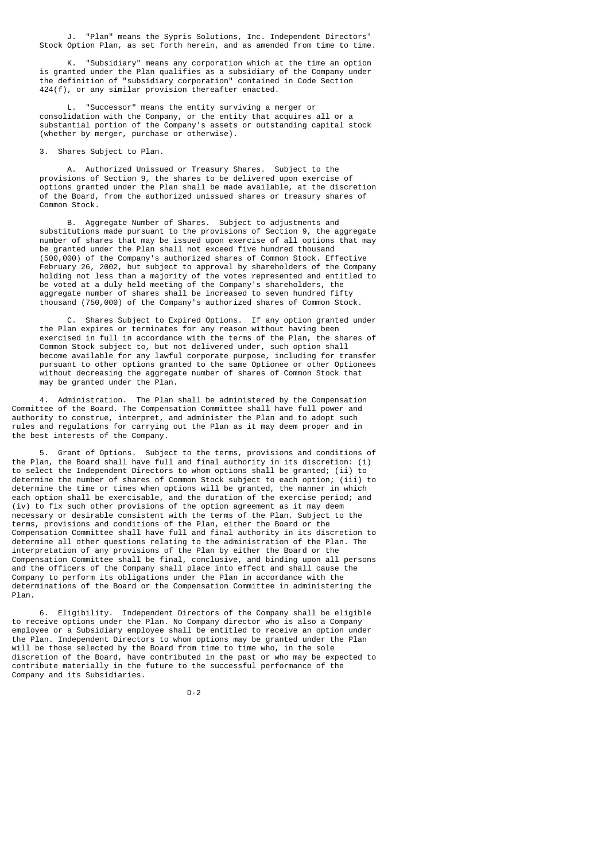J. "Plan" means the Sypris Solutions, Inc. Independent Directors' Stock Option Plan, as set forth herein, and as amended from time to time.

 K. "Subsidiary" means any corporation which at the time an option is granted under the Plan qualifies as a subsidiary of the Company under the definition of "subsidiary corporation" contained in Code Section 424(f), or any similar provision thereafter enacted.

 L. "Successor" means the entity surviving a merger or consolidation with the Company, or the entity that acquires all or a substantial portion of the Company's assets or outstanding capital stock (whether by merger, purchase or otherwise).

3. Shares Subject to Plan.

 A. Authorized Unissued or Treasury Shares. Subject to the provisions of Section 9, the shares to be delivered upon exercise of options granted under the Plan shall be made available, at the discretion of the Board, from the authorized unissued shares or treasury shares of Common Stock.

 B. Aggregate Number of Shares. Subject to adjustments and substitutions made pursuant to the provisions of Section 9, the aggregate number of shares that may be issued upon exercise of all options that may be granted under the Plan shall not exceed five hundred thousand (500,000) of the Company's authorized shares of Common Stock. Effective February 26, 2002, but subject to approval by shareholders of the Company holding not less than a majority of the votes represented and entitled to be voted at a duly held meeting of the Company's shareholders, the aggregate number of shares shall be increased to seven hundred fifty thousand (750,000) of the Company's authorized shares of Common Stock.

 C. Shares Subject to Expired Options. If any option granted under the Plan expires or terminates for any reason without having been exercised in full in accordance with the terms of the Plan, the shares of Common Stock subject to, but not delivered under, such option shall become available for any lawful corporate purpose, including for transfer pursuant to other options granted to the same Optionee or other Optionees without decreasing the aggregate number of shares of Common Stock that may be granted under the Plan.

 4. Administration. The Plan shall be administered by the Compensation Committee of the Board. The Compensation Committee shall have full power and authority to construe, interpret, and administer the Plan and to adopt such rules and regulations for carrying out the Plan as it may deem proper and in the best interests of the Company.

 5. Grant of Options. Subject to the terms, provisions and conditions of the Plan, the Board shall have full and final authority in its discretion: (i) to select the Independent Directors to whom options shall be granted; (ii) to determine the number of shares of Common Stock subject to each option; (iii) to determine the time or times when options will be granted, the manner in which each option shall be exercisable, and the duration of the exercise period; and (iv) to fix such other provisions of the option agreement as it may deem necessary or desirable consistent with the terms of the Plan. Subject to the terms, provisions and conditions of the Plan, either the Board or the Compensation Committee shall have full and final authority in its discretion to determine all other questions relating to the administration of the Plan. The interpretation of any provisions of the Plan by either the Board or the Compensation Committee shall be final, conclusive, and binding upon all persons and the officers of the Company shall place into effect and shall cause the Company to perform its obligations under the Plan in accordance with the determinations of the Board or the Compensation Committee in administering the Plan.

 6. Eligibility. Independent Directors of the Company shall be eligible to receive options under the Plan. No Company director who is also a Company employee or a Subsidiary employee shall be entitled to receive an option under the Plan. Independent Directors to whom options may be granted under the Plan will be those selected by the Board from time to time who, in the sole discretion of the Board, have contributed in the past or who may be expected to contribute materially in the future to the successful performance of the Company and its Subsidiaries.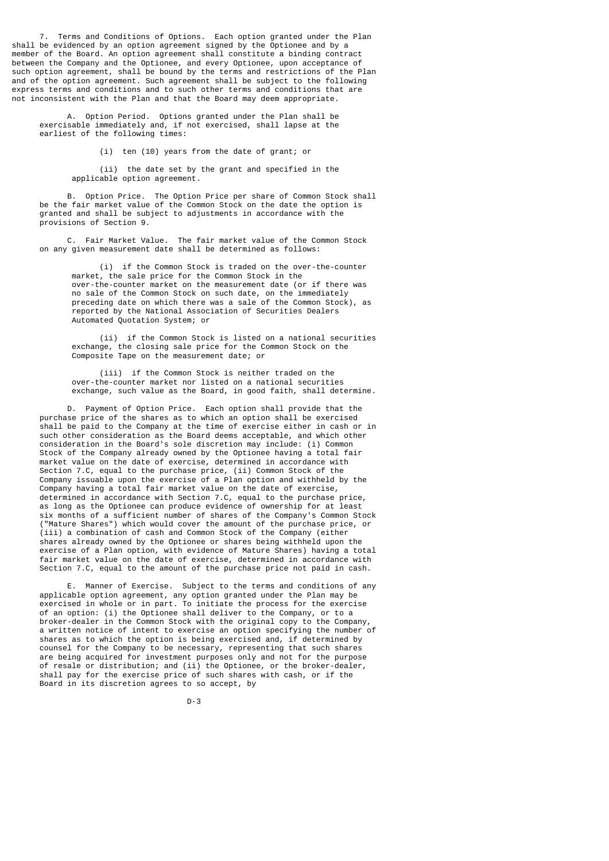7. Terms and Conditions of Options. Each option granted under the Plan shall be evidenced by an option agreement signed by the Optionee and by a member of the Board. An option agreement shall constitute a binding contract between the Company and the Optionee, and every Optionee, upon acceptance of such option agreement, shall be bound by the terms and restrictions of the Plan and of the option agreement. Such agreement shall be subject to the following express terms and conditions and to such other terms and conditions that are not inconsistent with the Plan and that the Board may deem appropriate.

 A. Option Period. Options granted under the Plan shall be exercisable immediately and, if not exercised, shall lapse at the earliest of the following times:

(i) ten (10) years from the date of grant; or

 (ii) the date set by the grant and specified in the applicable option agreement.

 B. Option Price. The Option Price per share of Common Stock shall be the fair market value of the Common Stock on the date the option is granted and shall be subject to adjustments in accordance with the provisions of Section 9.

 C. Fair Market Value. The fair market value of the Common Stock on any given measurement date shall be determined as follows:

 (i) if the Common Stock is traded on the over-the-counter market, the sale price for the Common Stock in the over-the-counter market on the measurement date (or if there was no sale of the Common Stock on such date, on the immediately preceding date on which there was a sale of the Common Stock), as reported by the National Association of Securities Dealers Automated Quotation System; or

 (ii) if the Common Stock is listed on a national securities exchange, the closing sale price for the Common Stock on the Composite Tape on the measurement date; or

 (iii) if the Common Stock is neither traded on the over-the-counter market nor listed on a national securities exchange, such value as the Board, in good faith, shall determine.

 D. Payment of Option Price. Each option shall provide that the purchase price of the shares as to which an option shall be exercised shall be paid to the Company at the time of exercise either in cash or in such other consideration as the Board deems acceptable, and which other consideration in the Board's sole discretion may include: (i) Common Stock of the Company already owned by the Optionee having a total fair market value on the date of exercise, determined in accordance with Section 7.C, equal to the purchase price, (ii) Common Stock of the Company issuable upon the exercise of a Plan option and withheld by the Company having a total fair market value on the date of exercise, determined in accordance with Section 7.C, equal to the purchase price, as long as the Optionee can produce evidence of ownership for at least six months of a sufficient number of shares of the Company's Common Stock ("Mature Shares") which would cover the amount of the purchase price, or (iii) a combination of cash and Common Stock of the Company (either shares already owned by the Optionee or shares being withheld upon the exercise of a Plan option, with evidence of Mature Shares) having a total fair market value on the date of exercise, determined in accordance with Section 7.C, equal to the amount of the purchase price not paid in cash.

 E. Manner of Exercise. Subject to the terms and conditions of any applicable option agreement, any option granted under the Plan may be exercised in whole or in part. To initiate the process for the exercise of an option: (i) the Optionee shall deliver to the Company, or to a broker-dealer in the Common Stock with the original copy to the Company, a written notice of intent to exercise an option specifying the number of shares as to which the option is being exercised and, if determined by counsel for the Company to be necessary, representing that such shares are being acquired for investment purposes only and not for the purpose of resale or distribution; and (ii) the Optionee, or the broker-dealer, shall pay for the exercise price of such shares with cash, or if the Board in its discretion agrees to so accept, by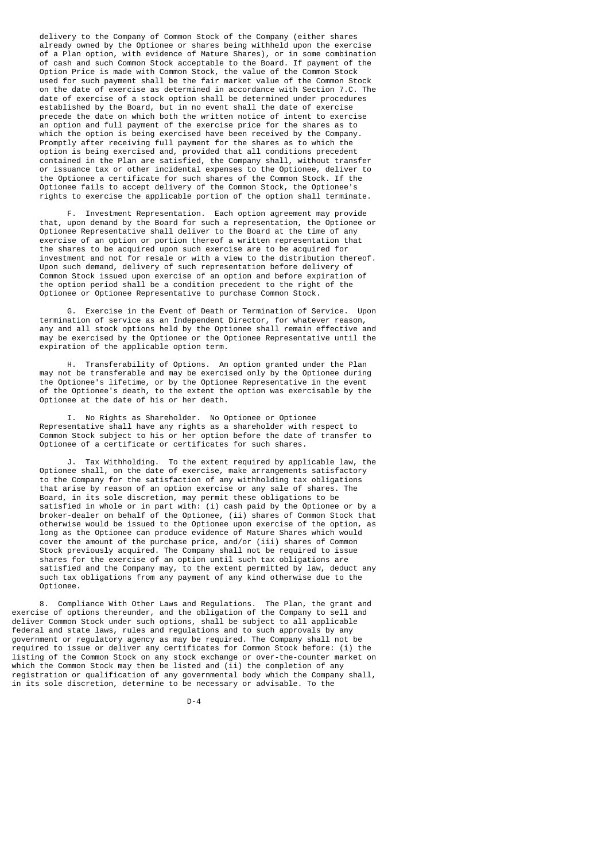delivery to the Company of Common Stock of the Company (either shares already owned by the Optionee or shares being withheld upon the exercise of a Plan option, with evidence of Mature Shares), or in some combination of cash and such Common Stock acceptable to the Board. If payment of the Option Price is made with Common Stock, the value of the Common Stock used for such payment shall be the fair market value of the Common Stock on the date of exercise as determined in accordance with Section 7.C. The date of exercise of a stock option shall be determined under procedures established by the Board, but in no event shall the date of exercise precede the date on which both the written notice of intent to exercise an option and full payment of the exercise price for the shares as to which the option is being exercised have been received by the Company. Promptly after receiving full payment for the shares as to which the option is being exercised and, provided that all conditions precedent contained in the Plan are satisfied, the Company shall, without transfer or issuance tax or other incidental expenses to the Optionee, deliver to the Optionee a certificate for such shares of the Common Stock. If the Optionee fails to accept delivery of the Common Stock, the Optionee's rights to exercise the applicable portion of the option shall terminate.

 F. Investment Representation. Each option agreement may provide that, upon demand by the Board for such a representation, the Optionee or Optionee Representative shall deliver to the Board at the time of any exercise of an option or portion thereof a written representation that the shares to be acquired upon such exercise are to be acquired for investment and not for resale or with a view to the distribution thereof. Upon such demand, delivery of such representation before delivery of Common Stock issued upon exercise of an option and before expiration of the option period shall be a condition precedent to the right of the Optionee or Optionee Representative to purchase Common Stock.

 G. Exercise in the Event of Death or Termination of Service. Upon termination of service as an Independent Director, for whatever reason, any and all stock options held by the Optionee shall remain effective and may be exercised by the Optionee or the Optionee Representative until the expiration of the applicable option term.

Transferability of Options. An option granted under the Plan may not be transferable and may be exercised only by the Optionee during the Optionee's lifetime, or by the Optionee Representative in the event of the Optionee's death, to the extent the option was exercisable by the Optionee at the date of his or her death.

 I. No Rights as Shareholder. No Optionee or Optionee Representative shall have any rights as a shareholder with respect to Common Stock subject to his or her option before the date of transfer to Optionee of a certificate or certificates for such shares.

 J. Tax Withholding. To the extent required by applicable law, the Optionee shall, on the date of exercise, make arrangements satisfactory to the Company for the satisfaction of any withholding tax obligations that arise by reason of an option exercise or any sale of shares. The Board, in its sole discretion, may permit these obligations to be satisfied in whole or in part with: (i) cash paid by the Optionee or by a broker-dealer on behalf of the Optionee, (ii) shares of Common Stock that otherwise would be issued to the Optionee upon exercise of the option, as long as the Optionee can produce evidence of Mature Shares which would cover the amount of the purchase price, and/or (iii) shares of Common Stock previously acquired. The Company shall not be required to issue shares for the exercise of an option until such tax obligations are satisfied and the Company may, to the extent permitted by law, deduct any such tax obligations from any payment of any kind otherwise due to the Optionee.

 8. Compliance With Other Laws and Regulations. The Plan, the grant and exercise of options thereunder, and the obligation of the Company to sell and deliver Common Stock under such options, shall be subject to all applicable federal and state laws, rules and regulations and to such approvals by any government or regulatory agency as may be required. The Company shall not be required to issue or deliver any certificates for Common Stock before: (i) the listing of the Common Stock on any stock exchange or over-the-counter market on which the Common Stock may then be listed and (ii) the completion of any registration or qualification of any governmental body which the Company shall, in its sole discretion, determine to be necessary or advisable. To the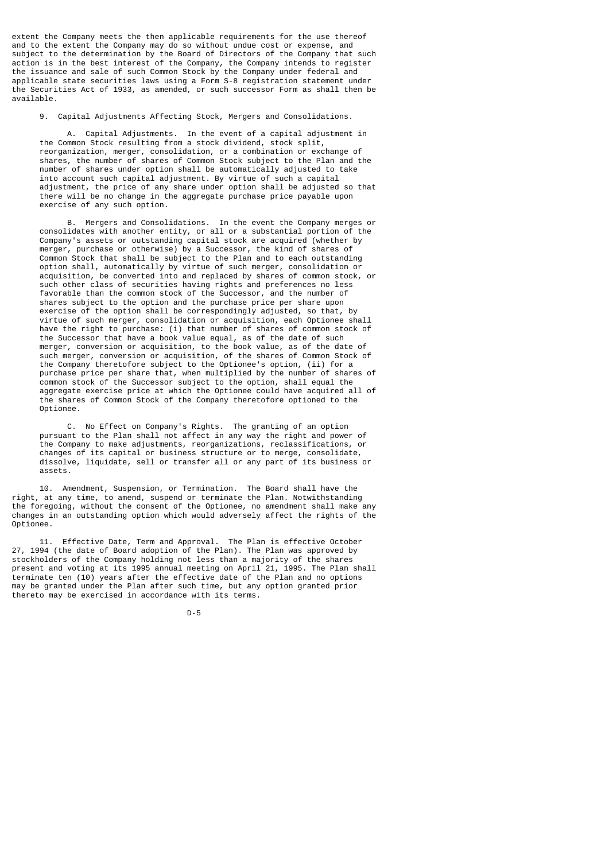extent the Company meets the then applicable requirements for the use thereof and to the extent the Company may do so without undue cost or expense, and subject to the determination by the Board of Directors of the Company that such action is in the best interest of the Company, the Company intends to register the issuance and sale of such Common Stock by the Company under federal and applicable state securities laws using a Form S-8 registration statement under the Securities Act of 1933, as amended, or such successor Form as shall then be available.

9. Capital Adjustments Affecting Stock, Mergers and Consolidations.

 A. Capital Adjustments. In the event of a capital adjustment in the Common Stock resulting from a stock dividend, stock split, reorganization, merger, consolidation, or a combination or exchange of shares, the number of shares of Common Stock subject to the Plan and the number of shares under option shall be automatically adjusted to take into account such capital adjustment. By virtue of such a capital adjustment, the price of any share under option shall be adjusted so that there will be no change in the aggregate purchase price payable upon exercise of any such option.

 B. Mergers and Consolidations. In the event the Company merges or consolidates with another entity, or all or a substantial portion of the Company's assets or outstanding capital stock are acquired (whether by merger, purchase or otherwise) by a Successor, the kind of shares of Common Stock that shall be subject to the Plan and to each outstanding option shall, automatically by virtue of such merger, consolidation or acquisition, be converted into and replaced by shares of common stock, or such other class of securities having rights and preferences no less favorable than the common stock of the Successor, and the number of shares subject to the option and the purchase price per share upon exercise of the option shall be correspondingly adjusted, so that, by virtue of such merger, consolidation or acquisition, each Optionee shall have the right to purchase: (i) that number of shares of common stock of the Successor that have a book value equal, as of the date of such merger, conversion or acquisition, to the book value, as of the date of such merger, conversion or acquisition, of the shares of Common Stock of the Company theretofore subject to the Optionee's option, (ii) for a purchase price per share that, when multiplied by the number of shares of common stock of the Successor subject to the option, shall equal the aggregate exercise price at which the Optionee could have acquired all of the shares of Common Stock of the Company theretofore optioned to the Optionee.

 C. No Effect on Company's Rights. The granting of an option pursuant to the Plan shall not affect in any way the right and power of the Company to make adjustments, reorganizations, reclassifications, or changes of its capital or business structure or to merge, consolidate, dissolve, liquidate, sell or transfer all or any part of its business or assets.

 10. Amendment, Suspension, or Termination. The Board shall have the right, at any time, to amend, suspend or terminate the Plan. Notwithstanding the foregoing, without the consent of the Optionee, no amendment shall make any changes in an outstanding option which would adversely affect the rights of the Optionee.

 11. Effective Date, Term and Approval. The Plan is effective October 27, 1994 (the date of Board adoption of the Plan). The Plan was approved by stockholders of the Company holding not less than a majority of the shares present and voting at its 1995 annual meeting on April 21, 1995. The Plan shall terminate ten (10) years after the effective date of the Plan and no options may be granted under the Plan after such time, but any option granted prior thereto may be exercised in accordance with its terms.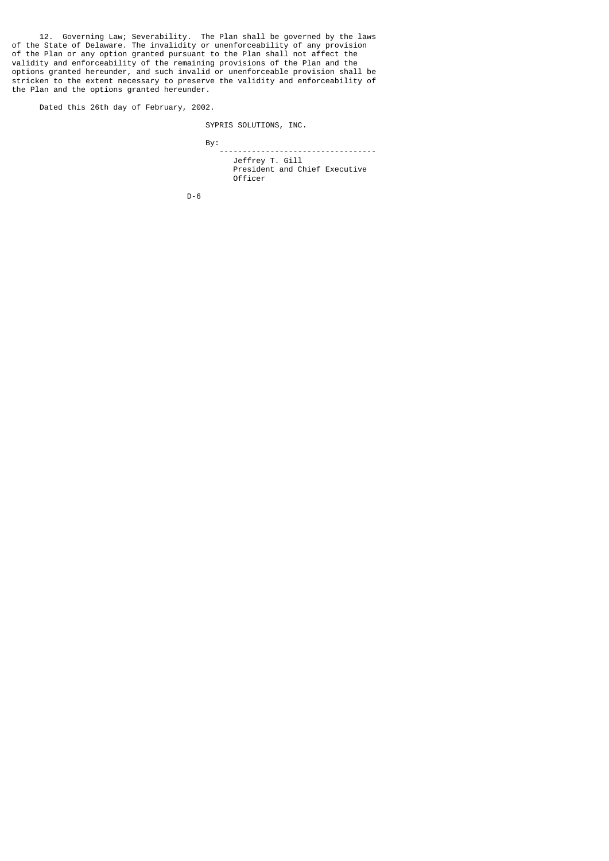12. Governing Law; Severability. The Plan shall be governed by the laws of the State of Delaware. The invalidity or unenforceability of any provision of the Plan or any option granted pursuant to the Plan shall not affect the validity and enforceability of the remaining provisions of the Plan and the options granted hereunder, and such invalid or unenforceable provision shall be stricken to the extent necessary to preserve the validity and enforceability of the Plan and the options granted hereunder.

Dated this 26th day of February, 2002.

SYPRIS SOLUTIONS, INC.

By:

 ---------------------------------- Jeffrey T. Gill President and Chief Executive Officer

D-6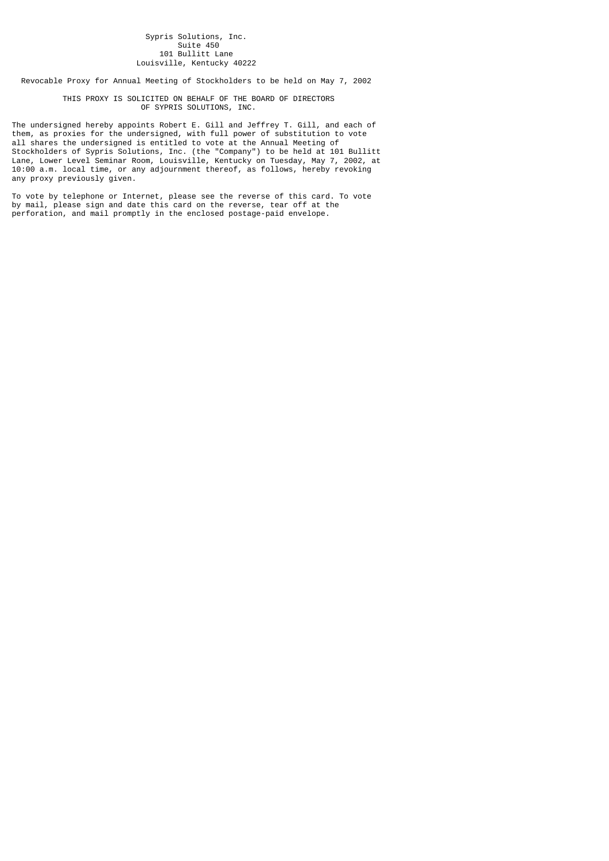# Sypris Solutions, Inc. Suite 450 101 Bullitt Lane Louisville, Kentucky 40222

Revocable Proxy for Annual Meeting of Stockholders to be held on May 7, 2002

 THIS PROXY IS SOLICITED ON BEHALF OF THE BOARD OF DIRECTORS OF SYPRIS SOLUTIONS, INC.

The undersigned hereby appoints Robert E. Gill and Jeffrey T. Gill, and each of them, as proxies for the undersigned, with full power of substitution to vote all shares the undersigned is entitled to vote at the Annual Meeting of Stockholders of Sypris Solutions, Inc. (the "Company") to be held at 101 Bullitt Lane, Lower Level Seminar Room, Louisville, Kentucky on Tuesday, May 7, 2002, at 10:00 a.m. local time, or any adjournment thereof, as follows, hereby revoking any proxy previously given.

To vote by telephone or Internet, please see the reverse of this card. To vote by mail, please sign and date this card on the reverse, tear off at the perforation, and mail promptly in the enclosed postage-paid envelope.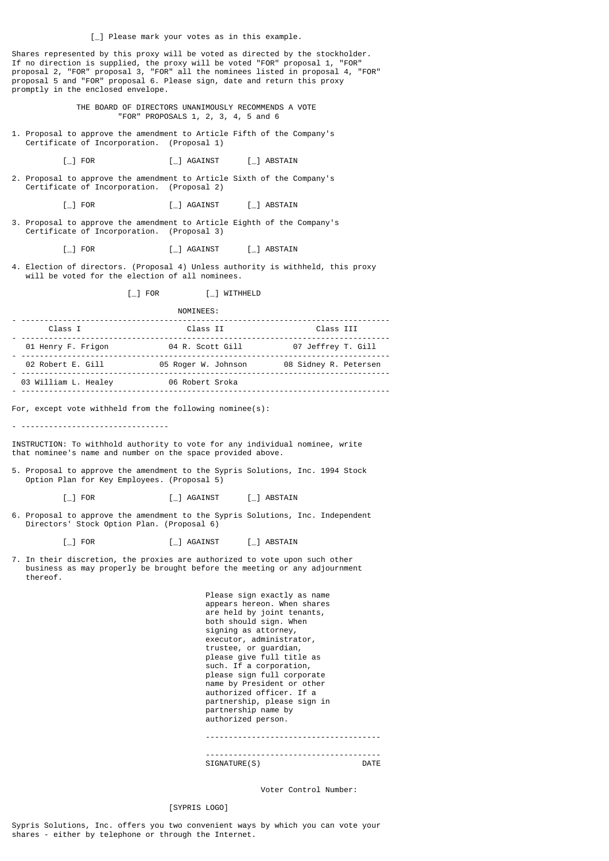[\_] Please mark your votes as in this example.

Shares represented by this proxy will be voted as directed by the stockholder. If no direction is supplied, the proxy will be voted "FOR" proposal 1, "FOR" proposal 2, "FOR" proposal 3, "FOR" all the nominees listed in proposal 4, "FOR" proposal 5 and "FOR" proposal 6. Please sign, date and return this proxy promptly in the enclosed envelope.

> THE BOARD OF DIRECTORS UNANIMOUSLY RECOMMENDS A VOTE "FOR" PROPOSALS 1, 2, 3, 4, 5 and 6

1. Proposal to approve the amendment to Article Fifth of the Company's Certificate of Incorporation. (Proposal 1)

[\_] FOR [\_] AGAINST [\_] ABSTAIN

2. Proposal to approve the amendment to Article Sixth of the Company's Certificate of Incorporation. (Proposal 2)

[\_] FOR [\_] AGAINST [\_] ABSTAIN

3. Proposal to approve the amendment to Article Eighth of the Company's Certificate of Incorporation. (Proposal 3)

[\_] FOR [\_] AGAINST [\_] ABSTAIN

4. Election of directors. (Proposal 4) Unless authority is withheld, this proxy will be voted for the election of all nominees.

 $\begin{bmatrix} - \end{bmatrix}$  FOR  $\begin{bmatrix} - \end{bmatrix}$  WITHHELD

|                      | NOMINEES:           |                       |
|----------------------|---------------------|-----------------------|
| Class I              | Class II            | Class III             |
| 01 Henry F. Frigon   | 04 R. Scott Gill    | 07 Jeffrey T. Gill    |
| 02 Robert E. Gill    | 05 Roger W. Johnson | 08 Sidney R. Petersen |
| 03 William L. Healey | 06 Robert Sroka     |                       |
|                      |                     |                       |

For, except vote withheld from the following nominee(s):

- --------------------------------

INSTRUCTION: To withhold authority to vote for any individual nominee, write that nominee's name and number on the space provided above.

5. Proposal to approve the amendment to the Sypris Solutions, Inc. 1994 Stock Option Plan for Key Employees. (Proposal 5)

[\_] FOR [\_] AGAINST [\_] ABSTAIN

6. Proposal to approve the amendment to the Sypris Solutions, Inc. Independent Directors' Stock Option Plan. (Proposal 6)

[\_] FOR [\_] AGAINST [\_] ABSTAIN

7. In their discretion, the proxies are authorized to vote upon such other business as may properly be brought before the meeting or any adjournment thereof.

 Please sign exactly as name appears hereon. When shares are held by joint tenants, both should sign. When signing as attorney, executor, administrator, trustee, or guardian, please give full title as such. If a corporation, please sign full corporate name by President or other authorized officer. If a partnership, please sign in partnership name by authorized person. -------------------------------------- -------------------------------------- SIGNATURE(S)

Voter Control Number:

[SYPRIS LOGO]